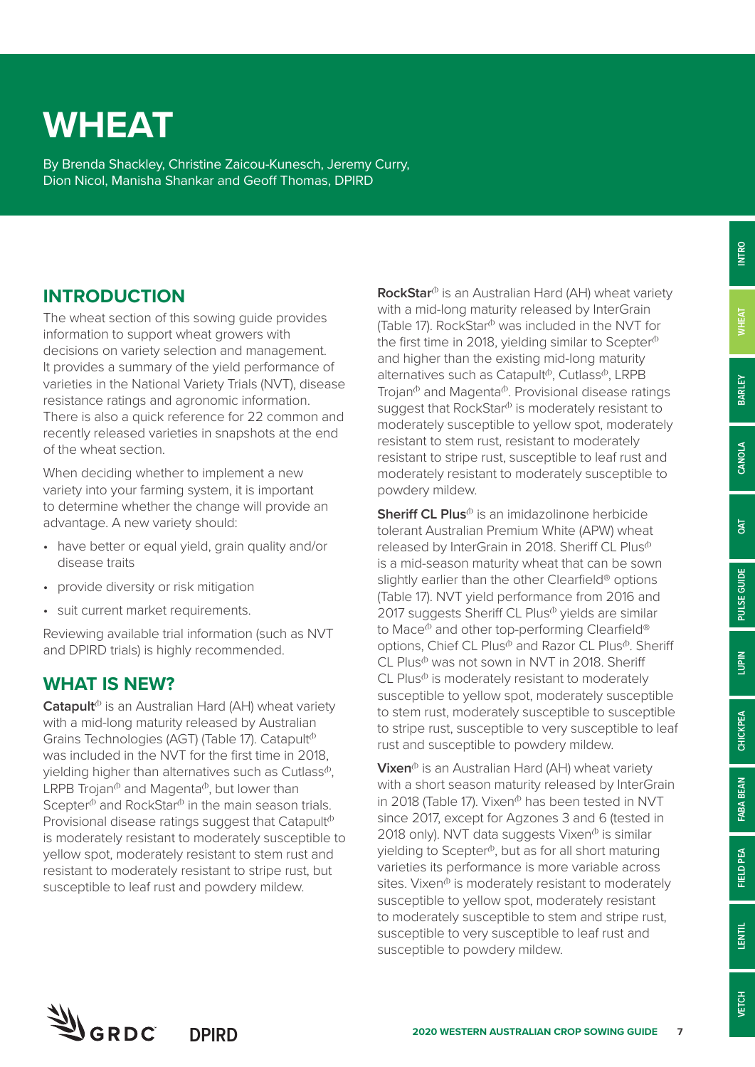# **INTRO**

**OAT**

**CHICKPEA**

CHICKPEA

## **WHEAT**

By Brenda Shackley, Christine Zaicou-Kunesch, Jeremy Curry, Dion Nicol, Manisha Shankar and Geoff Thomas, DPIRD

## **INTRODUCTION**

The wheat section of this sowing guide provides information to support wheat growers with decisions on variety selection and management. It provides a summary of the yield performance of varieties in the National Variety Trials (NVT), disease resistance ratings and agronomic information. There is also a quick reference for 22 common and recently released varieties in snapshots at the end of the wheat section.

When deciding whether to implement a new variety into your farming system, it is important to determine whether the change will provide an advantage. A new variety should:

- have better or equal yield, grain quality and/or disease traits
- provide diversity or risk mitigation
- suit current market requirements.

Reviewing available trial information (such as NVT and DPIRD trials) is highly recommended.

## **WHAT IS NEW?**

**Catapult**<sup>(b</sup> is an Australian Hard (AH) wheat variety with a mid-long maturity released by Australian Grains Technologies (AGT) (Table 17). Catapult<sup> $b$ </sup> was included in the NVT for the first time in 2018, vielding higher than alternatives such as Cutlass $\Phi$ . LRPB Trojan $\Phi$  and Magenta $\Phi$ , but lower than Scepter $\Phi$  and RockStar $\Phi$  in the main season trials. Provisional disease ratings suggest that Catapult<sup> $\Phi$ </sup> is moderately resistant to moderately susceptible to yellow spot, moderately resistant to stem rust and resistant to moderately resistant to stripe rust, but susceptible to leaf rust and powdery mildew.

**RockStar**<sup>(b</sup> is an Australian Hard (AH) wheat variety with a mid-long maturity released by InterGrain (Table 17). RockStar $\Phi$  was included in the NVT for the first time in 2018, yielding similar to Scepter $\Phi$ and higher than the existing mid-long maturity alternatives such as Catapult<sup>®</sup>, Cutlass<sup>®</sup>, LRPB Trojan $\Phi$  and Magenta $\Phi$ . Provisional disease ratings suggest that RockStar $\Phi$  is moderately resistant to moderately susceptible to yellow spot, moderately resistant to stem rust, resistant to moderately resistant to stripe rust, susceptible to leaf rust and moderately resistant to moderately susceptible to powdery mildew.

**Sheriff CL Plus**<sup> $\phi$ </sup> is an imidazolinone herbicide tolerant Australian Premium White (APW) wheat released by InterGrain in 2018. Sheriff CL Plus<sup>®</sup> is a mid-season maturity wheat that can be sown slightly earlier than the other Clearfield<sup>®</sup> options (Table 17). NVT yield performance from 2016 and 2017 suggests Sheriff CL Plus $\Phi$  yields are similar to Mace $\Phi$  and other top-performing Clearfield® options, Chief CL Plus<sup>®</sup> and Razor CL Plus<sup>®</sup>, Sheriff  $CL$  Plus $\Phi$  was not sown in NVT in 2018. Sheriff  $CL$  Plus $\Phi$  is moderately resistant to moderately susceptible to yellow spot, moderately susceptible to stem rust, moderately susceptible to susceptible to stripe rust, susceptible to very susceptible to leaf rust and susceptible to powdery mildew.

**Vixen**® is an Australian Hard (AH) wheat variety with a short season maturity released by InterGrain in 2018 (Table 17). Vixen $^{\circ}$  has been tested in NVT since 2017, except for Agzones 3 and 6 (tested in 2018 only). NVT data suggests Vixen $\Phi$  is similar yielding to Scepter $\phi$ , but as for all short maturing varieties its performance is more variable across sites. Vixen $\Phi$  is moderately resistant to moderately susceptible to yellow spot, moderately resistant to moderately susceptible to stem and stripe rust, susceptible to very susceptible to leaf rust and susceptible to powdery mildew.

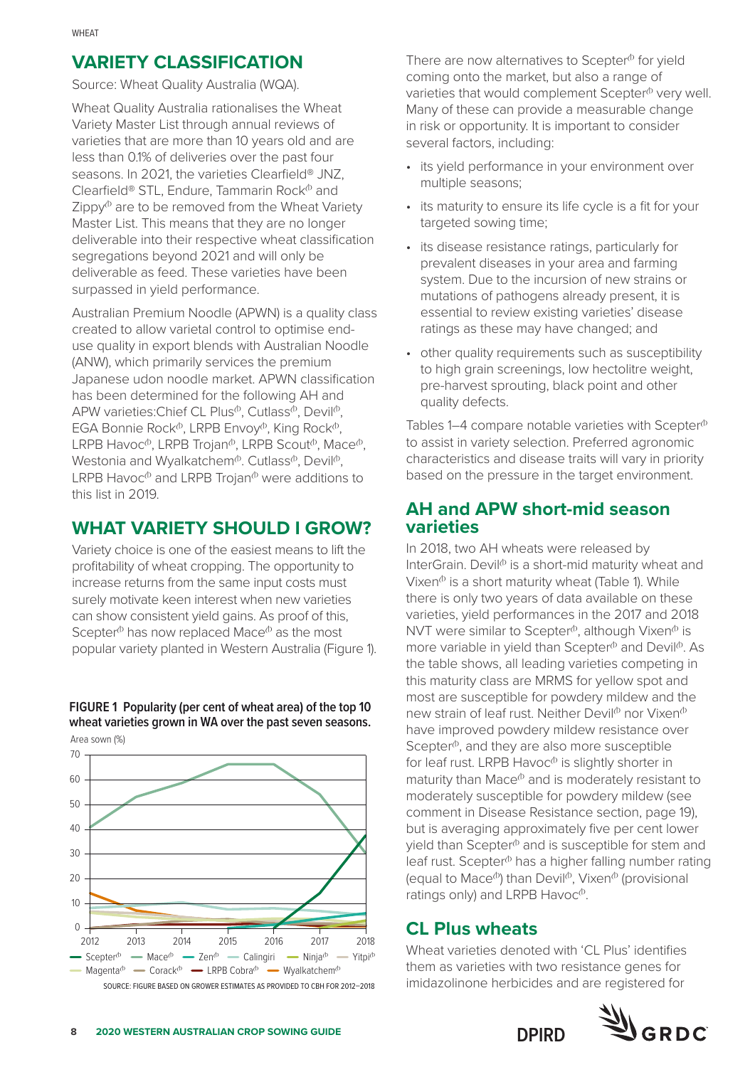## **VARIETY CLASSIFICATION**

Source: Wheat Quality Australia (WQA).

Wheat Quality Australia rationalises the Wheat Variety Master List through annual reviews of varieties that are more than 10 years old and are less than 0.1% of deliveries over the past four seasons. In 2021, the varieties Clearfield® JNZ, Clearfield® STL, Endure, Tammarin Rock $^{\circ}$  and  $Z$ ippy $\phi$  are to be removed from the Wheat Variety Master List. This means that they are no longer deliverable into their respective wheat classification segregations beyond 2021 and will only be deliverable as feed. These varieties have been surpassed in yield performance.

Australian Premium Noodle (APWN) is a quality class created to allow varietal control to optimise enduse quality in export blends with Australian Noodle (ANW), which primarily services the premium Japanese udon noodle market. APWN classification has been determined for the following AH and APW varieties: Chief CL Plus<sup> $\phi$ </sup>, Cutlass $\phi$ , Devil $\phi$ , EGA Bonnie Rock $\Phi$ , LRPB Envoy $\Phi$ , King Rock $\Phi$ , LRPB Havoc<sup> $\Phi$ </sup>, LRPB Trojan<sup> $\Phi$ </sup>, LRPB Scout $\Phi$ , Mace $\Phi$ , Westonia and Wyalkatchem<sup> $\phi$ </sup>. Cutlass<sup> $\phi$ </sup>, Devil $\phi$ , LRPB Havoc $\Phi$  and LRPB Trojan $\Phi$  were additions to this list in 2019.

## **WHAT VARIETY SHOULD I GROW?**

Variety choice is one of the easiest means to lift the profitability of wheat cropping. The opportunity to increase returns from the same input costs must surely motivate keen interest when new varieties can show consistent yield gains. As proof of this, Scepter<sup> $\Phi$ </sup> has now replaced Mace $\Phi$  as the most popular variety planted in Western Australia (Figure 1).

#### **FIGURE 1 Popularity (per cent of wheat area) of the top 10 wheat varieties grown in WA over the past seven seasons.**





SOURCE: FIGURE BASED ON GROWER ESTIMATES AS PROVIDED TO CBH FOR 2012–2018

There are now alternatives to Scepter $\Phi$  for yield coming onto the market, but also a range of varieties that would complement  $Scepter<sup>0</sup>$  very well. Many of these can provide a measurable change in risk or opportunity. It is important to consider several factors, including:

- its yield performance in your environment over multiple seasons;
- its maturity to ensure its life cycle is a fit for your targeted sowing time;
- its disease resistance ratings, particularly for prevalent diseases in your area and farming system. Due to the incursion of new strains or mutations of pathogens already present, it is essential to review existing varieties' disease ratings as these may have changed; and
- other quality requirements such as susceptibility to high grain screenings, low hectolitre weight, pre-harvest sprouting, black point and other quality defects.

Tables  $1-4$  compare notable varieties with Scepter $\Phi$ to assist in variety selection. Preferred agronomic characteristics and disease traits will vary in priority based on the pressure in the target environment.

## **AH and APW short-mid season varieties**

In 2018, two AH wheats were released by InterGrain. Devil $\Phi$  is a short-mid maturity wheat and Vixen $^{\textcircled{b}}$  is a short maturity wheat (Table 1). While there is only two years of data available on these varieties, yield performances in the 2017 and 2018 NVT were similar to Scepter $\Phi$ , although Vixen $\Phi$  is more variable in yield than Scepter $\Phi$  and Devil $\Phi$ . As the table shows, all leading varieties competing in this maturity class are MRMS for yellow spot and most are susceptible for powdery mildew and the new strain of leaf rust. Neither Devil $\Phi$  nor Vixen $\Phi$ have improved powdery mildew resistance over Scepter $\Phi$ , and they are also more susceptible for leaf rust. LRPB Havoc $\Phi$  is slightly shorter in maturity than  $Mace^{\phi}$  and is moderately resistant to moderately susceptible for powdery mildew (see comment in Disease Resistance section, page 19), but is averaging approximately five per cent lower vield than Scepter $\Phi$  and is susceptible for stem and leaf rust. Scepter<sup>®</sup> has a higher falling number rating (equal to Mace $\Phi$ ) than Devil $\Phi$ , Vixen $\Phi$  (provisional ratings only) and LRPB Havoc $\Phi$ .

## **CL Plus wheats**

Wheat varieties denoted with 'CL Plus' identifies them as varieties with two resistance genes for imidazolinone herbicides and are registered for

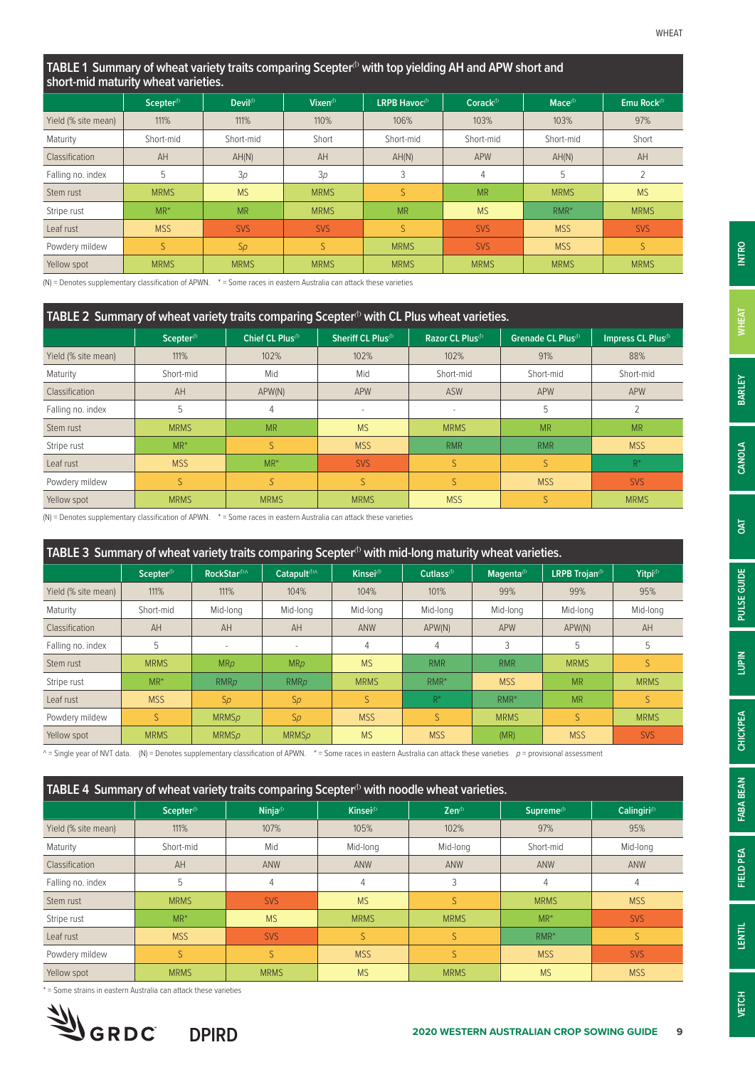#### **TABLE 1 Summary of wheat variety traits comparing Scepter<sup>(1)</sup> with top yielding AH and APW short and short-mid maturity wheat varieties.**

|                     | Scepter <sup>(b)</sup> | Devil <sup><math>\Phi</math></sup> | Vixen <sup>®</sup> | LRPB Havoc <sup>®</sup> | $\text{Corack}^{\oplus}$ | Mace <sup>(b)</sup> | Emu Rock <sup>(b)</sup> |
|---------------------|------------------------|------------------------------------|--------------------|-------------------------|--------------------------|---------------------|-------------------------|
| Yield (% site mean) | 111%                   | 111%                               | 110%               | 106%                    | 103%                     | 103%                | 97%                     |
| Maturity            | Short-mid              | Short-mid                          | Short              | Short-mid               | Short-mid                | Short-mid           | Short                   |
| Classification      | AH                     | AH(N)                              | AH                 | AH(N)                   | <b>APW</b>               | AH(N)               | AH                      |
| Falling no. index   | 5                      | 3p                                 | 3p                 | 3                       | 4                        | 5                   | $\overline{2}$          |
| Stem rust           | <b>MRMS</b>            | <b>MS</b>                          | <b>MRMS</b>        | S.                      | <b>MR</b>                | <b>MRMS</b>         | <b>MS</b>               |
| Stripe rust         | $MR^*$                 | <b>MR</b>                          | <b>MRMS</b>        | <b>MR</b>               | <b>MS</b>                | $RMR*$              | <b>MRMS</b>             |
| Leaf rust           | <b>MSS</b>             | <b>SVS</b>                         | <b>SVS</b>         | S.                      | <b>SVS</b>               | <b>MSS</b>          | <b>SVS</b>              |
| Powdery mildew      | S.                     | Sp                                 | S                  | <b>MRMS</b>             | <b>SVS</b>               | <b>MSS</b>          | S                       |
| Yellow spot         | <b>MRMS</b>            | <b>MRMS</b>                        | <b>MRMS</b>        | <b>MRMS</b>             | <b>MRMS</b>              | <b>MRMS</b>         | <b>MRMS</b>             |

(N) = Denotes supplementary classification of APWN. \* = Some races in eastern Australia can attack these varieties

| TABLE 2 Summary of wheat variety traits comparing Scepter $\Phi$ with CL Plus wheat varieties. |                       |                              |                                |                              |                                |                                |
|------------------------------------------------------------------------------------------------|-----------------------|------------------------------|--------------------------------|------------------------------|--------------------------------|--------------------------------|
|                                                                                                | Scepter <sup>(b</sup> | Chief CL Plus <sup>(b)</sup> | Sheriff CL Plus <sup>(b)</sup> | Razor CL Plus <sup>(b)</sup> | Grenade CL Plus <sup>(b)</sup> | Impress CL Plus <sup>(b)</sup> |
| Yield (% site mean)                                                                            | 111%                  | 102%                         | 102%                           | 102%                         | 91%                            | 88%                            |
| Maturity                                                                                       | Short-mid             | Mid                          | Mid                            | Short-mid                    | Short-mid                      | Short-mid                      |
| Classification                                                                                 | AH                    | APW(N)                       | <b>APW</b>                     | <b>ASW</b>                   | APW                            | APW                            |
| Falling no. index                                                                              | 5                     | 4                            | ٠                              | $\sim$                       | 5                              |                                |
| Stem rust                                                                                      | <b>MRMS</b>           | <b>MR</b>                    | <b>MS</b>                      | <b>MRMS</b>                  | <b>MR</b>                      | <b>MR</b>                      |
| Stripe rust                                                                                    | $MR^*$                | S                            | <b>MSS</b>                     | <b>RMR</b>                   | <b>RMR</b>                     | <b>MSS</b>                     |
| Leaf rust                                                                                      | <b>MSS</b>            | $MR^*$                       | <b>SVS</b>                     | S                            | S                              | $R^*$                          |
| Powdery mildew                                                                                 | S                     | S                            | S                              | S                            | <b>MSS</b>                     | <b>SVS</b>                     |
| Yellow spot                                                                                    | <b>MRMS</b>           | <b>MRMS</b>                  | <b>MRMS</b>                    | <b>MSS</b>                   |                                | <b>MRMS</b>                    |

(N) = Denotes supplementary classification of APWN. \* = Some races in eastern Australia can attack these varieties

| TABLE 3 Summary of wheat variety traits comparing Scepter $^\mathrm{o}$ with mid-long maturity wheat varieties. |                       |                          |                          |                     |                |                        |                           |                     |
|-----------------------------------------------------------------------------------------------------------------|-----------------------|--------------------------|--------------------------|---------------------|----------------|------------------------|---------------------------|---------------------|
|                                                                                                                 | Scepter <sup>(b</sup> | RockStar <sup>(bA</sup>  | Catapult <sup>(b/</sup>  | Kinsej <sup>®</sup> | Cutlass $\Phi$ | Magenta <sup>(b)</sup> | <b>LRPB Troian</b> $\Phi$ | Yitpi <sup>(b</sup> |
| Yield (% site mean)                                                                                             | 111%                  | 111%                     | 104%                     | 104%                | 101%           | 99%                    | 99%                       | 95%                 |
| Maturity                                                                                                        | Short-mid             | Mid-Iona                 | Mid-long                 | Mid-long            | Mid-lona       | Mid-long               | Mid-Iona                  | Mid-long            |
| Classification                                                                                                  | AH                    | AH                       | AH                       | <b>ANW</b>          | APW(N)         | <b>APW</b>             | APW(N)                    | AH                  |
| Falling no. index                                                                                               | 5                     | $\overline{\phantom{a}}$ | $\overline{\phantom{a}}$ | 4                   | 4              | 3                      | 5                         | 5                   |
| Stem rust                                                                                                       | <b>MRMS</b>           | MRp                      | MRp                      | <b>MS</b>           | <b>RMR</b>     | <b>RMR</b>             | <b>MRMS</b>               | S                   |
| Stripe rust                                                                                                     | $MR^*$                | <b>RMRp</b>              | <b>RMRp</b>              | <b>MRMS</b>         | $RMR^*$        | <b>MSS</b>             | <b>MR</b>                 | <b>MRMS</b>         |
| Leaf rust                                                                                                       | <b>MSS</b>            | Sp                       | Sp                       | S                   | $R^*$          | $RMR*$                 | <b>MR</b>                 | S                   |
| Powdery mildew                                                                                                  |                       | <b>MRMSp</b>             | Sp                       | <b>MSS</b>          | S              | <b>MRMS</b>            | S                         | <b>MRMS</b>         |
| Yellow spot                                                                                                     | <b>MRMS</b>           | <b>MRMSD</b>             | <b>MRMS<sub>D</sub></b>  | <b>MS</b>           | <b>MSS</b>     | (MR)                   | <b>MSS</b>                | <b>SVS</b>          |

^ = Single year of NVT data. (N) = Denotes supplementary classification of APWN. \* = Some races in eastern Australia can attack these varieties *p* = provisional assessment

|                     |                        |                | TABLE 4 Summary of wheat variety traits comparing Scepter $\Phi$ with noodle wheat varieties. |                         |                      |                  |
|---------------------|------------------------|----------------|-----------------------------------------------------------------------------------------------|-------------------------|----------------------|------------------|
|                     | Scepter <sup>(b)</sup> | Ninja $\Phi$   | Kinsei <sup>(b</sup>                                                                          | $\mathsf{Zen}^{\oplus}$ | Supreme <sup>®</sup> | Calingiri $\Phi$ |
| Yield (% site mean) | 111%                   | 107%           | 105%                                                                                          | 102%                    | 97%                  | 95%              |
| Maturity            | Short-mid              | Mid            | Mid-long                                                                                      | Mid-long                | Short-mid            | Mid-long         |
| Classification      | AH                     | ANW            | ANW                                                                                           | <b>ANW</b>              | ANW                  | ANW              |
| Falling no. index   | 5                      | $\overline{4}$ | 4                                                                                             | 3                       | 4                    | 4                |
| Stem rust           | <b>MRMS</b>            | <b>SVS</b>     | <b>MS</b>                                                                                     | S                       | <b>MRMS</b>          | <b>MSS</b>       |
| Stripe rust         | $MR^*$                 | <b>MS</b>      | <b>MRMS</b>                                                                                   | <b>MRMS</b>             | $MR^*$               | <b>SVS</b>       |
| Leaf rust           | <b>MSS</b>             | <b>SVS</b>     |                                                                                               | S                       | $RMR*$               | S                |
| Powdery mildew      | S.                     | S              | <b>MSS</b>                                                                                    | S                       | <b>MSS</b>           | <b>SVS</b>       |
| Yellow spot         | <b>MRMS</b>            | <b>MRMS</b>    | <b>MS</b>                                                                                     | <b>MRMS</b>             | <b>MS</b>            | <b>MSS</b>       |

\* = Some strains in eastern Australia can attack these varieties

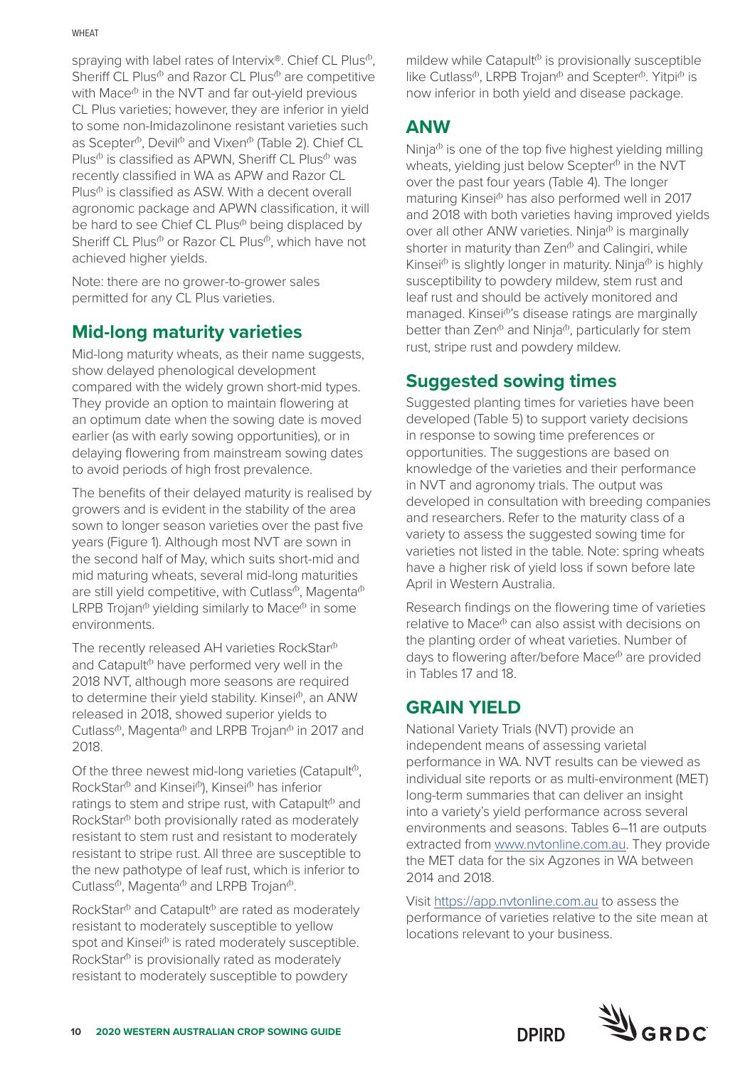#### **WHFAT**

spraying with label rates of Intervix®. Chief CL Plus<sup>®</sup>. Sheriff CL Plus $\Phi$  and Razor CL Plus $\Phi$  are competitive with Mace $\Phi$  in the NVT and far out-yield previous CL Plus varieties; however, they are inferior in yield to some non-Imidazolinone resistant varieties such as Scepter $\Phi$ , Devil $\Phi$  and Vixen $\Phi$  (Table 2). Chief CL Plus $\Phi$  is classified as APWN, Sheriff CL Plus $\Phi$  was recently classified in WA as APW and Razor CL  $Plus^{\phi}$  is classified as ASW. With a decent overall agronomic package and APWN classification, it will be hard to see Chief CL Plus<sup>®</sup> being displaced by Sheriff CL Plus $\Phi$  or Razor CL Plus $\Phi$ , which have not achieved higher yields.

Note: there are no grower-to-grower sales permitted for any CL Plus varieties.

## **Mid-long maturity varieties**

Mid-long maturity wheats, as their name suggests, show delayed phenological development compared with the widely grown short-mid types. They provide an option to maintain flowering at an optimum date when the sowing date is moved earlier (as with early sowing opportunities), or in delaying flowering from mainstream sowing dates to avoid periods of high frost prevalence.

The benefits of their delayed maturity is realised by growers and is evident in the stability of the area sown to longer season varieties over the past five years (Figure 1). Although most NVT are sown in the second half of May, which suits short-mid and mid maturing wheats, several mid-long maturities are still yield competitive, with Cutlass<sup> $\phi$ </sup>, Magenta $\Phi$ LRPB Trojan<sup> $\Phi$ </sup> yielding similarly to Mace $\Phi$  in some environments.

The recently released AH varieties RockStar $\Phi$ and Catapult $\Phi$  have performed very well in the 2018 NVT, although more seasons are required to determine their yield stability. Kinsei<sup>®</sup>, an ANW released in 2018, showed superior yields to Cutlass<sup> $\Phi$ </sup>, Magenta $\Phi$  and LRPB Trojan $\Phi$  in 2017 and 2018.

Of the three newest mid-long varieties (Catapult<sup> $\Phi$ </sup>, RockStar<sup>®</sup> and Kinsei®), Kinsei® has inferior ratings to stem and stripe rust, with Catapult $\phi$  and RockStar<sup>®</sup> both provisionally rated as moderately resistant to stem rust and resistant to moderately resistant to stripe rust. All three are susceptible to the new pathotype of leaf rust, which is inferior to Cutlass<sup> $\Phi$ </sup>, Magenta $\Phi$  and LRPB Trojan $\Phi$ .

RockStar $\Phi$  and Catapult $\Phi$  are rated as moderately resistant to moderately susceptible to yellow spot and Kinsei<sup>®</sup> is rated moderately susceptible. RockStar $\Phi$  is provisionally rated as moderately resistant to moderately susceptible to powdery

mildew while Catapult<sup> $\phi$ </sup> is provisionally susceptible like Cutlass<sup> $\Phi$ </sup>, LRPB Trojan $\Phi$  and Scepter $\Phi$ . Yitpi $\Phi$  is now inferior in both yield and disease package.

## **ANW**

Ninja $\Phi$  is one of the top five highest yielding milling wheats, yielding just below Scepter $\Phi$  in the NVT over the past four years (Table 4). The longer maturing Kinsei<sup>®</sup> has also performed well in 2017 and 2018 with both varieties having improved yields over all other ANW varieties. Ninja $\Phi$  is marginally shorter in maturity than  $\mathsf{Zen}^{\mathsf{b}}$  and Calingiri, while Kinsei $\Phi$  is slightly longer in maturity. Ninja $\Phi$  is highly susceptibility to powdery mildew, stem rust and leaf rust and should be actively monitored and managed. Kinsei<sup>(b'</sup>s disease ratings are marginally better than  $\mathsf{Zen}^{\mathsf{b}}$  and Ninja $^{\mathsf{b}}$ , particularly for stem rust, stripe rust and powdery mildew.

## **Suggested sowing times**

Suggested planting times for varieties have been developed (Table 5) to support variety decisions in response to sowing time preferences or opportunities. The suggestions are based on knowledge of the varieties and their performance in NVT and agronomy trials. The output was developed in consultation with breeding companies and researchers. Refer to the maturity class of a variety to assess the suggested sowing time for varieties not listed in the table. Note: spring wheats have a higher risk of yield loss if sown before late April in Western Australia.

Research findings on the flowering time of varieties relative to Mace<sup>®</sup> can also assist with decisions on the planting order of wheat varieties. Number of days to flowering after/before Mace $\Phi$  are provided in Tables 17 and 18.

## **GRAIN YIELD**

National Variety Trials (NVT) provide an independent means of assessing varietal performance in WA. NVT results can be viewed as individual site reports or as multi-environment (MET) long-term summaries that can deliver an insight into a variety's yield performance across several environments and seasons. Tables 6–11 are outputs extracted from [www.nvtonline.com.au.](http://www.nvtonline.com.au) They provide the MET data for the six Agzones in WA between 2014 and 2018.

Visit<https://app.nvtonline.com.au>to assess the performance of varieties relative to the site mean at locations relevant to your business.

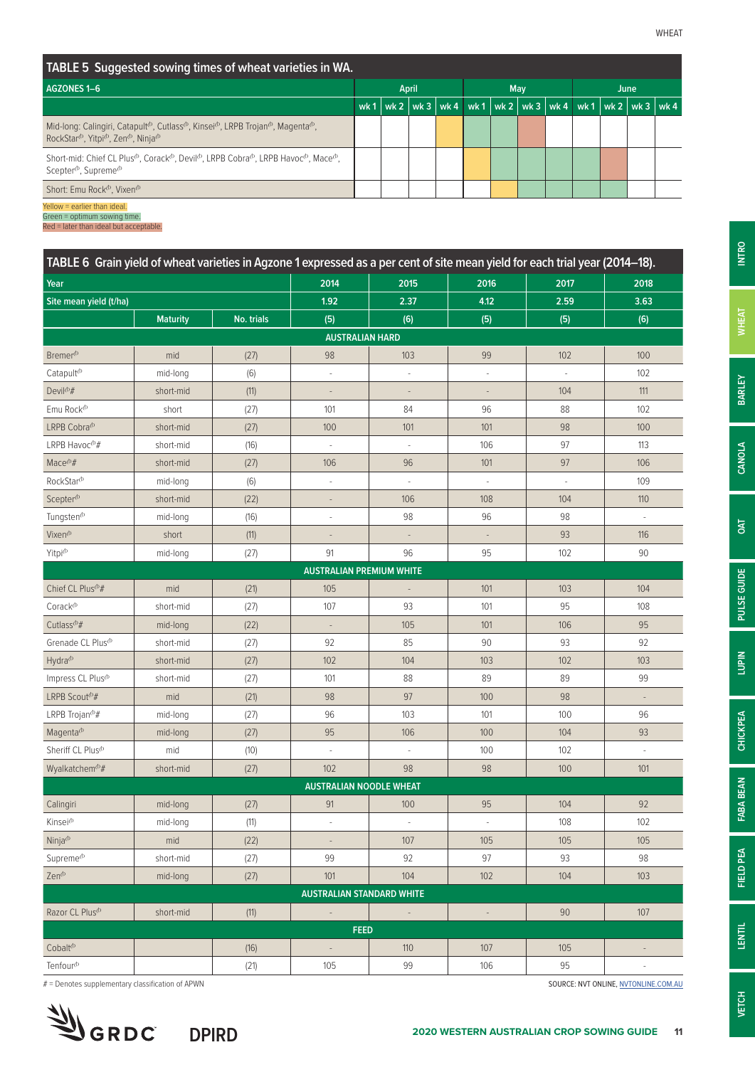**INTRO**

**BARLEY**

**CANOLA**

**OAT**

**PULSE GUIDE**

PULSE GUIDE

**LUPIN**

**CHICKPEA**

**CHICKPEA** 

**FABA BEAN**

FABA BEAN

**FIELD PEA**

FIELD PEA

**LENTIL**

| TABLE 5 Suggested sowing times of wheat varieties in WA.                                                                                                                                                                                     |                     |  |  |  |  |      |  |                                                                            |  |
|----------------------------------------------------------------------------------------------------------------------------------------------------------------------------------------------------------------------------------------------|---------------------|--|--|--|--|------|--|----------------------------------------------------------------------------|--|
| AGZONES 1-6                                                                                                                                                                                                                                  | April<br><b>May</b> |  |  |  |  | June |  |                                                                            |  |
|                                                                                                                                                                                                                                              | wk $1$              |  |  |  |  |      |  | wk 2   wk 3   wk 4   wk 1   wk 2   wk 3   wk 4   wk 1   wk 2   wk 3   wk 4 |  |
| Mid-long: Calingiri, Catapult <sup>(b</sup> , Cutlass <sup>(b</sup> , Kinsei <sup>(b</sup> , LRPB Trojan <sup>(b</sup> , Magenta <sup>(b</sup> ,<br>RockStar <sup>(b</sup> , Yitpi <sup>(b</sup> , Zen <sup>(b</sup> , Ninja <sup>(b</sup> ) |                     |  |  |  |  |      |  |                                                                            |  |
| Short-mid: Chief CL Plus <sup>(b</sup> , Corack <sup>(b</sup> , Devil <sup>(b</sup> , LRPB Cobra <sup>(b</sup> , LRPB Havoc <sup>(b</sup> , Mace <sup>(b</sup> ,<br>Scepter <sup>(b</sup> , Supreme <sup>(b</sup> )                          |                     |  |  |  |  |      |  |                                                                            |  |
| Short: Emu Rock <sup>®</sup> , Vixen <sup>®</sup>                                                                                                                                                                                            |                     |  |  |  |  |      |  |                                                                            |  |
| Yellow = earlier than ideal.                                                                                                                                                                                                                 |                     |  |  |  |  |      |  |                                                                            |  |

Green = optimum sowing time.

Red = later than ideal but acceptable.

| TABLE 6 Grain yield of wheat varieties in Agzone 1 expressed as a per cent of site mean yield for each trial year (2014–18). |                 |            |                                  |                          |                          |                          |                          |
|------------------------------------------------------------------------------------------------------------------------------|-----------------|------------|----------------------------------|--------------------------|--------------------------|--------------------------|--------------------------|
| Year                                                                                                                         |                 |            | 2014                             | 2015                     | 2016                     | 2017                     | 2018                     |
| Site mean yield (t/ha)                                                                                                       |                 |            | 1.92                             | 2.37                     | 4.12                     | 2.59                     | 3.63                     |
|                                                                                                                              | <b>Maturity</b> | No. trials | (5)                              | (6)                      | (5)                      | (5)                      | (6)                      |
|                                                                                                                              |                 |            | <b>AUSTRALIAN HARD</b>           |                          |                          |                          |                          |
| Bremer <sup>(b)</sup>                                                                                                        | mid             | (27)       | 98                               | 103                      | 99                       | 102                      | 100                      |
| Catapult <sup>(b)</sup>                                                                                                      | mid-long        | (6)        |                                  | ÷,                       |                          |                          | 102                      |
| Devil <sup><i>b#</i></sup>                                                                                                   | short-mid       | (11)       | $\overline{\phantom{a}}$         | $\overline{\phantom{a}}$ | $\overline{\phantom{a}}$ | 104                      | 111                      |
| Emu Rock <sup>(b</sup>                                                                                                       | short           | (27)       | 101                              | 84                       | 96                       | 88                       | 102                      |
| LRPB Cobra <sup>(b)</sup>                                                                                                    | short-mid       | (27)       | 100                              | 101                      | 101                      | 98                       | 100                      |
| LRPB Havoc <sup>(b</sup> #                                                                                                   | short-mid       | (16)       | ÷,                               | $\overline{\phantom{a}}$ | 106                      | 97                       | 113                      |
| Mace <sup>(b</sup> #                                                                                                         | short-mid       | (27)       | 106                              | 96                       | 101                      | 97                       | 106                      |
| RockStar <sup>(b</sup>                                                                                                       | mid-long        | (6)        | ÷,                               |                          |                          | $\overline{\phantom{a}}$ | 109                      |
| Scepter <sup>(b)</sup>                                                                                                       | short-mid       | (22)       | $\overline{\phantom{a}}$         | 106                      | 108                      | 104                      | 110                      |
| Tungsten <sup>(b</sup>                                                                                                       | mid-long        | (16)       | ä,                               | 98                       | 96                       | 98                       | $\overline{\phantom{a}}$ |
| Vixen <sup>(b</sup>                                                                                                          | short           | (11)       |                                  |                          |                          | 93                       | 116                      |
| Yitpi <sup>(b</sup>                                                                                                          | mid-long        | (27)       | 91                               | 96                       | 95                       | 102                      | 90                       |
|                                                                                                                              |                 |            | <b>AUSTRALIAN PREMIUM WHITE</b>  |                          |                          |                          |                          |
| Chief CL Plus <sup>(b</sup> #                                                                                                | mid             | (21)       | 105                              | $\overline{\phantom{a}}$ | 101                      | 103                      | 104                      |
| Corack <sup>(b)</sup>                                                                                                        | short-mid       | (27)       | 107                              | 93                       | 101                      | 95                       | 108                      |
| Cutlass <sup><i><sup>th</sup>#</i></sup>                                                                                     | mid-long        | (22)       |                                  | 105                      | 101                      | 106                      | 95                       |
| Grenade CL Plus <sup>®</sup>                                                                                                 | short-mid       | (27)       | 92                               | 85                       | 90                       | 93                       | 92                       |
| Hydra <sup>(b</sup>                                                                                                          | short-mid       | (27)       | 102                              | 104                      | 103                      | 102                      | 103                      |
| Impress CL Plus <sup>(b)</sup>                                                                                               | short-mid       | (27)       | 101                              | 88                       | 89                       | 89                       | 99                       |
| LRPB Scout <sup>(b</sup> #                                                                                                   | mid             | (21)       | 98                               | 97                       | 100                      | 98                       | $\overline{\phantom{a}}$ |
| LRPB Trojan <sup>®#</sup>                                                                                                    | mid-long        | (27)       | 96                               | 103                      | 101                      | 100                      | 96                       |
| Magenta <sup>(b)</sup>                                                                                                       | mid-long        | (27)       | 95                               | 106                      | 100                      | 104                      | 93                       |
| Sheriff CL Plus <sup>(b)</sup>                                                                                               | mid             | (10)       | J.                               | $\overline{\phantom{a}}$ | 100                      | 102                      | $\sim$                   |
| Wyalkatchem <sup>®#</sup>                                                                                                    | short-mid       | (27)       | 102                              | 98                       | 98                       | 100                      | 101                      |
|                                                                                                                              |                 |            | <b>AUSTRALIAN NOODLE WHEAT</b>   |                          |                          |                          |                          |
| Calingiri                                                                                                                    | mid-long        | (27)       | 91                               | 100                      | 95                       | 104                      | 92                       |
| Kinsei <sup>(b</sup>                                                                                                         | mid-long        | (11)       |                                  |                          |                          | 108                      | 102                      |
| Ninja <sup>(b</sup>                                                                                                          | mid             | (22)       | $\overline{\phantom{a}}$         | 107                      | 105                      | 105                      | 105                      |
| Supreme <sup>(b)</sup>                                                                                                       | short-mid       | (27)       | 99                               | 92                       | 97                       | 93                       | 98                       |
| Zen <sup><i>b</i></sup>                                                                                                      | mid-long        | (27)       | 101                              | 104                      | 102                      | 104                      | 103                      |
|                                                                                                                              |                 |            | <b>AUSTRALIAN STANDARD WHITE</b> |                          |                          |                          |                          |
| Razor CL Plus <sup>(b)</sup>                                                                                                 | short-mid       | (11)       | $\mathbb{Z}$                     |                          | $\overline{\phantom{a}}$ | 90                       | 107                      |
|                                                                                                                              |                 |            | <b>FEED</b>                      |                          |                          |                          |                          |
| Cobalt <sup>(b</sup>                                                                                                         |                 | (16)       | $\overline{\phantom{a}}$         | 110                      | 107                      | 105                      | $\overline{\phantom{a}}$ |
| Tenfour <sup>(b</sup>                                                                                                        |                 | (21)       | 105                              | 99                       | 106                      | $95\,$                   | $\sim$                   |

# = Denotes supplementary classification of APWN SOURCE: NVT ONLINE, [NVTONLINE.COM.AU](http://nvtonline.com.au) SOURCE: NVT ONLINE, NVTONLINE.COM.AU

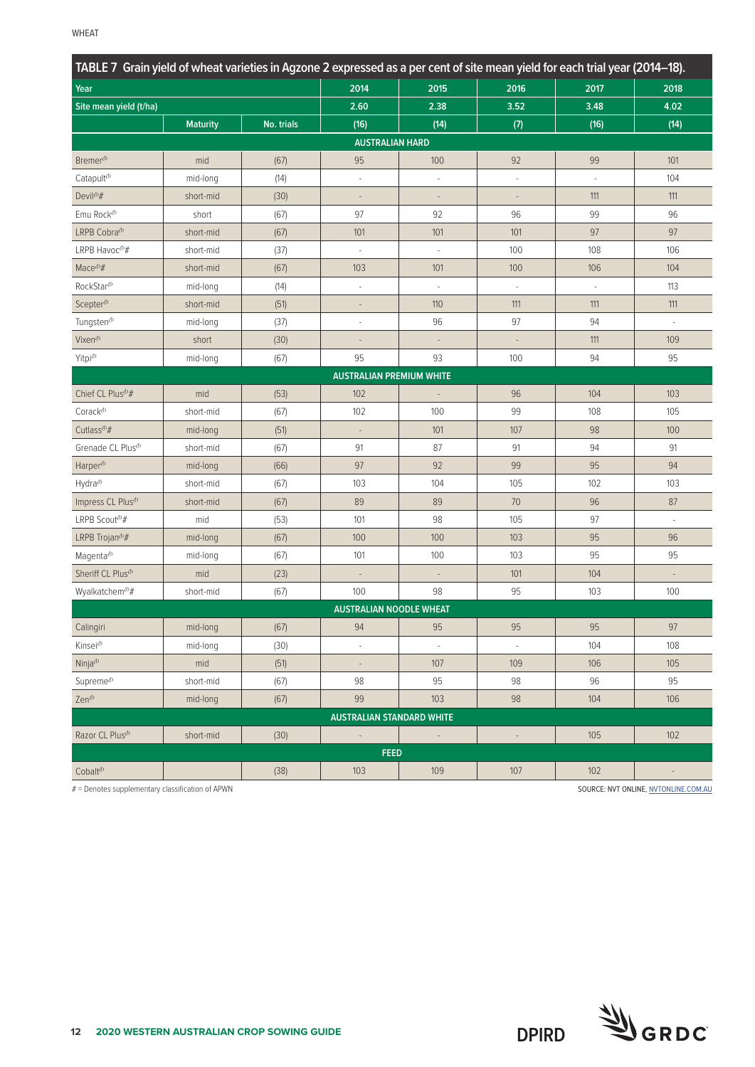| TABLE 7 Grain yield of wheat varieties in Agzone 2 expressed as a per cent of site mean yield for each trial year (2014–18). |                 |            |                                  |                          |                          |        |                                      |
|------------------------------------------------------------------------------------------------------------------------------|-----------------|------------|----------------------------------|--------------------------|--------------------------|--------|--------------------------------------|
| Year                                                                                                                         |                 |            | 2014                             | 2015                     | 2016                     | 2017   | 2018                                 |
| Site mean yield (t/ha)                                                                                                       |                 |            | 2.60                             | 2.38                     | 3.52                     | 3.48   | 4.02                                 |
|                                                                                                                              | <b>Maturity</b> | No. trials | (16)                             | (14)                     | (7)                      | (16)   | (14)                                 |
|                                                                                                                              |                 |            | <b>AUSTRALIAN HARD</b>           |                          |                          |        |                                      |
| Bremer <sup>(b)</sup>                                                                                                        | mid             | (67)       | 95                               | 100                      | 92                       | 99     | 101                                  |
| Catapult <sup>(b)</sup>                                                                                                      | mid-long        | (14)       | ä,                               | à.                       | ÷.                       | $\sim$ | 104                                  |
| Devil <sup><i>b#</i></sup>                                                                                                   | short-mid       | (30)       | $\frac{1}{2}$                    | $\overline{\phantom{a}}$ | $\overline{\phantom{a}}$ | 111    | 111                                  |
| Emu Rock <sup>(b</sup>                                                                                                       | short           | (67)       | 97                               | 92                       | 96                       | 99     | 96                                   |
| LRPB Cobra <sup>(b)</sup>                                                                                                    | short-mid       | (67)       | 101                              | 101                      | 101                      | 97     | 97                                   |
| LRPB Havoc $^{\textcircled{\#}}$                                                                                             | short-mid       | (37)       |                                  | $\sim$                   | 100                      | 108    | 106                                  |
| Mace <sup><math>opl</math>#</sup>                                                                                            | short-mid       | (67)       | 103                              | 101                      | 100                      | 106    | 104                                  |
| RockStar <sup>(b</sup>                                                                                                       | mid-long        | (14)       |                                  |                          |                          |        | 113                                  |
| Scepter <sup>(b)</sup>                                                                                                       | short-mid       | (51)       |                                  | 110                      | 111                      | 111    | 111                                  |
| Tungsten <sup>®</sup>                                                                                                        | mid-long        | (37)       | ÷,                               | 96                       | 97                       | 94     | $\bar{ }$                            |
| Vixen <sup>®</sup>                                                                                                           | short           | (30)       |                                  |                          |                          | 111    | 109                                  |
| Yitpi <sup>(b</sup>                                                                                                          | mid-long        | (67)       | 95                               | 93                       | 100                      | 94     | 95                                   |
|                                                                                                                              |                 |            | <b>AUSTRALIAN PREMIUM WHITE</b>  |                          |                          |        |                                      |
| Chief CL Plus <sup>(b</sup> #                                                                                                | mid             | (53)       | 102                              |                          | 96                       | 104    | 103                                  |
| $\mathsf{C}$ orack $\Phi$                                                                                                    | short-mid       | (67)       | 102                              | 100                      | 99                       | 108    | 105                                  |
| Cutlass <sup>®#</sup>                                                                                                        | mid-long        | (51)       |                                  | 101                      | 107                      | 98     | 100                                  |
| Grenade CL Plus <sup>(b</sup>                                                                                                | short-mid       | (67)       | 91                               | 87                       | 91                       | 94     | 91                                   |
| Harper <sup>(b</sup>                                                                                                         | mid-long        | (66)       | 97                               | 92                       | 99                       | 95     | 94                                   |
| Hydra <sup>(b</sup>                                                                                                          | short-mid       | (67)       | 103                              | 104                      | 105                      | 102    | 103                                  |
| Impress CL Plus <sup>(b)</sup>                                                                                               | short-mid       | (67)       | 89                               | 89                       | 70                       | 96     | 87                                   |
| LRPB Scout <sup>®#</sup>                                                                                                     | mid             | (53)       | 101                              | 98                       | 105                      | 97     | $\bar{ }$                            |
| LRPB Trojan <sup>(b</sup> #                                                                                                  | mid-long        | (67)       | 100                              | 100                      | 103                      | 95     | 96                                   |
| Magenta <sup>(b)</sup>                                                                                                       | mid-long        | (67)       | 101                              | 100                      | 103                      | 95     | 95                                   |
| Sheriff CL Plus <sup>(b)</sup>                                                                                               | mid             | (23)       | $\overline{\phantom{a}}$         | $\overline{\phantom{a}}$ | 101                      | 104    | $\overline{\phantom{a}}$             |
| Wyalkatchem <sup>®#</sup>                                                                                                    | short-mid       | (67)       | 100                              | 98                       | 95                       | 103    | 100                                  |
|                                                                                                                              |                 |            | <b>AUSTRALIAN NOODLE WHEAT</b>   |                          |                          |        |                                      |
| Calingiri                                                                                                                    | mid-long        | (67)       | 94                               | 95                       | 95                       | 95     | 97                                   |
| Kinsei <sup>(b</sup>                                                                                                         | mid-long        | (30)       |                                  |                          |                          | 104    | 108                                  |
| Ninja <sup><i>b</i></sup>                                                                                                    | mid             | (51)       |                                  | 107                      | 109                      | 106    | 105                                  |
| Supreme <sup>(b)</sup>                                                                                                       | short-mid       | (67)       | 98                               | 95                       | 98                       | 96     | 95                                   |
| Zen <sup>(b</sup>                                                                                                            | mid-long        | (67)       | 99                               | 103                      | 98                       | 104    | 106                                  |
|                                                                                                                              |                 |            | <b>AUSTRALIAN STANDARD WHITE</b> |                          |                          |        |                                      |
| Razor CL Plus <sup>(b)</sup>                                                                                                 | short-mid       | (30)       | $\overline{\phantom{a}}$         |                          | $\overline{\phantom{a}}$ | 105    | 102                                  |
|                                                                                                                              |                 |            | <b>FEED</b>                      |                          |                          |        |                                      |
| Cobalt <sup>®</sup>                                                                                                          |                 | (38)       | 103                              | 109                      | 107                      | 102    |                                      |
| # = Denotes supplementary classification of APWN                                                                             |                 |            |                                  |                          |                          |        | SOURCE: NVT ONLINE, NVTONLINE.COM.AU |

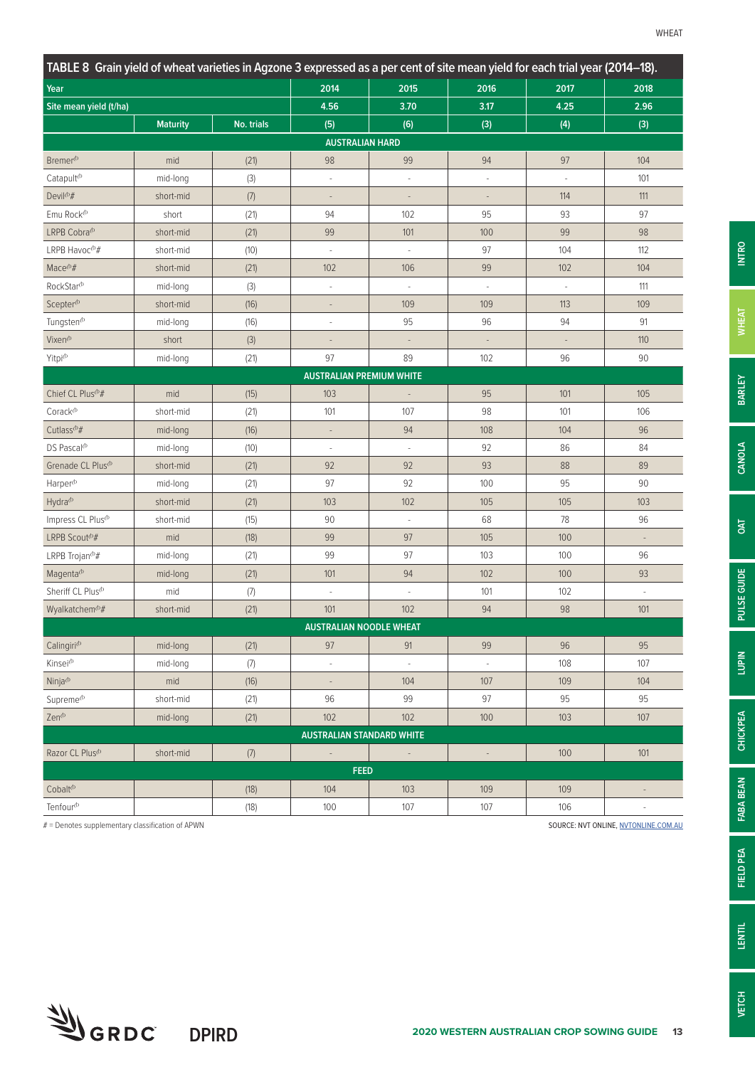| TABLE 8 Grain yield of wheat varieties in Agzone 3 expressed as a per cent of site mean yield for each trial year (2014–18). |                 |            |                                  |                          |                              |                          |                              |
|------------------------------------------------------------------------------------------------------------------------------|-----------------|------------|----------------------------------|--------------------------|------------------------------|--------------------------|------------------------------|
| Year                                                                                                                         |                 |            | 2014                             | 2015                     | 2016                         | 2017                     | 2018                         |
| Site mean yield (t/ha)                                                                                                       |                 |            | 4.56                             | 3.70                     | 3.17                         | 4.25                     | 2.96                         |
|                                                                                                                              | <b>Maturity</b> | No. trials | (5)                              | (6)                      | (3)                          | (4)                      | (3)                          |
|                                                                                                                              |                 |            | <b>AUSTRALIAN HARD</b>           |                          |                              |                          |                              |
| Bremer <sup>(b)</sup>                                                                                                        | mid             | (21)       | 98                               | 99                       | 94                           | 97                       | 104                          |
| Catapult <sup>(b)</sup>                                                                                                      | mid-long        | (3)        | J.                               | ÷,                       |                              | ÷,                       | 101                          |
| Devil <sup><i>b#</i></sup>                                                                                                   | short-mid       | (7)        | $\overline{a}$                   |                          |                              | 114                      | 111                          |
| Emu Rock <sup>(b</sup>                                                                                                       | short           | (21)       | 94                               | 102                      | 95                           | 93                       | 97                           |
| LRPB Cobra <sup>(b</sup>                                                                                                     | short-mid       | (21)       | 99                               | 101                      | 100                          | 99                       | 98                           |
| LRPB Havoc <sup>(b</sup> #                                                                                                   | short-mid       | (10)       | J.                               | ÷,                       | 97                           | 104                      | 112                          |
| Mace <sup>(b</sup> #                                                                                                         | short-mid       | (21)       | 102                              | 106                      | 99                           | 102                      | 104                          |
| RockStar <sup>(b</sup>                                                                                                       | mid-long        | (3)        | $\overline{\phantom{a}}$         | $\overline{\phantom{a}}$ | $\overline{\phantom{a}}$     | $\overline{\phantom{a}}$ | 111                          |
| Scepter <sup>(b)</sup>                                                                                                       | short-mid       | (16)       | L,                               | 109                      | 109                          | 113                      | 109                          |
| Tungsten <sup>(b)</sup>                                                                                                      | mid-long        | (16)       | í,                               | 95                       | 96                           | 94                       | 91                           |
| Vixen <sup>(b</sup>                                                                                                          | short           | (3)        | $\overline{\phantom{a}}$         | $\overline{\phantom{a}}$ |                              | $\overline{\phantom{a}}$ | 110                          |
| Yitpi <sup>(b</sup>                                                                                                          | mid-long        | (21)       | 97                               | 89                       | 102                          | 96                       | 90                           |
|                                                                                                                              |                 |            | <b>AUSTRALIAN PREMIUM WHITE</b>  |                          |                              |                          |                              |
| Chief CL Plus <sup>(b</sup> #                                                                                                | mid             | (15)       | 103                              | $\overline{\phantom{a}}$ | 95                           | 101                      | 105                          |
| Corack <sup>(b)</sup>                                                                                                        | short-mid       | (21)       | 101                              | 107                      | 98                           | 101                      | 106                          |
| Cutlass <sup><i><sup>th</sup>#</i></sup>                                                                                     | mid-long        | (16)       | $\overline{\phantom{a}}$         | 94                       | 108                          | 104                      | 96                           |
| DS Pascal <sup>(b)</sup>                                                                                                     | mid-long        | (10)       | ÷,                               |                          | 92                           | 86                       | 84                           |
| Grenade CL Plus <sup>(b)</sup>                                                                                               | short-mid       | (21)       | 92                               | 92                       | 93                           | 88                       | 89                           |
| Harper <sup>®</sup>                                                                                                          | mid-long        | (21)       | 97                               | 92                       | 100                          | 95                       | 90                           |
| Hydra <sup>(b</sup>                                                                                                          | short-mid       | (21)       | 103                              | 102                      | 105                          | 105                      | 103                          |
| Impress CL Plus <sup>(b)</sup>                                                                                               | short-mid       | (15)       | 90                               |                          | 68                           | 78                       | 96                           |
| LRPB Scout <sup>(b</sup> #                                                                                                   | mid             | (18)       | 99                               | 97                       | 105                          | 100                      | $\overline{\phantom{a}}$     |
| LRPB Trojan $\Phi$ #                                                                                                         | mid-long        | (21)       | 99                               | 97                       | 103                          | 100                      | 96                           |
| Magenta <sup>(b)</sup>                                                                                                       | mid-long        | (21)       | 101                              | 94                       | 102                          | 100                      | 93                           |
| Sheriff CL Plus <sup>(b)</sup>                                                                                               | mid             | (7)        | $\overline{\phantom{a}}$         | ÷,                       | 101                          | 102                      | $\overline{\phantom{a}}$     |
| Wyalkatchem <sup>®#</sup>                                                                                                    | short-mid       | (21)       | 101                              | 102                      | 94                           | 98                       | 101                          |
|                                                                                                                              |                 |            | <b>AUSTRALIAN NOODLE WHEAT</b>   |                          |                              |                          |                              |
| Calingiri <sup>(b</sup>                                                                                                      | mid-long        | (21)       | 97                               | 91                       | 99                           | 96                       | 95                           |
| Kinsei <sup>(b</sup>                                                                                                         | mid-long        | $(7)$      |                                  |                          |                              | 108                      | 107                          |
| Ninja <sup><i>b</i></sup>                                                                                                    | mid             | (16)       | $\overline{\phantom{a}}$         | 104                      | 107                          | 109                      | 104                          |
| Supreme <sup>(b)</sup>                                                                                                       | short-mid       | (21)       | 96                               | 99                       | 97                           | 95                       | 95                           |
| Zen <sup>(b</sup>                                                                                                            | mid-long        | (21)       | 102                              | 102                      | 100                          | 103                      | 107                          |
|                                                                                                                              |                 |            | <b>AUSTRALIAN STANDARD WHITE</b> |                          |                              |                          |                              |
| Razor CL Plus <sup>(b)</sup>                                                                                                 | short-mid       | $(7)$      | $\overline{\phantom{a}}$         |                          | $\qquad \qquad \blacksquare$ | 100                      | 101                          |
|                                                                                                                              |                 |            | <b>FEED</b>                      |                          |                              |                          |                              |
| Cobalt <sup>(b)</sup>                                                                                                        |                 | (18)       | 104                              | 103                      | 109                          | 109                      | $\qquad \qquad \blacksquare$ |
| Tenfour <sup>(b</sup>                                                                                                        |                 | (18)       | 100                              | 107                      | 107                          | 106                      | $\overline{\phantom{a}}$     |

# = Denotes supplementary classification of APWN SOURCE: NVT ONLINE, [NVTONLINE.COM.AU](http://nvtonline.com.au)

**UGRDC** DPIRD

**INTRO**

**BARLEY**

**CANOLA**

**OAT**

**PULSE GUIDE**

PULSE GUIDE

**LUPIN**

**CHICKPEA**

**CHICKPEA** 

**FABA BEAN**

FABA BEAN

**FIELD PEA**

FIELD PEA

**LENTIL**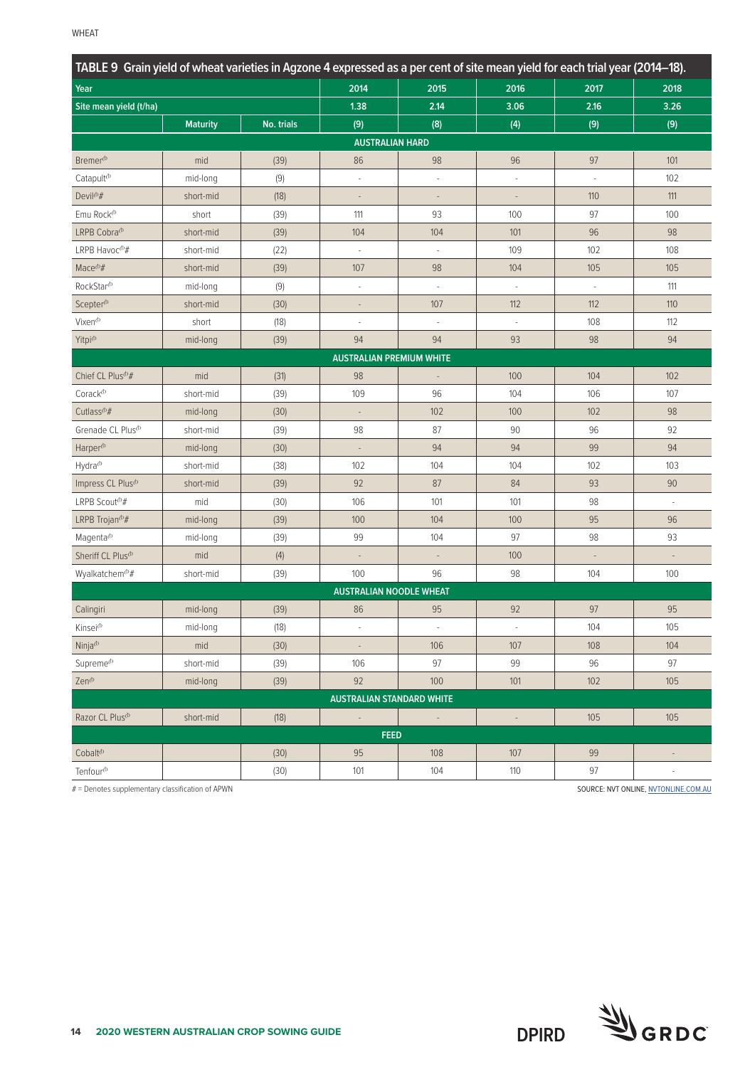| TABLE 9 Grain yield of wheat varieties in Agzone 4 expressed as a per cent of site mean yield for each trial year (2014–18). |                 |            |                                  |                          |                          |                          |                          |  |  |  |
|------------------------------------------------------------------------------------------------------------------------------|-----------------|------------|----------------------------------|--------------------------|--------------------------|--------------------------|--------------------------|--|--|--|
| Year                                                                                                                         |                 |            | 2014                             | 2015                     | 2016                     | 2017                     | 2018                     |  |  |  |
| Site mean yield (t/ha)                                                                                                       |                 |            | 1.38                             | 2.14                     | 3.06                     | 2.16                     | 3.26                     |  |  |  |
|                                                                                                                              | <b>Maturity</b> | No. trials | (9)                              | (8)                      | (4)                      | (9)                      | (9)                      |  |  |  |
|                                                                                                                              |                 |            | <b>AUSTRALIAN HARD</b>           |                          |                          |                          |                          |  |  |  |
| Bremer <sup>(b</sup>                                                                                                         | mid             | (39)       | 86                               | 98                       | 96                       | 97                       | 101                      |  |  |  |
| Catapult <sup>(b</sup>                                                                                                       | mid-long        | (9)        | ÷,                               | $\overline{\phantom{a}}$ | $\overline{\phantom{a}}$ | $\overline{\phantom{a}}$ | 102                      |  |  |  |
| Devil <sup>(b</sup> #                                                                                                        | short-mid       | (18)       | $\overline{a}$                   | $\overline{\phantom{a}}$ |                          | 110                      | 111                      |  |  |  |
| Emu Rock <sup>®</sup>                                                                                                        | short           | (39)       | 111                              | 93                       | 100                      | 97                       | 100                      |  |  |  |
| LRPB Cobra <sup>(b</sup>                                                                                                     | short-mid       | (39)       | 104                              | 104                      | 101                      | 96                       | 98                       |  |  |  |
| LRPB Havoc $^{\text{th}}\#$                                                                                                  | short-mid       | (22)       |                                  |                          | 109                      | 102                      | 108                      |  |  |  |
| $Mace^{p}#$                                                                                                                  | short-mid       | (39)       | 107                              | 98                       | 104                      | 105                      | 105                      |  |  |  |
| RockStar <sup>(b</sup>                                                                                                       | mid-long        | (9)        | ×,                               | ł,                       | ×,                       | $\overline{\phantom{a}}$ | 111                      |  |  |  |
| Scepter <sup>(b)</sup>                                                                                                       | short-mid       | (30)       |                                  | 107                      | 112                      | 112                      | 110                      |  |  |  |
| Vixen <sup>®</sup>                                                                                                           | short           | (18)       | $\sim$                           | ÷,                       |                          | 108                      | 112                      |  |  |  |
| Yitpi <sup><i>b</i></sup>                                                                                                    | mid-long        | (39)       | 94                               | 94                       | 93                       | 98                       | 94                       |  |  |  |
|                                                                                                                              |                 |            | <b>AUSTRALIAN PREMIUM WHITE</b>  |                          |                          |                          |                          |  |  |  |
| Chief CL Plus <sup>(b</sup> #                                                                                                | mid             | (31)       | 98                               | $\overline{\phantom{a}}$ | 100                      | 104                      | 102                      |  |  |  |
| $\text{Corack}^{\oplus}$                                                                                                     | short-mid       | (39)       | 109                              | 96                       | 104                      | 106                      | 107                      |  |  |  |
| Cutlass <sup><i><sup>b#</sup></i></sup>                                                                                      | mid-long        | (30)       |                                  | 102                      | 100                      | 102                      | 98                       |  |  |  |
| Grenade CL Plus <sup>(b</sup>                                                                                                | short-mid       | (39)       | 98                               | 87                       | 90                       | 96                       | 92                       |  |  |  |
| Harper <sup>(b</sup>                                                                                                         | mid-long        | (30)       |                                  | 94                       | 94                       | 99                       | 94                       |  |  |  |
| Hydra <sup>(b</sup>                                                                                                          | short-mid       | (38)       | 102                              | 104                      | 104                      | 102                      | 103                      |  |  |  |
| Impress CL Plus <sup>(b)</sup>                                                                                               | short-mid       | (39)       | 92                               | 87                       | 84                       | 93                       | 90                       |  |  |  |
| LRPB Scout <sup>®#</sup>                                                                                                     | mid             | (30)       | 106                              | 101                      | 101                      | 98                       | $\overline{\phantom{a}}$ |  |  |  |
| LRPB Trojan <sup>(b</sup> #                                                                                                  | mid-long        | (39)       | 100                              | 104                      | 100                      | 95                       | 96                       |  |  |  |
| Magenta <sup>(b)</sup>                                                                                                       | mid-long        | (39)       | 99                               | 104                      | 97                       | 98                       | 93                       |  |  |  |
| Sheriff CL Plus <sup>(b)</sup>                                                                                               | mid             | (4)        | $\overline{a}$                   | $\overline{a}$           | 100                      | $\overline{\phantom{a}}$ | $\overline{a}$           |  |  |  |
| Wyalkatchem <sup>®#</sup>                                                                                                    | short-mid       | (39)       | 100                              | 96                       | 98                       | 104                      | 100                      |  |  |  |
|                                                                                                                              |                 |            | <b>AUSTRALIAN NOODLE WHEAT</b>   |                          |                          |                          |                          |  |  |  |
| Calingiri                                                                                                                    | mid-long        | (39)       | 86                               | 95                       | 92                       | 97                       | 95                       |  |  |  |
| Kinsei <sup>(b</sup>                                                                                                         | mid-long        | (18)       | $\overline{\phantom{a}}$         | $\overline{\phantom{a}}$ | $\overline{\phantom{a}}$ | 104                      | 105                      |  |  |  |
| Ninja <sup><i>(b</i>)</sup>                                                                                                  | mid             | (30)       | $\overline{\phantom{a}}$         | 106                      | 107                      | 108                      | 104                      |  |  |  |
| Supreme <sup>(b)</sup>                                                                                                       | short-mid       | (39)       | 106                              | 97                       | 99                       | 96                       | 97                       |  |  |  |
| $\mathsf{Zen}^\Phi$                                                                                                          | mid-long        | (39)       | 92                               | 100                      | $101$                    | 102                      | 105                      |  |  |  |
|                                                                                                                              |                 |            | <b>AUSTRALIAN STANDARD WHITE</b> |                          |                          |                          |                          |  |  |  |
| Razor CL Plus <sup>(b)</sup>                                                                                                 | short-mid       | (18)       | $\overline{\phantom{a}}$         | $\sim$                   | $\overline{\phantom{a}}$ | 105                      | 105                      |  |  |  |
|                                                                                                                              |                 |            | <b>FEED</b>                      |                          |                          |                          |                          |  |  |  |
| Cobalt <sup>(b</sup>                                                                                                         |                 | (30)       | 95                               | 108                      | 107                      | 99                       | $\overline{\phantom{a}}$ |  |  |  |
| Tenfour <sup>(b</sup>                                                                                                        |                 | (30)       | 101                              | 104                      | 110                      | 97                       | $\overline{\phantom{a}}$ |  |  |  |

# = Denotes supplementary classification of APWN SOURCE: NVT ONLINE, [NVTONLINE.COM.AU](http://nvtonline.com.au)

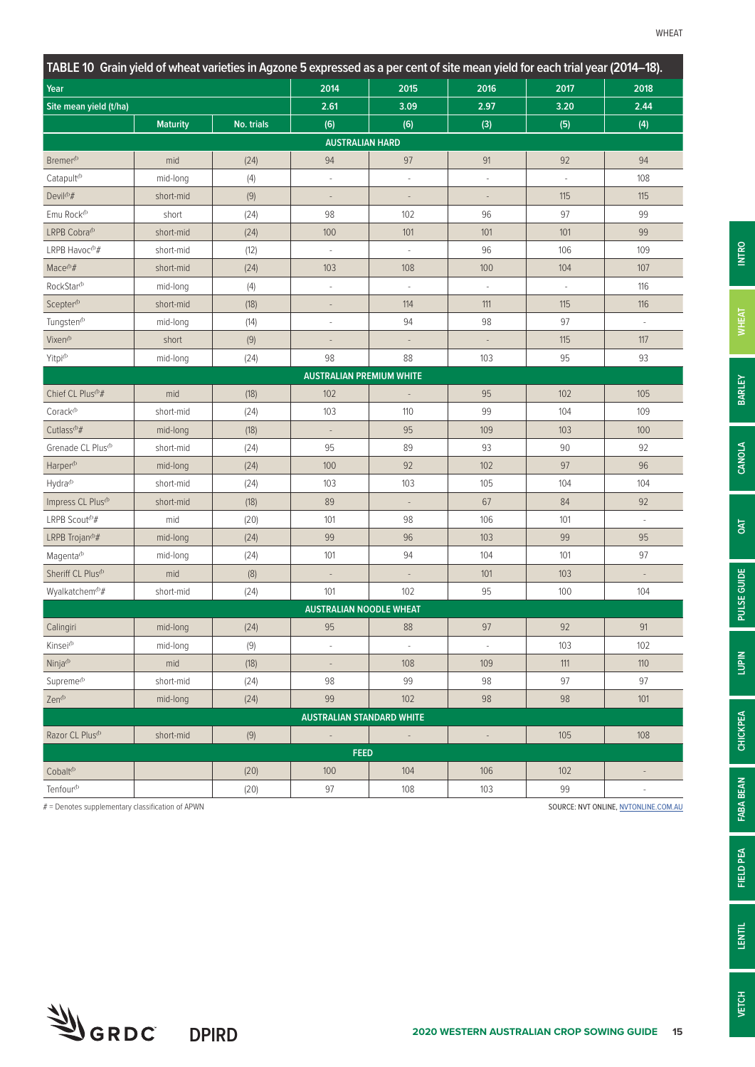| TABLE 10 Grain yield of wheat varieties in Agzone 5 expressed as a per cent of site mean yield for each trial year (2014–18).                                                                                                                                                                     |                 |            |                          |                          |                          |                          |                          |
|---------------------------------------------------------------------------------------------------------------------------------------------------------------------------------------------------------------------------------------------------------------------------------------------------|-----------------|------------|--------------------------|--------------------------|--------------------------|--------------------------|--------------------------|
| Year                                                                                                                                                                                                                                                                                              |                 |            | 2014                     | 2015                     | 2016                     | 2017                     | 2018                     |
| Site mean yield (t/ha)                                                                                                                                                                                                                                                                            |                 |            | 2.61                     | 3.09                     | 2.97                     | 3.20                     | 2.44                     |
|                                                                                                                                                                                                                                                                                                   | <b>Maturity</b> | No. trials | (6)                      | (6)                      | (3)                      | (5)                      | (4)                      |
|                                                                                                                                                                                                                                                                                                   |                 |            |                          |                          |                          |                          |                          |
| Bremer <sup>(b)</sup>                                                                                                                                                                                                                                                                             | mid             | (24)       | 94                       | 97                       | 91                       | 92                       | 94                       |
| Catapult <sup>(b)</sup>                                                                                                                                                                                                                                                                           | mid-long        | (4)        | ÷,                       | ÷,                       | $\sim$                   | L.                       | 108                      |
| Devil <sup>(b</sup> #                                                                                                                                                                                                                                                                             | short-mid       | (9)        | $\overline{\phantom{a}}$ | $\overline{\phantom{a}}$ | $\overline{\phantom{a}}$ | 115                      | 115                      |
| Emu Rock <sup>(b</sup>                                                                                                                                                                                                                                                                            | short           | (24)       | 98                       | 102                      | 96                       | 97                       | 99                       |
| LRPB Cobra <sup>db</sup>                                                                                                                                                                                                                                                                          | short-mid       | (24)       | 100                      | 101                      | 101                      | 101                      | 99                       |
| LRPB Havoc <sup>®#</sup>                                                                                                                                                                                                                                                                          | short-mid       | (12)       |                          | ÷,                       | 96                       | 106                      | 109                      |
| Mace <sup>(b</sup> #                                                                                                                                                                                                                                                                              | short-mid       | (24)       | 103                      | 108                      | 100                      | 104                      | 107                      |
| RockStar <sup>(b</sup>                                                                                                                                                                                                                                                                            | mid-long        | (4)        | ÷,                       | ł,                       | ÷,                       | $\overline{\phantom{a}}$ | 116                      |
| Scepter <sup>(b)</sup>                                                                                                                                                                                                                                                                            | short-mid       | (18)       |                          | 114                      | 111                      | 115                      | 116                      |
| Tungsten <sup>(b)</sup>                                                                                                                                                                                                                                                                           | mid-long        | (14)       |                          | 94                       | 98                       | 97                       | $\overline{\phantom{a}}$ |
| Vixen <sup>(b</sup>                                                                                                                                                                                                                                                                               | short           | (9)        |                          | $\overline{\phantom{a}}$ | $\overline{\phantom{a}}$ | 115                      | 117                      |
| Yitpi <sup>(b</sup>                                                                                                                                                                                                                                                                               | mid-long        | (24)       | 98                       | 88                       | 103                      | 95                       | 93                       |
|                                                                                                                                                                                                                                                                                                   |                 |            |                          |                          |                          |                          |                          |
| Chief CL Plus <sup>(b</sup> #                                                                                                                                                                                                                                                                     | mid             | (18)       | 102                      | $\overline{\phantom{a}}$ | 95                       | 102                      | 105                      |
| Corack <sup>(b)</sup>                                                                                                                                                                                                                                                                             | short-mid       | (24)       | 103                      | 110                      | 99                       | 104                      | 109                      |
| Cutlass <sup>(b#</sup>                                                                                                                                                                                                                                                                            | mid-long        | (18)       |                          | 95                       | 109                      | 103                      | 100                      |
| Grenade CL Plus <sup>(b)</sup>                                                                                                                                                                                                                                                                    | short-mid       | (24)       | 95                       | 89                       | 93                       | $90\,$                   | 92                       |
| Harper <sup>(b</sup>                                                                                                                                                                                                                                                                              | mid-long        | (24)       | 100                      | 92                       | 102                      | 97                       | 96                       |
| Hydra <sup>(b</sup>                                                                                                                                                                                                                                                                               | short-mid       | (24)       | 103                      | 103                      | 105                      | 104                      | 104                      |
| Impress CL Plus <sup>(b)</sup>                                                                                                                                                                                                                                                                    | short-mid       | (18)       | 89                       | $\blacksquare$           | 67                       | 84                       | 92                       |
| LRPB Scout <sup>(b</sup> #                                                                                                                                                                                                                                                                        | mid             | (20)       | 101                      | 98                       | 106                      | 101                      | $\overline{\phantom{a}}$ |
| LRPB Trojan <sup>(b</sup> #                                                                                                                                                                                                                                                                       | mid-long        | (24)       | 99                       | 96                       | 103                      | 99                       | 95                       |
| Magenta <sup>(b)</sup>                                                                                                                                                                                                                                                                            | mid-long        | (24)       | 101                      | 94                       | 104                      | 101                      | 97                       |
| Sheriff CL Plus <sup>(b)</sup>                                                                                                                                                                                                                                                                    | mid             | $(8)$      |                          | $\overline{\phantom{a}}$ | 101                      | 103                      | ÷,                       |
| Wyalkatchem <sup>®#</sup>                                                                                                                                                                                                                                                                         | short-mid       | (24)       | 101                      | 102                      | 95                       | 100                      | 104                      |
|                                                                                                                                                                                                                                                                                                   |                 |            |                          |                          |                          |                          |                          |
| Calingiri                                                                                                                                                                                                                                                                                         | mid-long        | (24)       | 95                       | 88                       | 97                       | 92                       | 91                       |
| Kinsei <sup>(b</sup>                                                                                                                                                                                                                                                                              | mid-long        | (9)        | à.                       | $\Box$                   | $\overline{\phantom{a}}$ | 103                      | 102                      |
| Ninja <sup><i>b</i></sup>                                                                                                                                                                                                                                                                         | mid             | (18)       |                          | 108                      | 109                      | 111                      | 110                      |
| Supreme <sup>(b)</sup>                                                                                                                                                                                                                                                                            | short-mid       | (24)       | 98                       | 99                       | 98                       | $97\,$                   | 97                       |
| Zen <sup>(b</sup>                                                                                                                                                                                                                                                                                 | mid-long        | (24)       | 99                       | 102                      | 98                       | 98                       | 101                      |
|                                                                                                                                                                                                                                                                                                   |                 |            |                          |                          |                          |                          |                          |
| Razor CL Plus <sup>(b)</sup>                                                                                                                                                                                                                                                                      | short-mid       | (9)        | $\overline{\phantom{a}}$ | $\sim$                   | $\overline{\phantom{a}}$ | 105                      | 108                      |
|                                                                                                                                                                                                                                                                                                   |                 |            |                          |                          |                          |                          |                          |
| <b>AUSTRALIAN HARD</b><br><b>AUSTRALIAN PREMIUM WHITE</b><br><b>AUSTRALIAN NOODLE WHEAT</b><br><b>AUSTRALIAN STANDARD WHITE</b><br><b>FEED</b><br>Cobalt <sup>(b</sup><br>102<br>100<br>104<br>106<br>(20)<br>Tenfour <sup>(b</sup><br>97<br>103<br>99<br>(20)<br>108<br>$\overline{\phantom{a}}$ |                 |            |                          |                          |                          |                          |                          |
|                                                                                                                                                                                                                                                                                                   |                 |            |                          |                          |                          |                          |                          |

# = Denotes supplementary classification of APWN SOURCE: NVT ONLINE, [NVTONLINE.COM.AU](http://nvtonline.com.au) SOURCE: NVT ONLINE, NVTONLINE.COM.AU

**UGRDC** DPIRD



**INTRO**

**PULSE GUIDE**

**CHICKPEA**

**CHICKPEA**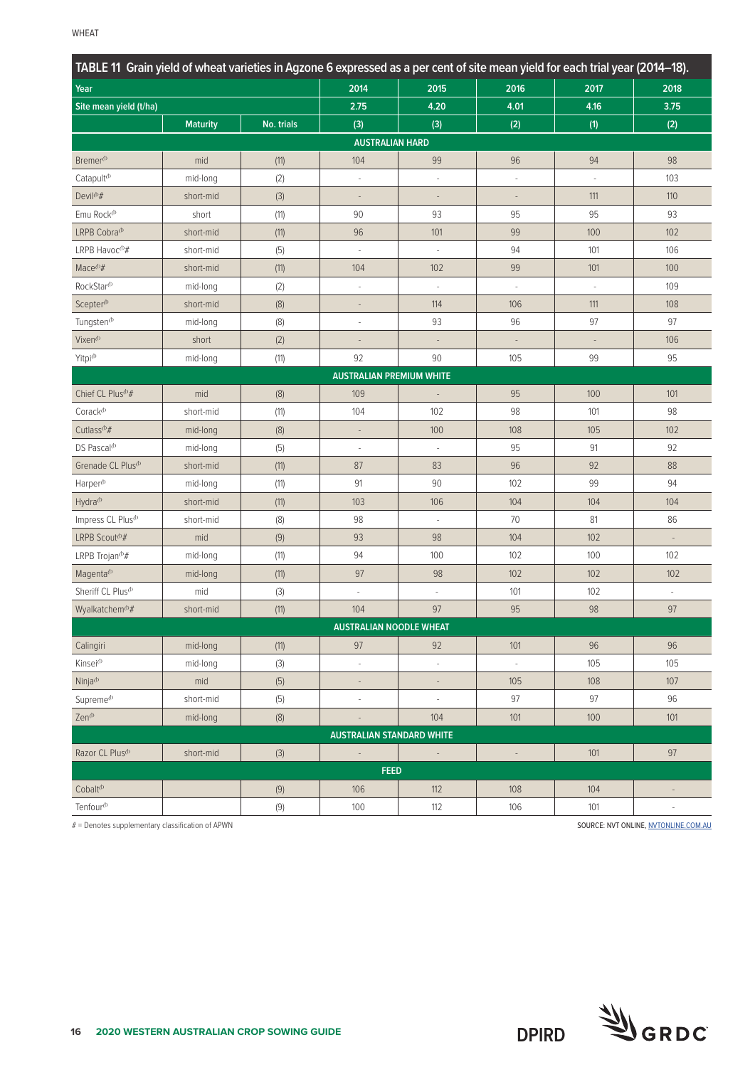|                                         | TABLE 11 Grain yield of wheat varieties in Agzone 6 expressed as a per cent of site mean yield for each trial year (2014–18). |            |                                  |                          |        |      |      |  |  |  |  |
|-----------------------------------------|-------------------------------------------------------------------------------------------------------------------------------|------------|----------------------------------|--------------------------|--------|------|------|--|--|--|--|
| Year                                    |                                                                                                                               |            | 2014                             | 2015                     | 2016   | 2017 | 2018 |  |  |  |  |
| Site mean yield (t/ha)                  |                                                                                                                               |            | 2.75                             | 4.20                     | 4.01   | 4.16 | 3.75 |  |  |  |  |
|                                         | <b>Maturity</b>                                                                                                               | No. trials | (3)                              | (3)                      | (2)    | (1)  | (2)  |  |  |  |  |
|                                         |                                                                                                                               |            | <b>AUSTRALIAN HARD</b>           |                          |        |      |      |  |  |  |  |
| Bremer <sup>(b</sup>                    | mid                                                                                                                           | (11)       | 104                              | 99                       | 96     | 94   | 98   |  |  |  |  |
| Catapult <sup>(b</sup>                  | mid-long                                                                                                                      | (2)        | ÷,                               | ÷,                       | ×,     | ÷,   | 103  |  |  |  |  |
| Devil <sup>(b</sup> #                   | short-mid                                                                                                                     | (3)        | $\frac{1}{2}$                    | $\overline{\phantom{a}}$ |        | 111  | 110  |  |  |  |  |
| Emu Rock <sup>(b</sup>                  | short                                                                                                                         | (11)       | 90                               | 93                       | 95     | 95   | 93   |  |  |  |  |
| LRPB Cobra <sup>(b)</sup>               | short-mid                                                                                                                     | (11)       | 96                               | 101                      | 99     | 100  | 102  |  |  |  |  |
| LRPB Havoc $^{\text{th}}\#$             | short-mid                                                                                                                     | (5)        | ÷,                               | ÷                        | 94     | 101  | 106  |  |  |  |  |
| Mace <sup><math>opl</math>#</sup>       | short-mid                                                                                                                     | (11)       | 104                              | 102                      | 99     | 101  | 100  |  |  |  |  |
| RockStar <sup>(b</sup>                  | mid-long                                                                                                                      | (2)        | ÷,                               | $\overline{\phantom{a}}$ |        | L.   | 109  |  |  |  |  |
| Scepter <sup>(b)</sup>                  | short-mid                                                                                                                     | (8)        |                                  | 114                      | 106    | 111  | 108  |  |  |  |  |
| Tungsten <sup>®</sup>                   | mid-long                                                                                                                      | (8)        | ÷,                               | 93                       | 96     | 97   | 97   |  |  |  |  |
| Vixen <sup>(b</sup>                     | short                                                                                                                         | (2)        |                                  |                          |        |      | 106  |  |  |  |  |
| Yitpi <sup>(b</sup>                     | mid-long                                                                                                                      | (11)       | 92                               | 90                       | 105    | 99   | 95   |  |  |  |  |
|                                         |                                                                                                                               |            | <b>AUSTRALIAN PREMIUM WHITE</b>  |                          |        |      |      |  |  |  |  |
| Chief CL Plus <sup>(b</sup> #           | mid                                                                                                                           | (8)        | 109                              |                          | 95     | 100  | 101  |  |  |  |  |
| Corack <sup>(b)</sup>                   | short-mid                                                                                                                     | (11)       | 104                              | 102                      | 98     | 101  | 98   |  |  |  |  |
| Cutlass <sup><i><sup>b#</sup></i></sup> | mid-long                                                                                                                      | (8)        | $\overline{\phantom{a}}$         | 100                      | 108    | 105  | 102  |  |  |  |  |
| DS Pascal <sup>(b)</sup>                | mid-long                                                                                                                      | (5)        | $\overline{\phantom{a}}$         | $\overline{\phantom{a}}$ | 95     | 91   | 92   |  |  |  |  |
| Grenade CL Plus <sup>(b</sup>           | short-mid                                                                                                                     | (11)       | 87                               | 83                       | 96     | 92   | 88   |  |  |  |  |
| Harper <sup>(b</sup>                    | mid-long                                                                                                                      | (11)       | 91                               | 90                       | 102    | 99   | 94   |  |  |  |  |
| Hydra <sup>(b</sup>                     | short-mid                                                                                                                     | (11)       | 103                              | 106                      | 104    | 104  | 104  |  |  |  |  |
| Impress CL Plus <sup>(b)</sup>          | short-mid                                                                                                                     | (8)        | 98                               | $\overline{\phantom{a}}$ | 70     | 81   | 86   |  |  |  |  |
| LRPB Scout <sup>®#</sup>                | mid                                                                                                                           | (9)        | 93                               | 98                       | 104    | 102  |      |  |  |  |  |
| LRPB Trojan <sup>®#</sup>               | mid-long                                                                                                                      | (11)       | 94                               | 100                      | 102    | 100  | 102  |  |  |  |  |
| Magenta <sup>(b)</sup>                  | mid-long                                                                                                                      | (11)       | 97                               | 98                       | 102    | 102  | 102  |  |  |  |  |
| Sheriff CL Plus <sup>(b)</sup>          | mid                                                                                                                           | $(3)$      | ÷,                               | ÷,                       | 101    | 102  | ÷    |  |  |  |  |
| Wyalkatchem <sup>(b</sup> #             | short-mid                                                                                                                     | (11)       | 104                              | 97                       | 95     | 98   | 97   |  |  |  |  |
|                                         |                                                                                                                               |            | <b>AUSTRALIAN NOODLE WHEAT</b>   |                          |        |      |      |  |  |  |  |
| Calingiri                               | mid-long                                                                                                                      | (11)       | 97                               | 92                       | 101    | 96   | 96   |  |  |  |  |
| Kinsei <sup>(b</sup>                    | mid-long                                                                                                                      | (3)        | ÷                                | $\overline{\phantom{a}}$ |        | 105  | 105  |  |  |  |  |
| Ninja $\Phi$                            | mid                                                                                                                           | (5)        |                                  | $\overline{\phantom{a}}$ | 105    | 108  | 107  |  |  |  |  |
| Supreme <sup>(b)</sup>                  | short-mid                                                                                                                     | (5)        | ÷,                               | $\bar{ }$                | 97     | 97   | 96   |  |  |  |  |
| Zen <sup>(b</sup>                       | mid-long                                                                                                                      | (8)        | $\overline{\phantom{a}}$         | 104                      | 101    | 100  | 101  |  |  |  |  |
|                                         |                                                                                                                               |            | <b>AUSTRALIAN STANDARD WHITE</b> |                          |        |      |      |  |  |  |  |
| Razor CL Plus <sup>(b</sup>             | short-mid                                                                                                                     | $(3)$      | $\blacksquare$                   | $\overline{\phantom{a}}$ | $\Box$ | 101  | 97   |  |  |  |  |
|                                         |                                                                                                                               |            | <b>FEED</b>                      |                          |        |      |      |  |  |  |  |
| Cobalt <sup>(b)</sup>                   |                                                                                                                               | (9)        | 106                              | 112                      | 108    | 104  |      |  |  |  |  |
| Tenfour <sup>(b</sup>                   |                                                                                                                               | (9)        | 100                              | 112                      | 106    | 101  |      |  |  |  |  |

# = Denotes supplementary classification of APWN SOURCE: NVT ONLINE, [NVTONLINE.COM.AU](http://nvtonline.com.au)

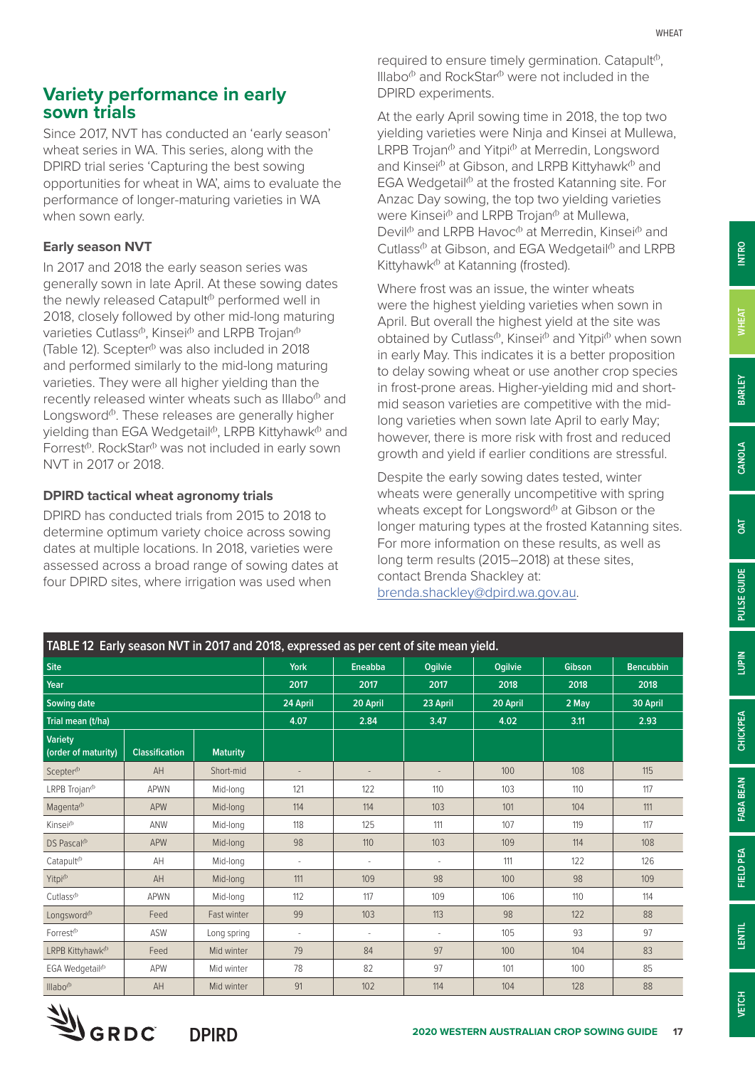Since 2017, NVT has conducted an 'early season' wheat series in WA. This series, along with the DPIRD trial series 'Capturing the best sowing opportunities for wheat in WA', aims to evaluate the performance of longer-maturing varieties in WA when sown early.

#### **Early season NVT**

In 2017 and 2018 the early season series was generally sown in late April. At these sowing dates the newly released Catapult<sup> $b$ </sup> performed well in 2018, closely followed by other mid-long maturing varieties Cutlass<sup> $\phi$ </sup>, Kinsei $\Phi$  and LRPB Trojan $\Phi$ (Table 12). Scepter $\Phi$  was also included in 2018 and performed similarly to the mid-long maturing varieties. They were all higher yielding than the recently released winter wheats such as Illabo $\Phi$  and Longsword $\Phi$ . These releases are generally higher yielding than EGA Wedgetail<sup>®</sup>, LRPB Kittyhawk<sup>®</sup> and Forrest<sup> $\Phi$ </sup>. RockStar $\Phi$  was not included in early sown NVT in 2017 or 2018.

#### **DPIRD tactical wheat agronomy trials**

DPIRD has conducted trials from 2015 to 2018 to determine optimum variety choice across sowing dates at multiple locations. In 2018, varieties were assessed across a broad range of sowing dates at four DPIRD sites, where irrigation was used when

required to ensure timely germination. Catapult $\phi$ , Illabo $\Phi$  and RockStar $\Phi$  were not included in the DPIRD experiments.

At the early April sowing time in 2018, the top two yielding varieties were Ninja and Kinsei at Mullewa, LRPB Trojan $^{\circ}$  and Yitpi $^{\circ}$  at Merredin, Longsword and Kinsei $^{\circ}$  at Gibson, and LRPB Kittyhawk $^{\circ}$  and EGA Wedgetail $\Phi$  at the frosted Katanning site. For Anzac Day sowing, the top two yielding varieties were Kinsei $\Phi$  and LRPB Trojan $\Phi$  at Mullewa, Devil<sup> $\Phi$ </sup> and LRPB Havoc $\Phi$  at Merredin, Kinsei $\Phi$  and Cutlass<sup> $\Phi$ </sup> at Gibson, and EGA Wedgetail $\Phi$  and LRPB Kittyhawk<sup>®</sup> at Katanning (frosted).

Where frost was an issue, the winter wheats were the highest yielding varieties when sown in April. But overall the highest yield at the site was obtained by Cutlass<sup> $\phi$ </sup>, Kinsei $\Phi$  and Yitpi $\Phi$  when sown in early May. This indicates it is a better proposition to delay sowing wheat or use another crop species in frost-prone areas. Higher-yielding mid and shortmid season varieties are competitive with the midlong varieties when sown late April to early May; however, there is more risk with frost and reduced growth and yield if earlier conditions are stressful.

Despite the early sowing dates tested, winter wheats were generally uncompetitive with spring wheats except for Longsword $\Phi$  at Gibson or the longer maturing types at the frosted Katanning sites. For more information on these results, as well as long term results (2015–2018) at these sites, contact Brenda Shackley at: [brenda.shackley@dpird.wa.gov.au](mailto:brenda.shackley@dpird.wa.gov.au).

| TABLE 12 Early season NVT in 2017 and 2018, expressed as per cent of site mean yield. |                       |                 |                          |                |                |          |        |                  |
|---------------------------------------------------------------------------------------|-----------------------|-----------------|--------------------------|----------------|----------------|----------|--------|------------------|
| <b>Site</b>                                                                           |                       |                 | <b>York</b>              | Eneabba        | <b>Ogilvie</b> | Ogilvie  | Gibson | <b>Bencubbin</b> |
| Year                                                                                  |                       |                 | 2017                     | 2017           | 2017           | 2018     | 2018   | 2018             |
| <b>Sowing date</b>                                                                    |                       |                 | 24 April                 | 20 April       | 23 April       | 20 April | 2 May  | 30 April         |
| Trial mean (t/ha)                                                                     |                       |                 | 4.07                     | 2.84           | 3.47           | 4.02     | 3.11   | 2.93             |
| <b>Variety</b><br>(order of maturity)                                                 | <b>Classification</b> | <b>Maturity</b> |                          |                |                |          |        |                  |
| Scepter <sup>(b</sup>                                                                 | AH                    | Short-mid       | $\overline{\phantom{a}}$ |                |                | 100      | 108    | 115              |
| LRPB Trojan <sup>®</sup>                                                              | <b>APWN</b>           | Mid-long        | 121                      | 122            | 110            | 103      | 110    | 117              |
| Magenta <sup>(b)</sup>                                                                | APW                   | Mid-long        | 114                      | 114            | 103            | 101      | 104    | 111              |
| Kinsei <sup>®</sup>                                                                   | ANW                   | Mid-long        | 118                      | 125            | 111            | 107      | 119    | 117              |
| DS Pascal <sup>(b)</sup>                                                              | <b>APW</b>            | Mid-long        | 98                       | 110            | 103            | 109      | 114    | 108              |
| Catapult <sup>(b</sup>                                                                | AH                    | Mid-long        |                          |                |                | 111      | 122    | 126              |
| Yitpi <sup>(b</sup>                                                                   | AH                    | Mid-long        | 111                      | 109            | 98             | 100      | 98     | 109              |
| Cutlass <sup>(b)</sup>                                                                | <b>APWN</b>           | Mid-long        | 112                      | 117            | 109            | 106      | 110    | 114              |
| Longsword <sup>®</sup>                                                                | Feed                  | Fast winter     | 99                       | 103            | 113            | 98       | 122    | 88               |
| Forrest <sup>®</sup>                                                                  | <b>ASW</b>            | Long spring     | $\sim$                   | $\overline{a}$ |                | 105      | 93     | 97               |
| LRPB Kittyhawk <sup>(b</sup>                                                          | Feed                  | Mid winter      | 79                       | 84             | 97             | 100      | 104    | 83               |
| EGA Wedgetail <sup>®</sup>                                                            | APW                   | Mid winter      | 78                       | 82             | 97             | 101      | 100    | 85               |
| $III$ abo $^{\circ}$                                                                  | AH                    | Mid winter      | 91                       | 102            | 114            | 104      | 128    | 88               |



**DPIRD**

**INTRO**

**WHEAT**

**FIELD PEA**

**FIELD PEA** 

**LENTIL**

**CHICKPEA**

**CHICKPEA**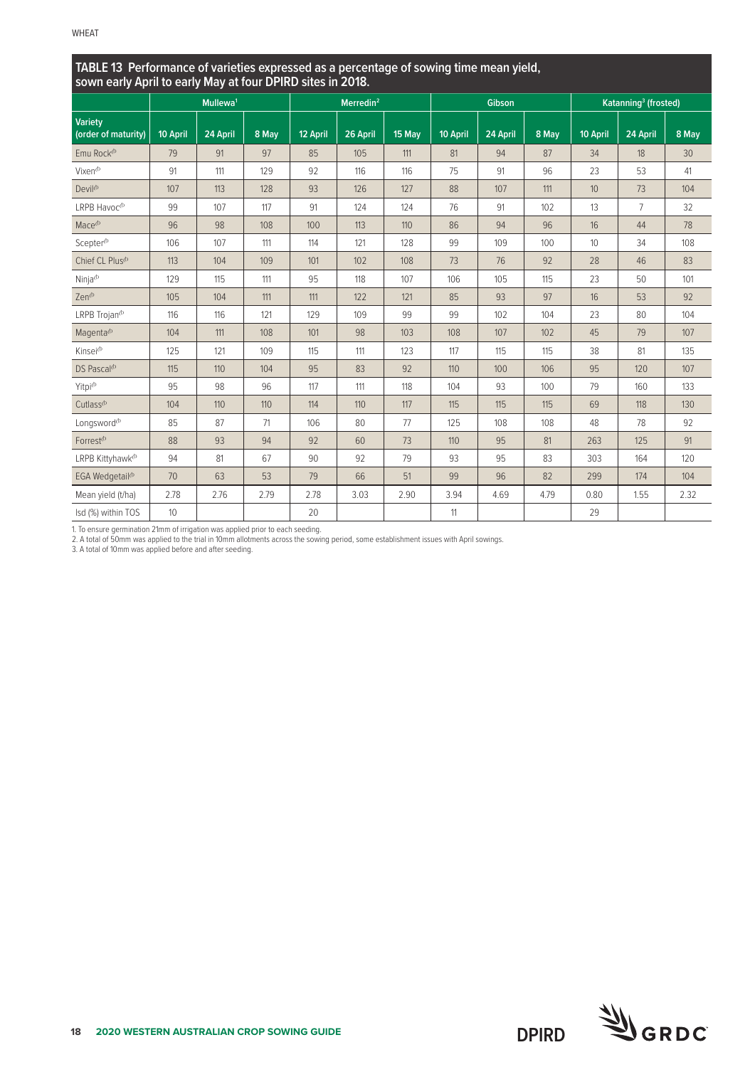| TABLE 13 Performance of varieties expressed as a percentage of sowing time mean yield,<br>sown early April to early May at four DPIRD sites in 2018. |          |                      |       |          |                       |        |          |               |       |                 |                                  |       |
|------------------------------------------------------------------------------------------------------------------------------------------------------|----------|----------------------|-------|----------|-----------------------|--------|----------|---------------|-------|-----------------|----------------------------------|-------|
|                                                                                                                                                      |          | Mullewa <sup>1</sup> |       |          | Merredin <sup>2</sup> |        |          | <b>Gibson</b> |       |                 | Katanning <sup>3</sup> (frosted) |       |
| <b>Variety</b><br>(order of maturity)                                                                                                                | 10 April | 24 April             | 8 May | 12 April | 26 April              | 15 May | 10 April | 24 April      | 8 May | 10 April        | 24 April                         | 8 May |
| Emu Rock <sup>(b</sup>                                                                                                                               | 79       | 91                   | 97    | 85       | 105                   | 111    | 81       | 94            | 87    | 34              | 18                               | 30    |
| Vixen <sup>(b</sup>                                                                                                                                  | 91       | 111                  | 129   | 92       | 116                   | 116    | 75       | 91            | 96    | 23              | 53                               | 41    |
| Devil <sup>opl</sup>                                                                                                                                 | 107      | 113                  | 128   | 93       | 126                   | 127    | 88       | 107           | 111   | 10 <sup>°</sup> | 73                               | 104   |
| LRPB Havoc <sup>(b</sup>                                                                                                                             | 99       | 107                  | 117   | 91       | 124                   | 124    | 76       | 91            | 102   | 13              | $\overline{7}$                   | 32    |
| Mace <sup>(b)</sup>                                                                                                                                  | 96       | 98                   | 108   | 100      | 113                   | 110    | 86       | 94            | 96    | 16              | 44                               | 78    |
| Scepter <sup>(b)</sup>                                                                                                                               | 106      | 107                  | 111   | 114      | 121                   | 128    | 99       | 109           | 100   | 10              | 34                               | 108   |
| Chief CL Plus <sup>(b)</sup>                                                                                                                         | 113      | 104                  | 109   | 101      | 102                   | 108    | 73       | 76            | 92    | 28              | 46                               | 83    |
| Ninja <sup>®</sup>                                                                                                                                   | 129      | 115                  | 111   | 95       | 118                   | 107    | 106      | 105           | 115   | 23              | 50                               | 101   |
| Zen <sup><i>b</i></sup>                                                                                                                              | 105      | 104                  | 111   | 111      | 122                   | 121    | 85       | 93            | 97    | 16              | 53                               | 92    |
| LRPB Trojan <sup>(b</sup>                                                                                                                            | 116      | 116                  | 121   | 129      | 109                   | 99     | 99       | 102           | 104   | 23              | 80                               | 104   |
| Magenta <sup>(b</sup>                                                                                                                                | 104      | 111                  | 108   | 101      | 98                    | 103    | 108      | 107           | 102   | 45              | 79                               | 107   |
| Kinsej <sup>®</sup>                                                                                                                                  | 125      | 121                  | 109   | 115      | 111                   | 123    | 117      | 115           | 115   | 38              | 81                               | 135   |
| DS Pascal <sup>(b</sup>                                                                                                                              | 115      | 110                  | 104   | 95       | 83                    | 92     | 110      | 100           | 106   | 95              | 120                              | 107   |
| Yitpi <sup>(b</sup>                                                                                                                                  | 95       | 98                   | 96    | 117      | 111                   | 118    | 104      | 93            | 100   | 79              | 160                              | 133   |
| Cutlass <sup>(b</sup>                                                                                                                                | 104      | 110                  | 110   | 114      | 110                   | 117    | 115      | 115           | 115   | 69              | 118                              | 130   |
| Longsword <sup>®</sup>                                                                                                                               | 85       | 87                   | 71    | 106      | 80                    | 77     | 125      | 108           | 108   | 48              | 78                               | 92    |
| Forrest <sup>(b</sup>                                                                                                                                | 88       | 93                   | 94    | 92       | 60                    | 73     | 110      | 95            | 81    | 263             | 125                              | 91    |
| LRPB Kittyhawk <sup>(b</sup>                                                                                                                         | 94       | 81                   | 67    | 90       | 92                    | 79     | 93       | 95            | 83    | 303             | 164                              | 120   |
| EGA Wedgetail <sup>(b</sup>                                                                                                                          | 70       | 63                   | 53    | 79       | 66                    | 51     | 99       | 96            | 82    | 299             | 174                              | 104   |
| Mean yield (t/ha)                                                                                                                                    | 2.78     | 2.76                 | 2.79  | 2.78     | 3.03                  | 2.90   | 3.94     | 4.69          | 4.79  | 0.80            | 1.55                             | 2.32  |
| Isd (%) within TOS                                                                                                                                   | 10       |                      |       | 20       |                       |        | 11       |               |       | 29              |                                  |       |

1. To ensure germination 21mm of irrigation was applied prior to each seeding.

2. A total of 50mm was applied to the trial in 10mm allotments across the sowing period, some establishment issues with April sowings.

3. A total of 10mm was applied before and after seeding.

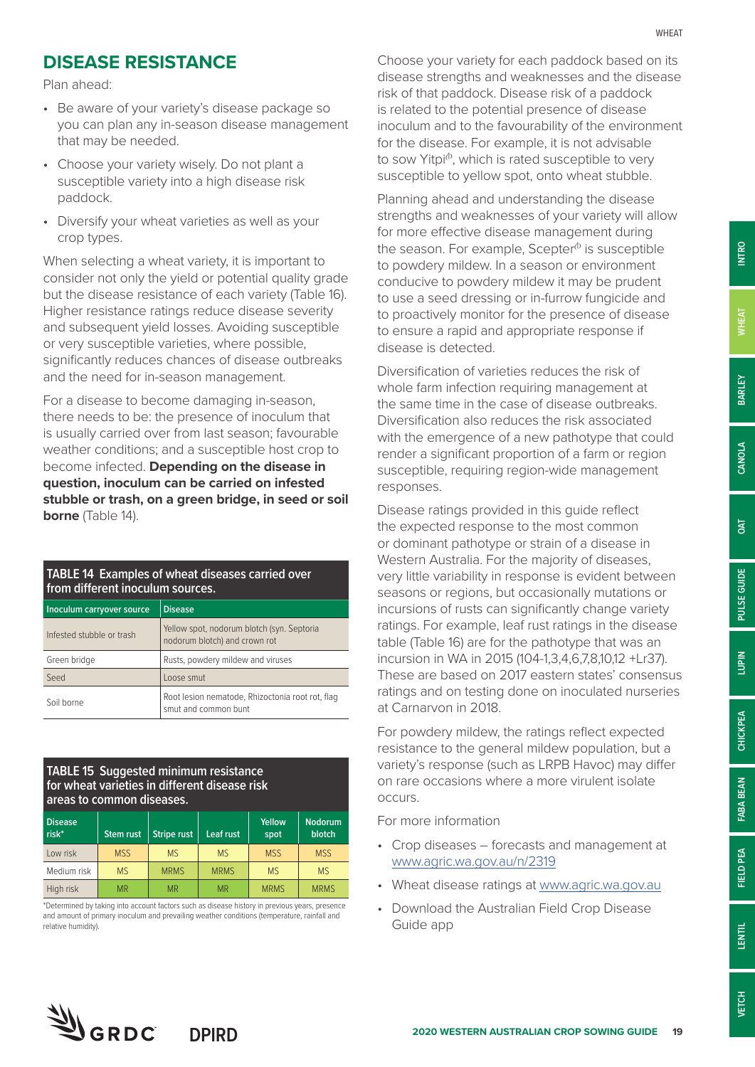## **DISEASE RESISTANCE**

Plan ahead:

- Be aware of your variety's disease package so you can plan any in-season disease management that may be needed.
- Choose your variety wisely. Do not plant a susceptible variety into a high disease risk paddock.
- Diversify your wheat varieties as well as your crop types.

When selecting a wheat variety, it is important to consider not only the yield or potential quality grade but the disease resistance of each variety (Table 16). Higher resistance ratings reduce disease severity and subsequent yield losses. Avoiding susceptible or very susceptible varieties, where possible, significantly reduces chances of disease outbreaks and the need for in-season management.

For a disease to become damaging in-season, there needs to be: the presence of inoculum that is usually carried over from last season; favourable weather conditions; and a susceptible host crop to become infected. **Depending on the disease in question, inoculum can be carried on infested stubble or trash, on a green bridge, in seed or soil borne** (Table 14).

#### **TABLE 14 Examples of wheat diseases carried over from different inoculum sources.**

| Inoculum carryover source | <b>Disease</b>                                                              |
|---------------------------|-----------------------------------------------------------------------------|
| Infested stubble or trash | Yellow spot, nodorum blotch (syn. Septoria<br>nodorum blotch) and crown rot |
| Green bridge              | Rusts, powdery mildew and viruses                                           |
| Seed                      | Loose smut                                                                  |
| Soil borne                | Root lesion nematode, Rhizoctonia root rot, flag<br>smut and common bunt    |

#### **TABLE 15 Suggested minimum resistance for wheat varieties in different disease risk areas to common diseases.**

| <b>Disease</b><br>$risk^*$ | <b>Stem rust</b> | <b>Stripe rust</b> | Leaf rust   | Yellow<br>spot | <b>Nodorum</b><br>blotch |
|----------------------------|------------------|--------------------|-------------|----------------|--------------------------|
| Low risk                   | <b>MSS</b>       | M <sub>S</sub>     | <b>MS</b>   | <b>MSS</b>     | <b>MSS</b>               |
| Medium risk                | <b>MS</b>        | <b>MRMS</b>        | <b>MRMS</b> | M <sub>S</sub> | <b>MS</b>                |
| High risk                  | <b>MR</b>        | <b>MR</b>          | <b>MR</b>   | <b>MRMS</b>    | <b>MRMS</b>              |

\*Determined by taking into account factors such as disease history in previous years, presence and amount of primary inoculum and prevailing weather conditions (temperature, rainfall and relative humidity).

Choose your variety for each paddock based on its disease strengths and weaknesses and the disease risk of that paddock. Disease risk of a paddock is related to the potential presence of disease inoculum and to the favourability of the environment for the disease. For example, it is not advisable to sow Yitpi<sup>®</sup>, which is rated susceptible to very susceptible to yellow spot, onto wheat stubble.

Planning ahead and understanding the disease strengths and weaknesses of your variety will allow for more effective disease management during the season. For example, Scepter $\phi$  is susceptible to powdery mildew. In a season or environment conducive to powdery mildew it may be prudent to use a seed dressing or in-furrow fungicide and to proactively monitor for the presence of disease to ensure a rapid and appropriate response if disease is detected.

Diversification of varieties reduces the risk of whole farm infection requiring management at the same time in the case of disease outbreaks. Diversification also reduces the risk associated with the emergence of a new pathotype that could render a significant proportion of a farm or region susceptible, requiring region-wide management responses.

Disease ratings provided in this guide reflect the expected response to the most common or dominant pathotype or strain of a disease in Western Australia. For the majority of diseases, very little variability in response is evident between seasons or regions, but occasionally mutations or incursions of rusts can significantly change variety ratings. For example, leaf rust ratings in the disease table (Table 16) are for the pathotype that was an incursion in WA in 2015 (104-1,3,4,6,7,8,10,12 +Lr37). These are based on 2017 eastern states' consensus ratings and on testing done on inoculated nurseries at Carnarvon in 2018.

For powdery mildew, the ratings reflect expected resistance to the general mildew population, but a variety's response (such as LRPB Havoc) may differ on rare occasions where a more virulent isolate occurs.

For more information

- Crop diseases forecasts and management at [www.agric.wa.gov.au/n/2319](http://www.agric.wa.gov.au/n/2319)
- Wheat disease ratings at [www.agric.wa.gov.au](http://www.agric.wa.gov.au)
- Download the Australian Field Crop Disease Guide app

**CHICKPEA**

CHICKPEA

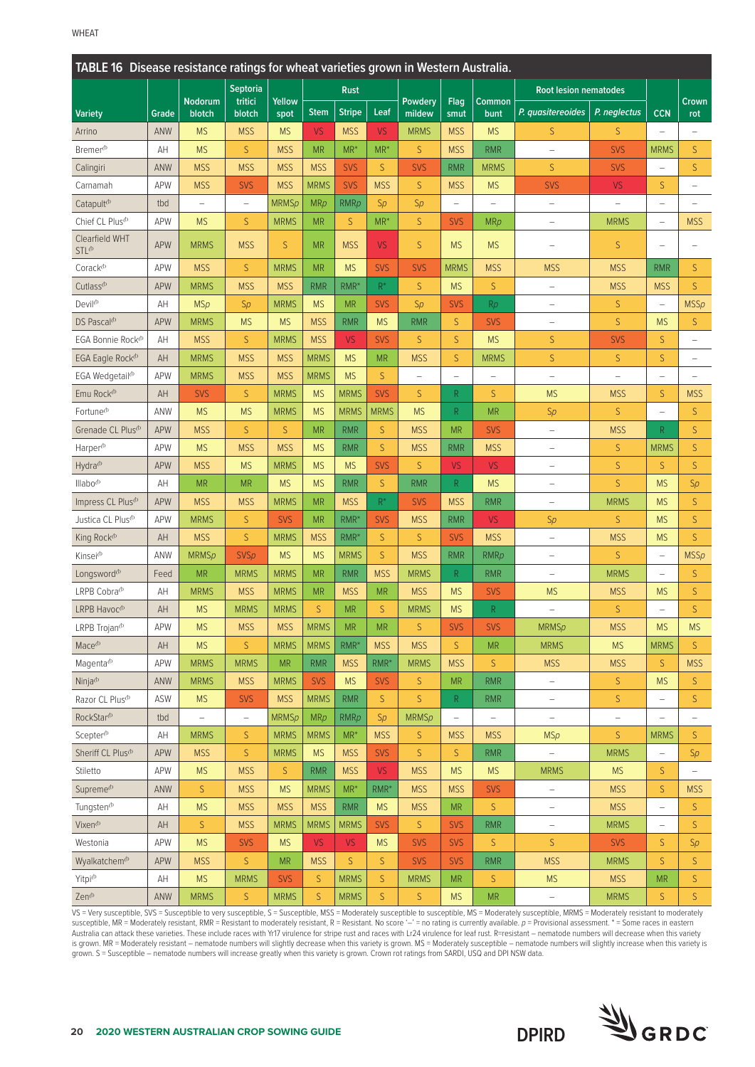| TABLE 16 Disease resistance ratings for wheat varieties grown in Western Australia. |            |                          |                          |                |             |                  |             |                          |                          |                          |                              |                          |                          |                          |
|-------------------------------------------------------------------------------------|------------|--------------------------|--------------------------|----------------|-------------|------------------|-------------|--------------------------|--------------------------|--------------------------|------------------------------|--------------------------|--------------------------|--------------------------|
|                                                                                     |            |                          | <b>Septoria</b>          |                |             | <b>Rust</b>      |             |                          |                          |                          | <b>Root lesion nematodes</b> |                          |                          |                          |
| <b>Variety</b>                                                                      | Grade      | <b>Nodorum</b><br>blotch | tritici<br>blotch        | Yellow<br>spot | <b>Stem</b> | <b>Stripe</b>    | Leaf        | Powdery<br>mildew        | Flag<br>smut             | <b>Common</b><br>bunt    | P. quasitereoides            | P. neglectus             | <b>CCN</b>               | Crown<br>rot             |
| Arrino                                                                              | ANW        | <b>MS</b>                | <b>MSS</b>               | <b>MS</b>      | <b>VS</b>   | <b>MSS</b>       | <b>VS</b>   | <b>MRMS</b>              | <b>MSS</b>               | <b>MS</b>                | $\mathsf S$                  | S                        | $\overline{\phantom{0}}$ | $\overline{\phantom{0}}$ |
| Bremer <sup>(b)</sup>                                                               | AH         | <b>MS</b>                | S                        | <b>MSS</b>     | <b>MR</b>   | $MR^*$           | $MR^*$      | S                        | <b>MSS</b>               | <b>RMR</b>               | $\overline{\phantom{0}}$     | <b>SVS</b>               | <b>MRMS</b>              | S                        |
| Calingiri                                                                           | ANW        | <b>MSS</b>               | <b>MSS</b>               | <b>MSS</b>     | <b>MSS</b>  | <b>SVS</b>       | S.          | <b>SVS</b>               | <b>RMR</b>               | <b>MRMS</b>              | S                            | <b>SVS</b>               | ÷,                       | S                        |
| Carnamah                                                                            | APW        | <b>MSS</b>               | <b>SVS</b>               | <b>MSS</b>     | <b>MRMS</b> | <b>SVS</b>       | <b>MSS</b>  | S                        | <b>MSS</b>               | <b>MS</b>                | <b>SVS</b>                   | <b>VS</b>                | S.                       | Ē,                       |
| Catapult <sup>(b)</sup>                                                             | tbd        | $\overline{\phantom{0}}$ | $\qquad \qquad -$        | <b>MRMSp</b>   | MRp         | <b>RMRp</b>      | Sp          | Sp                       |                          | $\qquad \qquad -$        | $\overline{\phantom{0}}$     |                          |                          |                          |
| Chief CL Plus <sup>®</sup>                                                          | <b>APW</b> | <b>MS</b>                | S                        | <b>MRMS</b>    | <b>MR</b>   | S                | $MR^*$      | $\mathsf S$              | <b>SVS</b>               | <b>MRp</b>               | $\overline{\phantom{a}}$     | <b>MRMS</b>              |                          | <b>MSS</b>               |
| Clearfield WHT<br>STL <sup>®</sup>                                                  | <b>APW</b> | <b>MRMS</b>              | <b>MSS</b>               | S              | <b>MR</b>   | <b>MSS</b>       | <b>VS</b>   | S                        | <b>MS</b>                | <b>MS</b>                | $\overline{\phantom{0}}$     | S                        | L,                       |                          |
| Corack <sup>®</sup>                                                                 | APW        | <b>MSS</b>               | $\mathsf{S}$             | <b>MRMS</b>    | <b>MR</b>   | <b>MS</b>        | <b>SVS</b>  | <b>SVS</b>               | <b>MRMS</b>              | <b>MSS</b>               | <b>MSS</b>                   | <b>MSS</b>               | <b>RMR</b>               | S                        |
| Cutlass <sup>(b)</sup>                                                              | APW        | <b>MRMS</b>              | <b>MSS</b>               | <b>MSS</b>     | <b>RMR</b>  | RMR <sup>*</sup> | $R^*$       | S                        | <b>MS</b>                | S.                       | $\overline{\phantom{0}}$     | <b>MSS</b>               | <b>MSS</b>               | S                        |
| Devil <sup>(b)</sup>                                                                | AH         | <b>MSp</b>               | Sp                       | <b>MRMS</b>    | <b>MS</b>   | <b>MR</b>        | <b>SVS</b>  | Sp                       | <b>SVS</b>               | Rp                       | ÷,                           | $\mathsf S$              | $\equiv$                 | <b>MSSp</b>              |
| DS Pascal <sup>(b)</sup>                                                            | APW        | <b>MRMS</b>              | <b>MS</b>                | <b>MS</b>      | <b>MSS</b>  | <b>RMR</b>       | <b>MS</b>   | <b>RMR</b>               | S                        | <b>SVS</b>               | $\overline{\phantom{0}}$     | $\mathsf{S}$             | <b>MS</b>                | S                        |
| EGA Bonnie Rock <sup>®</sup>                                                        | AH         | <b>MSS</b>               | $\mathsf{S}$             | <b>MRMS</b>    | <b>MSS</b>  | <b>VS</b>        | <b>SVS</b>  | S                        | S                        | <b>MS</b>                | S                            | <b>SVS</b>               | S                        | $\qquad \qquad -$        |
| EGA Eagle Rock <sup>(b)</sup>                                                       | AH         | <b>MRMS</b>              | <b>MSS</b>               | <b>MSS</b>     | <b>MRMS</b> | <b>MS</b>        | <b>MR</b>   | <b>MSS</b>               | S                        | <b>MRMS</b>              | $\mathsf S$                  | $\mathsf{S}$             | S.                       | $\overline{\phantom{0}}$ |
| EGA Wedgetail <sup>®</sup>                                                          | <b>APW</b> | <b>MRMS</b>              | <b>MSS</b>               | <b>MSS</b>     | <b>MRMS</b> | <b>MS</b>        | S.          | $\overline{\phantom{a}}$ | $\overline{\phantom{0}}$ | $\overline{\phantom{0}}$ | $\overline{\phantom{0}}$     | $\overline{\phantom{0}}$ | L.                       |                          |
| Emu Rock <sup>(b)</sup>                                                             | AH         | <b>SVS</b>               | S                        | <b>MRMS</b>    | <b>MS</b>   | <b>MRMS</b>      | <b>SVS</b>  | S                        | R.                       | S                        | <b>MS</b>                    | <b>MSS</b>               | S                        | <b>MSS</b>               |
| Fortune <sup>(b)</sup>                                                              | ANW        | <b>MS</b>                | <b>MS</b>                | <b>MRMS</b>    | <b>MS</b>   | <b>MRMS</b>      | <b>MRMS</b> | <b>MS</b>                | R                        | <b>MR</b>                | Sp                           | S                        | $\qquad \qquad -$        | S                        |
| Grenade CL Plus <sup>(b)</sup>                                                      | <b>APW</b> | <b>MSS</b>               | $\mathsf{S}$             | S              | <b>MR</b>   | <b>RMR</b>       | S.          | <b>MSS</b>               | <b>MR</b>                | <b>SVS</b>               | $\qquad \qquad -$            | <b>MSS</b>               | R.                       | $\mathsf{S}$             |
| Harper <sup>(b</sup>                                                                | APW        | <b>MS</b>                | <b>MSS</b>               | <b>MSS</b>     | <b>MS</b>   | <b>RMR</b>       | S           | <b>MSS</b>               | <b>RMR</b>               | <b>MSS</b>               | $\qquad \qquad -$            | $\mathsf S$              | <b>MRMS</b>              | S                        |
| Hydra <sup>(b</sup>                                                                 | <b>APW</b> | <b>MSS</b>               | <b>MS</b>                | <b>MRMS</b>    | <b>MS</b>   | <b>MS</b>        | <b>SVS</b>  | S                        | <b>VS</b>                | <b>VS</b>                | $\qquad \qquad -$            | $\mathsf{S}$             | S.                       | $\mathsf{S}$             |
| Illabo <sup>(b</sup>                                                                | AH         | <b>MR</b>                | <b>MR</b>                | <b>MS</b>      | <b>MS</b>   | <b>RMR</b>       | S.          | <b>RMR</b>               | R                        | <b>MS</b>                | $\overline{\phantom{0}}$     | S                        | <b>MS</b>                | Sp                       |
| Impress CL Plus <sup>(b)</sup>                                                      | <b>APW</b> | <b>MSS</b>               | <b>MSS</b>               | <b>MRMS</b>    | <b>MR</b>   | <b>MSS</b>       | $R^*$       | <b>SVS</b>               | <b>MSS</b>               | <b>RMR</b>               | $\overline{\phantom{0}}$     | <b>MRMS</b>              | <b>MS</b>                | S                        |
| Justica CL Plus <sup>(b</sup>                                                       | <b>APW</b> | <b>MRMS</b>              | S                        | <b>SVS</b>     | <b>MR</b>   | RMR <sup>*</sup> | <b>SVS</b>  | <b>MSS</b>               | <b>RMR</b>               | <b>VS</b>                | Sp                           | S                        | <b>MS</b>                | $\mathsf{S}$             |
| King Rock <sup>(b</sup>                                                             | AH         | <b>MSS</b>               | $\mathsf{S}$             | <b>MRMS</b>    | <b>MSS</b>  | RMR <sup>*</sup> | S.          | S                        | <b>SVS</b>               | <b>MSS</b>               | ÷,                           | <b>MSS</b>               | <b>MS</b>                | $\mathsf{S}$             |
| Kinsei <sup>(b</sup>                                                                | ANW        | <b>MRMSp</b>             | <b>SVSp</b>              | <b>MS</b>      | <b>MS</b>   | <b>MRMS</b>      | S.          | <b>MSS</b>               | <b>RMR</b>               | RMRp                     | $\qquad \qquad -$            | S                        | $\qquad \qquad -$        | MSSp                     |
| Longsword <sup>®</sup>                                                              | Feed       | <b>MR</b>                | <b>MRMS</b>              | <b>MRMS</b>    | <b>MR</b>   | <b>RMR</b>       | <b>MSS</b>  | <b>MRMS</b>              | R                        | <b>RMR</b>               | ÷,                           | <b>MRMS</b>              |                          | S                        |
| LRPB Cobra <sup>®</sup>                                                             | AH         | <b>MRMS</b>              | <b>MSS</b>               | <b>MRMS</b>    | <b>MR</b>   | <b>MSS</b>       | <b>MR</b>   | <b>MSS</b>               | <b>MS</b>                | <b>SVS</b>               | <b>MS</b>                    | <b>MSS</b>               | <b>MS</b>                | $\mathsf{S}$             |
| LRPB Havoc <sup>(b</sup>                                                            | AH         | <b>MS</b>                | <b>MRMS</b>              | <b>MRMS</b>    | S.          | <b>MR</b>        | S.          | <b>MRMS</b>              | <b>MS</b>                | R                        | $\overline{\phantom{0}}$     | S                        |                          | $\mathsf{S}$             |
| LRPB Trojan <sup>(b</sup>                                                           | APW        | <b>MS</b>                | <b>MSS</b>               | <b>MSS</b>     | <b>MRMS</b> | <b>MR</b>        | <b>MR</b>   | S                        | <b>SVS</b>               | <b>SVS</b>               | <b>MRMSp</b>                 | <b>MSS</b>               | <b>MS</b>                | <b>MS</b>                |
| Mace <sup>(b)</sup>                                                                 | AH         | <b>MS</b>                | S                        | <b>MRMS</b>    | <b>MRMS</b> | RMR*             | <b>MSS</b>  | <b>MSS</b>               | S.                       | <b>MR</b>                | <b>MRMS</b>                  | <b>MS</b>                | <b>MRMS</b>              | S                        |
| Magenta <sup>(b)</sup>                                                              | APW        | <b>MRMS</b>              | <b>MRMS</b>              | <b>MR</b>      | <b>RMR</b>  | <b>MSS</b>       | $RMR^*$     | <b>MRMS</b>              | <b>MSS</b>               | S.                       | <b>MSS</b>                   | <b>MSS</b>               | S                        | <b>MSS</b>               |
| Ninja <sup><i>(b</i>)</sup>                                                         | ANW        | <b>MRMS</b>              | <b>MSS</b>               | <b>MRMS</b>    | <b>SVS</b>  | <b>MS</b>        | <b>SVS</b>  | $\mathsf S$              | <b>MR</b>                | <b>RMR</b>               | $\overline{\phantom{0}}$     | S                        | <b>MS</b>                | S                        |
| Razor CL Plus <sup>(b)</sup>                                                        | ASW        | <b>MS</b>                | <b>SVS</b>               | <b>MSS</b>     | <b>MRMS</b> | <b>RMR</b>       | S           | $\mathsf S$              | R                        | <b>RMR</b>               | $\overline{\phantom{a}}$     | $\mathsf S$              | $\overline{\phantom{0}}$ | S                        |
| RockStar <sup>(b</sup>                                                              | tbd        | $\overline{a}$           | $\overline{\phantom{0}}$ | <b>MRMSp</b>   | MRp         | <b>RMRp</b>      | Sp          | <b>MRMSp</b>             | $\overline{\phantom{0}}$ | $\overline{\phantom{0}}$ | $\overline{\phantom{a}}$     | $\qquad \qquad -$        | L,                       | Ē,                       |
| Scepter <sup>(b)</sup>                                                              | AH         | <b>MRMS</b>              | S                        | <b>MRMS</b>    | <b>MRMS</b> | $MR^*$           | <b>MSS</b>  | $\mathsf S$              | <b>MSS</b>               | <b>MSS</b>               | <b>MSp</b>                   | $\mathsf S$              | <b>MRMS</b>              | $\mathsf{S}$             |
| Sheriff CL Plus <sup>(b</sup>                                                       | <b>APW</b> | <b>MSS</b>               | S                        | <b>MRMS</b>    | <b>MS</b>   | <b>MSS</b>       | <b>SVS</b>  | $\mathsf S$              | S                        | <b>RMR</b>               |                              | <b>MRMS</b>              | $\qquad \qquad -$        | Sp                       |
| Stiletto                                                                            | APW        | <b>MS</b>                | <b>MSS</b>               | S.             | <b>RMR</b>  | <b>MSS</b>       | <b>VS</b>   | <b>MSS</b>               | <b>MS</b>                | <b>MS</b>                | <b>MRMS</b>                  | <b>MS</b>                | S.                       |                          |
| Supreme <sup>(b)</sup>                                                              | ANW        | $\mathsf S$              | <b>MSS</b>               | <b>MS</b>      | <b>MRMS</b> | $MR^*$           | $RMR*$      | <b>MSS</b>               | <b>MSS</b>               | <b>SVS</b>               | $\overline{\phantom{0}}$     | <b>MSS</b>               | S.                       | <b>MSS</b>               |
| Tungsten <sup>®</sup>                                                               | AH         | <b>MS</b>                | <b>MSS</b>               | <b>MSS</b>     | <b>MSS</b>  | <b>RMR</b>       | <b>MS</b>   | <b>MSS</b>               | <b>MR</b>                | S.                       | $\qquad \qquad -$            | <b>MSS</b>               | $\overline{\phantom{0}}$ | S                        |
| Vixen <sup>(b)</sup>                                                                | AH         | $\mathsf{S}$             | <b>MSS</b>               | <b>MRMS</b>    | <b>MRMS</b> | <b>MRMS</b>      | <b>SVS</b>  | $\mathsf S$              | <b>SVS</b>               | <b>RMR</b>               | $\qquad \qquad -$            | <b>MRMS</b>              | $\overline{\phantom{0}}$ | S                        |
| Westonia                                                                            | APW        | <b>MS</b>                | <b>SVS</b>               | <b>MS</b>      | <b>VS</b>   | <b>VS</b>        | <b>MS</b>   | <b>SVS</b>               | <b>SVS</b>               | S.                       | S                            | <b>SVS</b>               | S.                       | Sp                       |
| Wyalkatchem <sup>(b</sup>                                                           | <b>APW</b> | <b>MSS</b>               | S                        | <b>MR</b>      | <b>MSS</b>  | $\mathsf S$      | S           | <b>SVS</b>               | <b>SVS</b>               | <b>RMR</b>               | <b>MSS</b>                   | <b>MRMS</b>              | S.                       | S                        |
| Yitpi <sup>(b</sup>                                                                 | AH         | <b>MS</b>                | <b>MRMS</b>              | <b>SVS</b>     | $\mathsf S$ | <b>MRMS</b>      | S.          | <b>MRMS</b>              | <b>MR</b>                | S.                       | <b>MS</b>                    | <b>MSS</b>               | <b>MR</b>                | S                        |
| Zen <sup><i>b</i></sup>                                                             | ANW        | <b>MRMS</b>              | S                        | <b>MRMS</b>    | S           | <b>MRMS</b>      | S.          | $\mathsf S$              | <b>MS</b>                | <b>MR</b>                | $\qquad \qquad -$            | <b>MRMS</b>              | S                        | S                        |

VS = Very susceptible, SVS = Susceptible to very susceptible, S = Susceptible, MSS = Moderately susceptible to susceptible, MS = Moderately susceptible, MRMS = Moderately resistant to moderately susceptible, MR = Moderately resistant, RMR = Resistant to moderately resistant, R = Resistant. No score '–' = no rating is currently available. *p* = Provisional assessment. \* = Some races in eastern Australia can attack these varieties. These include races with Yr17 virulence for stripe rust and races with Lr24 virulence for leaf rust. R=resistant – nematode numbers will decrease when this variety is grown. MR = Moderately resistant – nematode numbers will slightly decrease when this variety is grown. MS = Moderately susceptible – nematode numbers will slightly increase when this variety is grown. S = Susceptible – nematode numbers will increase greatly when this variety is grown. Crown rot ratings from SARDI, USQ and DPI NSW data.

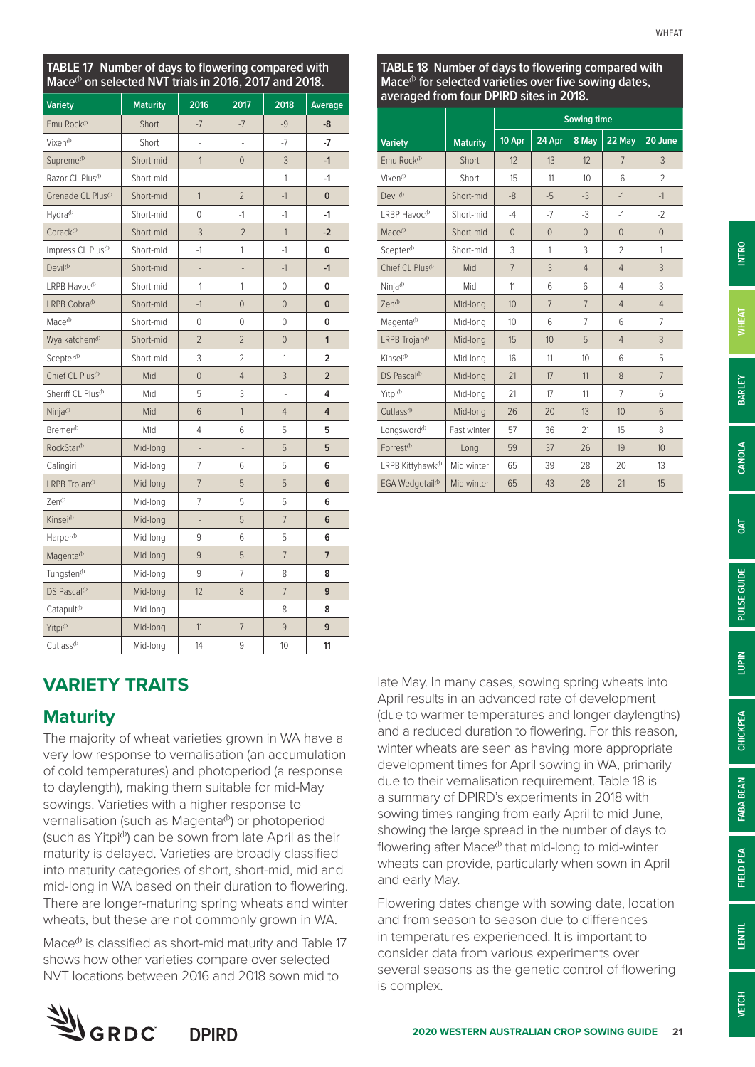| TABLE 17 Number of days to flowering compared with<br>Mace <sup>(b</sup> on selected NVT trials in 2016, 2017 and 2018. |                 |                |                |                |                |
|-------------------------------------------------------------------------------------------------------------------------|-----------------|----------------|----------------|----------------|----------------|
| <b>Variety</b>                                                                                                          | <b>Maturity</b> | 2016           | 2017           | 2018           | Average        |
| Emu Rock <sup>(b</sup>                                                                                                  | Short           | $-7$           | $-7$           | $-9$           | -8             |
| Vixen <sup>®</sup>                                                                                                      | Short           | i,             | i.             | $-7$           | $-7$           |
| Supreme <sup>®</sup>                                                                                                    | Short-mid       | $-1$           | $\Omega$       | $-3$           | $-1$           |
| Razor CL Plus <sup>(b</sup>                                                                                             | Short-mid       |                |                | $-1$           | $-1$           |
| Grenade CL Plus <sup>®</sup>                                                                                            | Short-mid       | 1              | $\overline{2}$ | $-1$           | 0              |
| Hydra <sup>(b</sup>                                                                                                     | Short-mid       | 0              | $-1$           | $-1$           | $-1$           |
| Corack <sup>(b</sup>                                                                                                    | Short-mid       | $-3$           | $-2$           | $-1$           | $-2$           |
| Impress CL Plus <sup>(b)</sup>                                                                                          | Short-mid       | $-1$           | 1              | $-1$           | 0              |
| Devil <sup>(b</sup>                                                                                                     | Short-mid       | ÷              | ÷              | $-1$           | $-1$           |
| LRPB Havoc <sup>®</sup>                                                                                                 | Short-mid       | -1             | 1              | $\Omega$       | 0              |
| LRPB Cobra <sup>db</sup>                                                                                                | Short-mid       | $-1$           | $\Omega$       | $\overline{0}$ | $\overline{0}$ |
| Mace <sup>(b)</sup>                                                                                                     | Short-mid       | $\Omega$       | 0              | 0              | 0              |
| Wyalkatchem <sup>®</sup>                                                                                                | Short-mid       | $\overline{2}$ | $\overline{2}$ | $\Omega$       | $\mathbf{1}$   |
| Scepter <sup>(b</sup>                                                                                                   | Short-mid       | 3              | 2              | 1              | $\overline{2}$ |
| Chief CL Plus <sup>(b)</sup>                                                                                            | Mid             | $\overline{0}$ | 4              | 3              | $\overline{2}$ |
| Sheriff CL Plus <sup>(b</sup>                                                                                           | Mid             | 5              | 3              | $\overline{a}$ | 4              |
| Ninja <sup>®</sup>                                                                                                      | Mid             | 6              | $\mathbf{1}$   | $\overline{4}$ | 4              |
| Bremer <sup>®</sup>                                                                                                     | Mid             | 4              | 6              | 5              | 5              |
| RockStar <sup>®</sup>                                                                                                   | Mid-long        |                |                | 5              | 5              |
| Calingiri                                                                                                               | Mid-long        | 7              | 6              | 5              | 6              |
| LRPB Trojan <sup>®</sup>                                                                                                | Mid-long        | $\overline{7}$ | 5              | 5              | 6              |
| $7en^{(b)}$                                                                                                             | Mid-long        | 7              | 5              | 5              | 6              |
| Kinsei <sup>®</sup>                                                                                                     | Mid-long        | $\overline{a}$ | 5              | $\overline{7}$ | 6              |
| Harper <sup>®</sup>                                                                                                     | Mid-long        | 9              | 6              | 5              | 6              |
| Magenta <sup>(b)</sup>                                                                                                  | Mid-long        | 9              | 5              | $\overline{7}$ | $\overline{7}$ |
| Tungsten <sup>(b</sup>                                                                                                  | Mid-long        | 9              | 7              | 8              | 8              |
| DS Pascal <sup>db</sup>                                                                                                 | Mid-long        | 12             | 8              | $\overline{7}$ | 9              |
| Catapult <sup>(b</sup>                                                                                                  | Mid-long        |                |                | 8              | 8              |
| Yitpi <sup>(b</sup>                                                                                                     | Mid-long        | 11             | $\overline{7}$ | 9              | 9              |
| Cutlass <sup>®</sup>                                                                                                    | Mid-long        | 14             | 9              | 10             | 11             |

|                                          |                 |                |                | <b>Sowing time</b> |                          |                 |
|------------------------------------------|-----------------|----------------|----------------|--------------------|--------------------------|-----------------|
| <b>Variety</b>                           | <b>Maturity</b> | 10 Apr         | 24 Apr         | 8 May              | 22 May                   | 20 June         |
| Emu Rock <sup>(b</sup>                   | Short           | $-12$          | $-13$          | $-12$              | $-7$                     | $-3$            |
| Vixen <sup>®</sup>                       | Short           | $-15$          | $-11$          | $-10$              | $-6$                     | $-2$            |
| Devil <sup>®</sup>                       | Short-mid       | $-8$           | $-5$           | $-3$               | $-1$                     | $-1$            |
| $LRBP$ Havoc <sup><math>(b)</math></sup> | Short-mid       | $-4$           | $-7$           | $-3$               | $-1$                     | $-2$            |
| Mace <sup>(b)</sup>                      | Short-mid       | $\Omega$       | $\overline{0}$ | $\Omega$           | $\overline{0}$           | $\overline{0}$  |
| Scepter <sup>(b</sup>                    | Short-mid       | 3              | 1              | 3                  | $\overline{\phantom{a}}$ | 1               |
| Chief CL Plus <sup>(b)</sup>             | Mid             | $\overline{7}$ | 3              | $\overline{4}$     | $\overline{4}$           | 3               |
| Ninja <sup>®</sup>                       | Mid             | 11             | 6              | 6                  | $\overline{4}$           | 3               |
| Zen <sup>®</sup>                         | Mid-long        | 10             | $\overline{7}$ | $\overline{7}$     | $\overline{4}$           | $\overline{4}$  |
| Magenta <sup>(b</sup>                    | Mid-long        | 10             | 6              | $\overline{7}$     | 6                        | 7               |
| LRPB Trojan <sup>(b</sup>                | Mid-long        | 15             | 10             | 5                  | $\overline{4}$           | 3               |
| Kinsej <sup>®</sup>                      | Mid-long        | 16             | 11             | 10 <sup>10</sup>   | 6                        | 5               |
| DS Pascal <sup>®</sup>                   | Mid-long        | 21             | 17             | 11                 | 8                        | $\overline{7}$  |
| Yitpi <sup>(b</sup>                      | Mid-long        | 21             | 17             | 11                 | 7                        | 6               |
| $Cutlass^{b}$                            | Mid-long        | 26             | 20             | 13                 | 10                       | $6\overline{6}$ |
| Longsword <sup>®</sup>                   | Fast winter     | 57             | 36             | 21                 | 15                       | 8               |
| Forrest <sup>(b)</sup>                   | Long            | 59             | 37             | 26                 | 19                       | 10              |
| LRPB Kittyhawk <sup>®</sup>              | Mid winter      | 65             | 39             | 28                 | 20                       | 13              |
| EGA Wedgetail <sup>®</sup>               | Mid winter      | 65             | 43             | 28                 | 21                       | 15              |

## **VARIETY TRAITS**

## **Maturity**

The majority of wheat varieties grown in WA have a very low response to vernalisation (an accumulation of cold temperatures) and photoperiod (a response to daylength), making them suitable for mid-May sowings. Varieties with a higher response to vernalisation (such as Magenta<sup>®</sup>) or photoperiod (such as Yitpi $\Phi$ ) can be sown from late April as their maturity is delayed. Varieties are broadly classified into maturity categories of short, short-mid, mid and mid-long in WA based on their duration to flowering. There are longer-maturing spring wheats and winter wheats, but these are not commonly grown in WA.

Mace $\Phi$  is classified as short-mid maturity and Table 17 shows how other varieties compare over selected NVT locations between 2016 and 2018 sown mid to

late May. In many cases, sowing spring wheats into April results in an advanced rate of development (due to warmer temperatures and longer daylengths) and a reduced duration to flowering. For this reason, winter wheats are seen as having more appropriate development times for April sowing in WA, primarily due to their vernalisation requirement. Table 18 is a summary of DPIRD's experiments in 2018 with sowing times ranging from early April to mid June, showing the large spread in the number of days to flowering after Mace $\Phi$  that mid-long to mid-winter wheats can provide, particularly when sown in April and early May.

Flowering dates change with sowing date, location and from season to season due to differences in temperatures experienced. It is important to consider data from various experiments over several seasons as the genetic control of flowering is complex.

**INTRO**

**WHEAT**

**BARLEY**

**CANOLA**

**OAT**

**PULSE GUIDE**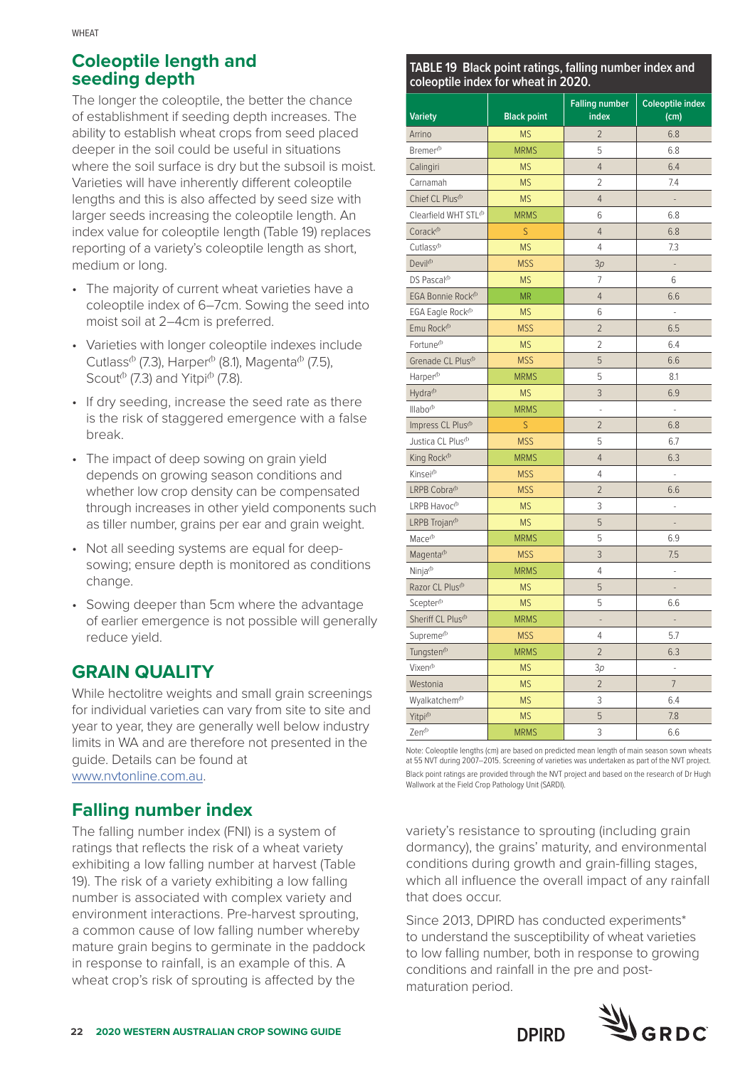## **Coleoptile length and seeding depth**

The longer the coleoptile, the better the chance of establishment if seeding depth increases. The ability to establish wheat crops from seed placed deeper in the soil could be useful in situations where the soil surface is dry but the subsoil is moist. Varieties will have inherently different coleoptile lengths and this is also affected by seed size with larger seeds increasing the coleoptile length. An index value for coleoptile length (Table 19) replaces reporting of a variety's coleoptile length as short, medium or long.

- The majority of current wheat varieties have a coleoptile index of 6–7cm. Sowing the seed into moist soil at 2–4cm is preferred.
- Varieties with longer coleoptile indexes include Cutlass<sup> $\Phi$ </sup> (7.3), Harper $\Phi$  (8.1), Magenta $\Phi$  (7.5), Scout $^{\circ}$  (7.3) and Yitpi $^{\circ}$  (7.8).
- If dry seeding, increase the seed rate as there is the risk of staggered emergence with a false break.
- The impact of deep sowing on grain yield depends on growing season conditions and whether low crop density can be compensated through increases in other yield components such as tiller number, grains per ear and grain weight.
- Not all seeding systems are equal for deepsowing; ensure depth is monitored as conditions change.
- Sowing deeper than 5cm where the advantage of earlier emergence is not possible will generally reduce yield.

## **GRAIN QUALITY**

While hectolitre weights and small grain screenings for individual varieties can vary from site to site and year to year, they are generally well below industry limits in WA and are therefore not presented in the guide. Details can be found at [www.nvtonline.com.au](http://www.nvtonline.com.au).

## **Falling number index**

The falling number index (FNI) is a system of ratings that reflects the risk of a wheat variety exhibiting a low falling number at harvest (Table 19). The risk of a variety exhibiting a low falling number is associated with complex variety and environment interactions. Pre-harvest sprouting, a common cause of low falling number whereby mature grain begins to germinate in the paddock in response to rainfall, is an example of this. A wheat crop's risk of sprouting is affected by the

#### **TABLE 19 Black point ratings, falling number index and coleoptile index for wheat in 2020.**

| <b>Variety</b>                  | <b>Black point</b> | <b>Falling number</b><br>index | <b>Coleoptile index</b><br>(cm) |
|---------------------------------|--------------------|--------------------------------|---------------------------------|
| Arrino                          | <b>MS</b>          | $\overline{c}$                 | 6.8                             |
| Bremer <sup>(b</sup>            | <b>MRMS</b>        | 5                              | 6.8                             |
| Calingiri                       | <b>MS</b>          | $\overline{4}$                 | 6.4                             |
| Carnamah                        | <b>MS</b>          | $\overline{2}$                 | 7.4                             |
| Chief CL Plus <sup>(b</sup>     | <b>MS</b>          | $\overline{4}$                 | $\overline{a}$                  |
| Clearfield WHT STL <sup>®</sup> | <b>MRMS</b>        | 6                              | 6.8                             |
| Corack <sup>(b</sup>            | S                  | $\overline{4}$                 | 6.8                             |
| Cutlass <sup>®</sup>            | <b>MS</b>          | 4                              | 7.3                             |
| Devil <sup>®</sup>              | <b>MSS</b>         | 3p                             |                                 |
| DS Pascal <sup>(b</sup>         | <b>MS</b>          | 7                              | 6                               |
| EGA Bonnie Rock <sup>®</sup>    | <b>MR</b>          | $\overline{4}$                 | 6.6                             |
| EGA Eagle Rock <sup>(b)</sup>   | <b>MS</b>          | 6                              |                                 |
| Emu Rock <sup>(b</sup>          | <b>MSS</b>         | $\overline{2}$                 | 6.5                             |
| Fortune <sup>®</sup>            | <b>MS</b>          | 2                              | 6.4                             |
| Grenade CL Plus <sup>(b)</sup>  | <b>MSS</b>         | 5                              | 6.6                             |
| Harper <sup>(b</sup>            | <b>MRMS</b>        | 5                              | 8.1                             |
| Hydra <sup>(b</sup>             | <b>MS</b>          | 3                              | 6.9                             |
| Illabo <sup>(b</sup>            | <b>MRMS</b>        |                                |                                 |
| Impress CL Plus <sup>(b)</sup>  | S                  | $\overline{2}$                 | 6.8                             |
| Justica CL Plus <sup>(b</sup>   | <b>MSS</b>         | 5                              | 6.7                             |
| King Rock <sup>®</sup>          | <b>MRMS</b>        | $\overline{4}$                 | 6.3                             |
| Kinsei <sup>®</sup>             | <b>MSS</b>         | 4                              | i,                              |
| LRPB Cobra <sup>(b</sup>        | <b>MSS</b>         | $\overline{2}$                 | 6.6                             |
| LRPB Havoc <sup>®</sup>         | <b>MS</b>          | 3                              |                                 |
| LRPB Trojan <sup>®</sup>        | <b>MS</b>          | 5                              |                                 |
| Mace <sup>(b)</sup>             | <b>MRMS</b>        | 5                              | 6.9                             |
| Magenta <sup>®</sup>            | <b>MSS</b>         | 3                              | 7.5                             |
| Ninja <sup>(b</sup>             | <b>MRMS</b>        | 4                              | $\overline{a}$                  |
| Razor CL Plus <sup>(b)</sup>    | <b>MS</b>          | 5                              |                                 |
| Scepter <sup>(b)</sup>          | <b>MS</b>          | 5                              | 6.6                             |
| Sheriff CL Plus <sup>(b)</sup>  | <b>MRMS</b>        |                                |                                 |
| Supreme <sup>®</sup>            | <b>MSS</b>         | 4                              | 5.7                             |
| Tungsten <sup>(b)</sup>         | <b>MRMS</b>        | $\overline{2}$                 | 6.3                             |
| Vixen <sup>®</sup>              | <b>MS</b>          | 3p                             | $\overline{a}$                  |
| Westonia                        | <b>MS</b>          | $\overline{2}$                 | $\overline{7}$                  |
| Wyalkatchem <sup>®</sup>        | <b>MS</b>          | 3                              | 6.4                             |
| Yitpi <sup>(b</sup>             | <b>MS</b>          | 5                              | 7.8                             |
| Zen <sup>(b</sup>               | <b>MRMS</b>        | 3                              | 6.6                             |

Note: Coleoptile lengths (cm) are based on predicted mean length of main season sown wheats at 55 NVT during 2007–2015. Screening of varieties was undertaken as part of the NVT project. Black point ratings are provided through the NVT project and based on the research of Dr Hugh Wallwork at the Field Crop Pathology Unit (SARDI).

variety's resistance to sprouting (including grain dormancy), the grains' maturity, and environmental conditions during growth and grain-filling stages, which all influence the overall impact of any rainfall that does occur.

Since 2013, DPIRD has conducted experiments\* to understand the susceptibility of wheat varieties to low falling number, both in response to growing conditions and rainfall in the pre and postmaturation period.

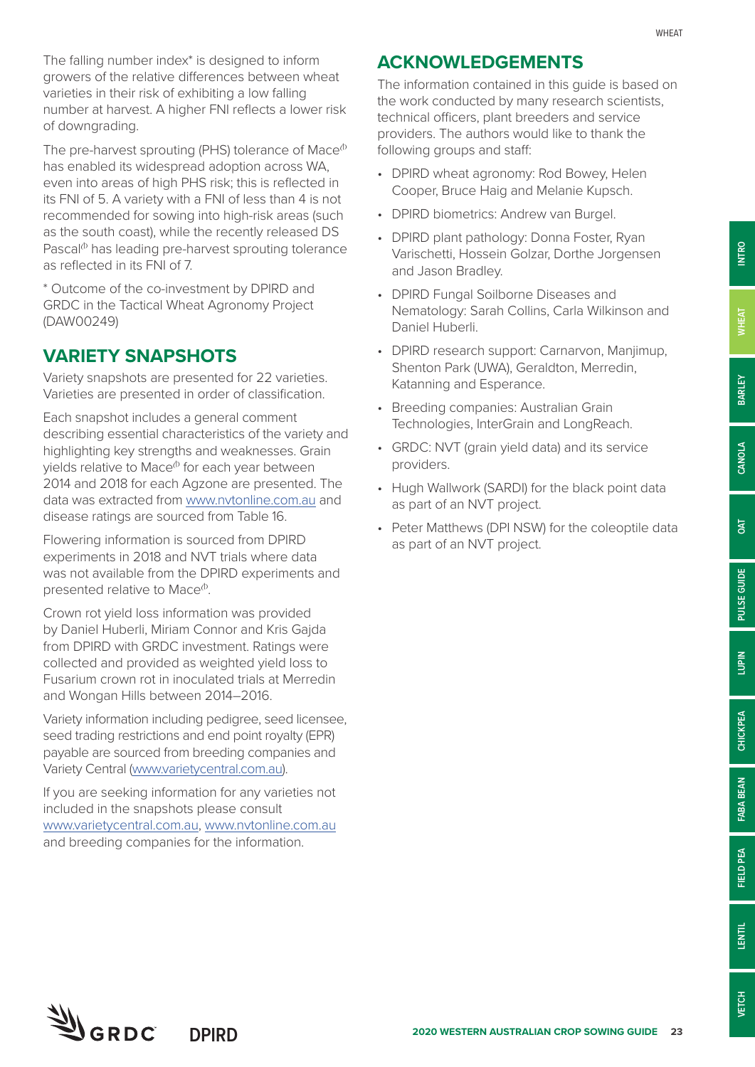**INTRO**

**BARLEY**

**CANOLA**

**OAT**

**PULSE GUIDE**

PULSE GUIDE

**LUPIN**

**CHICKPEA**

CHICKPEA

**FABA BEAN**

FABA BEAN

**FIELD PEA**

FIELD PEA

**LENTIL**

The falling number index\* is designed to inform growers of the relative differences between wheat varieties in their risk of exhibiting a low falling number at harvest. A higher FNI reflects a lower risk of downgrading.

The pre-harvest sprouting (PHS) tolerance of Mace $\Phi$ has enabled its widespread adoption across WA, even into areas of high PHS risk; this is reflected in its FNI of 5. A variety with a FNI of less than 4 is not recommended for sowing into high-risk areas (such as the south coast), while the recently released DS Pascal $\Phi$  has leading pre-harvest sprouting tolerance as reflected in its FNI of 7.

\* Outcome of the co-investment by DPIRD and GRDC in the Tactical Wheat Agronomy Project (DAW00249)

## **VARIETY SNAPSHOTS**

Variety snapshots are presented for 22 varieties. Varieties are presented in order of classification.

Each snapshot includes a general comment describing essential characteristics of the variety and highlighting key strengths and weaknesses. Grain yields relative to Mace<sup>®</sup> for each year between 2014 and 2018 for each Agzone are presented. The data was extracted from [www.nvtonline.com.au](http://www.nvtonline.com.au) and disease ratings are sourced from Table 16.

Flowering information is sourced from DPIRD experiments in 2018 and NVT trials where data was not available from the DPIRD experiments and presented relative to Mace<sup>®</sup>.

Crown rot yield loss information was provided by Daniel Huberli, Miriam Connor and Kris Gajda from DPIRD with GRDC investment. Ratings were collected and provided as weighted yield loss to Fusarium crown rot in inoculated trials at Merredin and Wongan Hills between 2014–2016.

Variety information including pedigree, seed licensee, seed trading restrictions and end point royalty (EPR) payable are sourced from breeding companies and Variety Central [\(www.varietycentral.com.au\)](http://www.varietycentral.com.au).

If you are seeking information for any varieties not included in the snapshots please consult [www.varietycentral.com.au,](http://www.varietycentral.com.au) [www.nvtonline.com.au](http://www.nvtonline.com.au) and breeding companies for the information.

## **ACKNOWLEDGEMENTS**

The information contained in this guide is based on the work conducted by many research scientists, technical officers, plant breeders and service providers. The authors would like to thank the following groups and staff:

- DPIRD wheat agronomy: Rod Bowey, Helen Cooper, Bruce Haig and Melanie Kupsch.
- DPIRD biometrics: Andrew van Burgel.
- DPIRD plant pathology: Donna Foster, Ryan Varischetti, Hossein Golzar, Dorthe Jorgensen and Jason Bradley.
- DPIRD Fungal Soilborne Diseases and Nematology: Sarah Collins, Carla Wilkinson and Daniel Huberli.
- DPIRD research support: Carnarvon, Manjimup, Shenton Park (UWA), Geraldton, Merredin, Katanning and Esperance.
- Breeding companies: Australian Grain Technologies, InterGrain and LongReach.
- GRDC: NVT (grain yield data) and its service providers.
- Hugh Wallwork (SARDI) for the black point data as part of an NVT project.
- Peter Matthews (DPI NSW) for the coleoptile data as part of an NVT project.

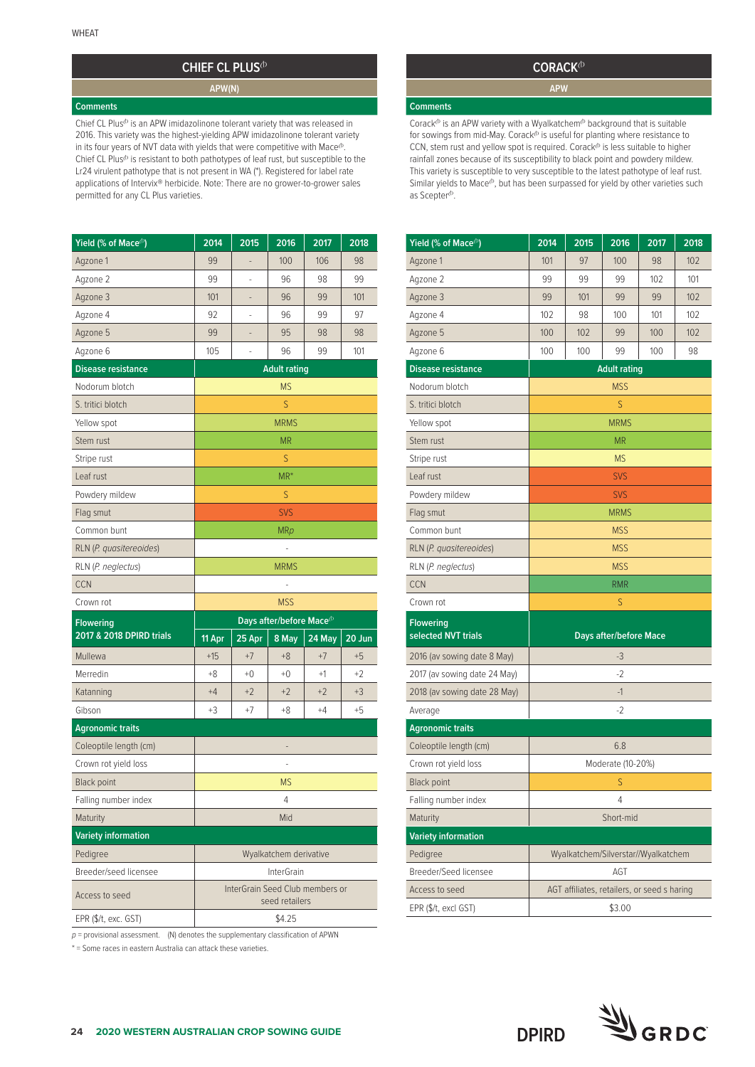## **CHIEF CL PLUS**<sup>(b)</sup>

**APW(N)**

#### **Comments**

Chief CL Plus<sup>(b</sup> is an APW imidazolinone tolerant variety that was released in 2016. This variety was the highest-yielding APW imidazolinone tolerant variety in its four years of NVT data with yields that were competitive with Mace $^{\text{cb}}$ . Chief CL Plus<sup>®</sup> is resistant to both pathotypes of leaf rust, but susceptible to the Lr24 virulent pathotype that is not present in WA (\*). Registered for label rate applications of Intervix® herbicide. Note: There are no grower-to-grower sales permitted for any CL Plus varieties.

| Yield (% of Mace <sup>(b</sup> ) | 2014   | 2015   | 2016                                  | 2017                            | 2018   |  |  |
|----------------------------------|--------|--------|---------------------------------------|---------------------------------|--------|--|--|
| Agzone 1                         | 99     |        | 100                                   | 106                             | 98     |  |  |
| Agzone 2                         | 99     | ÷      | 96                                    | 98                              | 99     |  |  |
| Agzone 3                         | 101    |        | 96                                    | 99                              | 101    |  |  |
| Agzone 4                         | 92     |        | 96                                    | 99                              | 97     |  |  |
| Agzone 5                         | 99     | -      | 95                                    | 98                              | 98     |  |  |
| Agzone 6                         | 105    |        | 96                                    | 99                              | 101    |  |  |
| <b>Disease resistance</b>        |        |        | <b>Adult rating</b>                   |                                 |        |  |  |
| Nodorum blotch                   |        |        | <b>MS</b>                             |                                 |        |  |  |
| S. tritici blotch                |        |        | S                                     |                                 |        |  |  |
| Yellow spot                      |        |        | <b>MRMS</b>                           |                                 |        |  |  |
| Stem rust                        |        |        | <b>MR</b>                             |                                 |        |  |  |
| Stripe rust                      |        |        | S                                     |                                 |        |  |  |
| Leaf rust                        |        |        | $MR^*$                                |                                 |        |  |  |
| Powdery mildew                   |        |        | S                                     |                                 |        |  |  |
| Flag smut                        |        |        | SVS                                   |                                 |        |  |  |
| Common bunt                      |        |        | <b>MRp</b>                            |                                 |        |  |  |
| RLN (P. quasitereoides)          |        |        |                                       |                                 |        |  |  |
| RLN (P. neglectus)               |        |        | <b>MRMS</b>                           |                                 |        |  |  |
| <b>CCN</b>                       |        |        |                                       |                                 |        |  |  |
|                                  |        |        |                                       |                                 |        |  |  |
| Crown rot                        |        |        | <b>MSS</b>                            |                                 |        |  |  |
| <b>Flowering</b>                 |        |        | Days after/before Mace <sup>(b)</sup> |                                 |        |  |  |
| 2017 & 2018 DPIRD trials         | 11 Apr | 25 Apr | 8 May                                 | 24 May                          | 20 Jun |  |  |
| Mullewa                          | $+15$  | $+7$   | $+8$                                  | $+7$                            | $+5$   |  |  |
| Merredin                         | $+8$   | $+0$   | $+0$                                  | $+1$                            | $+2$   |  |  |
| Katanning                        | $+4$   | $+2$   | $+2$                                  | $+2$                            | $+3$   |  |  |
| Gibson                           | +3     | +7     | +8                                    | $+4$                            | $+5$   |  |  |
| <b>Agronomic traits</b>          |        |        |                                       |                                 |        |  |  |
| Coleoptile length (cm)           |        |        |                                       |                                 |        |  |  |
| Crown rot yield loss             |        |        |                                       |                                 |        |  |  |
| <b>Black point</b>               |        |        | <b>MS</b>                             |                                 |        |  |  |
| Falling number index             |        |        | 4                                     |                                 |        |  |  |
| Maturity                         |        |        | Mid                                   |                                 |        |  |  |
| <b>Variety information</b>       |        |        |                                       |                                 |        |  |  |
| Pedigree                         |        |        | Wyalkatchem derivative                |                                 |        |  |  |
| Breeder/seed licensee            |        |        | <b>InterGrain</b>                     |                                 |        |  |  |
| Access to seed                   |        |        | seed retailers                        | InterGrain Seed Club members or |        |  |  |

 $p$  = provisional assessment. (N) denotes the supplementary classification of APWN

\* = Some races in eastern Australia can attack these varieties.

#### **CORACK**<sup> $\Phi$ </sup>

**APW**

#### **Comments**

Corack<sup>+</sup> is an APW variety with a Wyalkatchem<sup>+</sup> background that is suitable for sowings from mid-May. Corack<sup> $\phi$ </sup> is useful for planting where resistance to  $CCN$ , stem rust and yellow spot is required.  $Corack^b$  is less suitable to higher rainfall zones because of its susceptibility to black point and powdery mildew. This variety is susceptible to very susceptible to the latest pathotype of leaf rust. Similar yields to Mace $^{\text{b}}$ , but has been surpassed for yield by other varieties such as Scepter<sup>(b</sup>.

| Yield (% of Mace <sup>(b)</sup>         | 2014 | 2015                                        | 2016                          | 2017 | 2018 |
|-----------------------------------------|------|---------------------------------------------|-------------------------------|------|------|
| Agzone 1                                | 101  | 97                                          | 100                           | 98   | 102  |
| Agzone 2                                | 99   | 99                                          | 99                            | 102  | 101  |
| Agzone 3                                | 99   | 101                                         | 99                            | 99   | 102  |
| Agzone 4                                | 102  | 98                                          | 100                           | 101  | 102  |
| Agzone 5                                | 100  | 102                                         | 99                            | 100  | 102  |
| Agzone 6                                | 100  | 100                                         | 99                            | 100  | 98   |
| <b>Disease resistance</b>               |      |                                             | <b>Adult rating</b>           |      |      |
| Nodorum blotch                          |      |                                             | <b>MSS</b>                    |      |      |
| S. tritici blotch                       |      |                                             | S                             |      |      |
| Yellow spot                             |      |                                             | <b>MRMS</b>                   |      |      |
| Stem rust                               |      |                                             | ΜR                            |      |      |
| Stripe rust                             |      |                                             | <b>MS</b>                     |      |      |
| Leaf rust                               |      |                                             | SVS                           |      |      |
| Powdery mildew                          |      |                                             | SVS                           |      |      |
| Flag smut                               |      |                                             | <b>MRMS</b>                   |      |      |
| Common bunt                             |      |                                             | <b>MSS</b>                    |      |      |
| RLN (P. quasitereoides)                 |      |                                             | <b>MSS</b>                    |      |      |
| RLN (P. neglectus)                      |      |                                             | <b>MSS</b>                    |      |      |
| <b>CCN</b>                              |      |                                             | <b>RMR</b>                    |      |      |
| Crown rot                               |      |                                             | S                             |      |      |
| <b>Flowering</b><br>selected NVT trials |      |                                             | <b>Days after/before Mace</b> |      |      |
| 2016 (av sowing date 8 May)             |      |                                             | -3                            |      |      |
| 2017 (av sowing date 24 May)            |      |                                             | $-2$                          |      |      |
| 2018 (av sowing date 28 May)            |      |                                             | $-1$                          |      |      |
| Average                                 |      |                                             | $-2$                          |      |      |
| <b>Agronomic traits</b>                 |      |                                             |                               |      |      |
| Coleoptile length (cm)                  |      |                                             | 6.8                           |      |      |
| Crown rot yield loss                    |      |                                             | Moderate (10-20%)             |      |      |
| <b>Black point</b>                      |      |                                             | S                             |      |      |
| Falling number index                    |      |                                             | 4                             |      |      |
| Maturity                                |      |                                             | Short-mid                     |      |      |
| <b>Variety information</b>              |      |                                             |                               |      |      |
| Pedigree                                |      | Wyalkatchem/Silverstar//Wyalkatchem         |                               |      |      |
| Breeder/Seed licensee                   |      |                                             | AGT                           |      |      |
| Access to seed                          |      | AGT affiliates, retailers, or seed s haring |                               |      |      |
| EPR (\$/t, excl GST)                    |      |                                             | \$3.00                        |      |      |

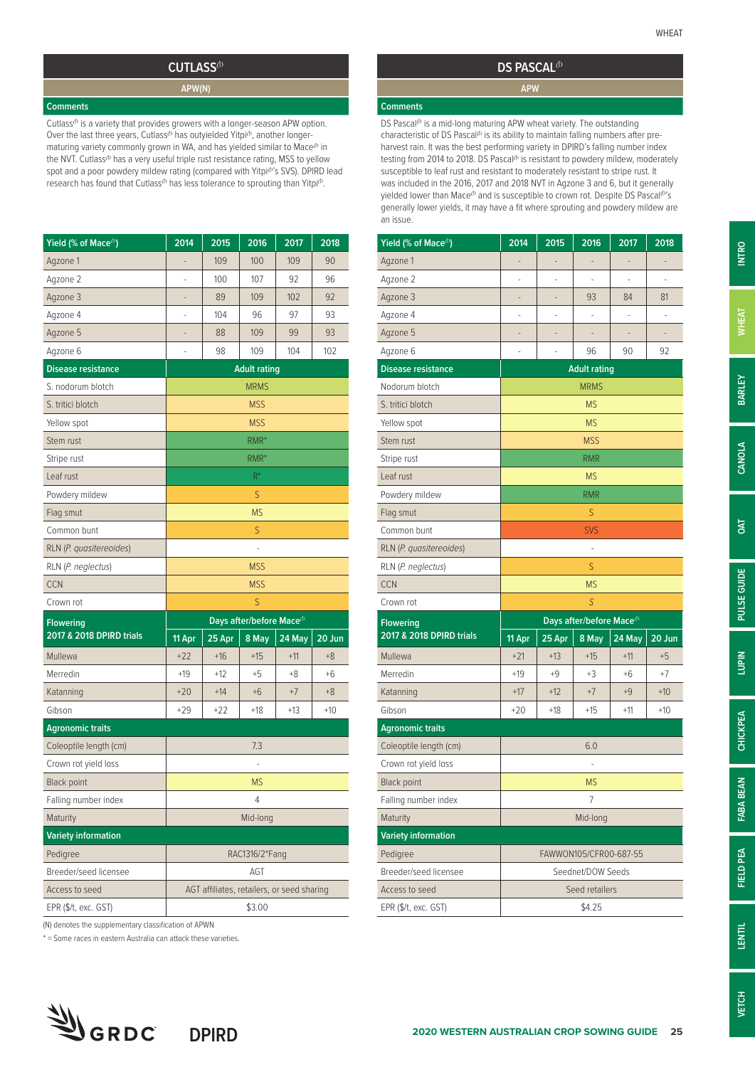#### **CUTLASS**<sup><sup>*b*</sup></sup>

**APW(N)**

**Comments**

Cutlass $\Phi$  is a variety that provides growers with a longer-season APW option. Over the last three years, Cutlass<sup> $\phi$ </sup> has outyielded Yitpi $\Phi$ , another longermaturing variety commonly grown in WA, and has yielded similar to  $\mathsf{Mace}^{b}$  in the NVT. Cutlass<sup>®</sup> has a very useful triple rust resistance rating, MSS to yellow spot and a poor powdery mildew rating (compared with Yitpi<sup>(b)</sup>'s SVS). DPIRD lead research has found that Cutlass<sup>®</sup> has less tolerance to sprouting than Yitpi®.

| Yield (% of Mace <sup>(b)</sup> | 2014                     | 2015                                       | 2016                                 | 2017   | 2018   |
|---------------------------------|--------------------------|--------------------------------------------|--------------------------------------|--------|--------|
| Agzone 1                        |                          | 109                                        | 100                                  | 109    | 90     |
| Agzone 2                        | $\overline{\phantom{m}}$ | 100                                        | 107                                  | 92     | 96     |
| Agzone 3                        |                          | 89                                         | 109                                  | 102    | 92     |
| Agzone 4                        |                          | 104                                        | 96                                   | 97     | 93     |
| Agzone 5                        | -                        | 88                                         | 109                                  | 99     | 93     |
| Agzone 6                        |                          | 98                                         | 109                                  | 104    | 102    |
| <b>Disease resistance</b>       |                          |                                            | <b>Adult rating</b>                  |        |        |
| S. nodorum blotch               |                          |                                            | <b>MRMS</b>                          |        |        |
| S. tritici blotch               |                          |                                            | <b>MSS</b>                           |        |        |
| Yellow spot                     |                          |                                            | <b>MSS</b>                           |        |        |
| Stem rust                       |                          |                                            | RMR*                                 |        |        |
| Stripe rust                     |                          |                                            | $RMR^*$                              |        |        |
| Leaf rust                       |                          |                                            | $R^*$                                |        |        |
| Powdery mildew                  |                          |                                            | S                                    |        |        |
| Flag smut                       |                          |                                            | <b>MS</b>                            |        |        |
| Common bunt                     |                          |                                            | S                                    |        |        |
| RLN (P. quasitereoides)         |                          |                                            |                                      |        |        |
| RLN (P. neglectus)              |                          |                                            | <b>MSS</b>                           |        |        |
| <b>CCN</b>                      |                          |                                            | <b>MSS</b>                           |        |        |
| Crown rot                       |                          |                                            | S                                    |        |        |
| <b>Flowering</b>                |                          |                                            | Days after/before Mace <sup>(b</sup> |        |        |
| 2017 & 2018 DPIRD trials        | 11 Apr                   | 25 Apr                                     | 8 May                                | 24 May | 20 Jun |
| Mullewa                         | $+22$                    | $+16$                                      | $+15$                                | $+11$  | $+8$   |
| Merredin                        | $+19$                    | $+12$                                      | $+5$                                 | $+8$   | $+6$   |
| Katanning                       | $+20$                    | $+14$                                      | $+6$                                 | $+7$   | $+8$   |
| Gibson                          | $+29$                    | $+22$                                      | $+18$                                | $+13$  | $+10$  |
| <b>Agronomic traits</b>         |                          |                                            |                                      |        |        |
| Coleoptile length (cm)          |                          |                                            | 7.3                                  |        |        |
| Crown rot yield loss            |                          |                                            |                                      |        |        |
| <b>Black point</b>              |                          |                                            | <b>MS</b>                            |        |        |
| Falling number index            |                          |                                            | 4                                    |        |        |
| Maturity                        |                          |                                            | Mid-long                             |        |        |
| <b>Variety information</b>      |                          |                                            |                                      |        |        |
| Pedigree                        |                          |                                            | RAC1316/2*Fang                       |        |        |
| Breeder/seed licensee           |                          |                                            | AGT                                  |        |        |
|                                 |                          |                                            |                                      |        |        |
| Access to seed                  |                          | AGT affiliates, retailers, or seed sharing |                                      |        |        |

(N) denotes the supplementary classification of APWN

\* = Some races in eastern Australia can attack these varieties.



### **DS PASCAL**<sup>(b)</sup> **APW**

#### **Comments**

DS Pascal $^{(b)}$  is a mid-long maturing APW wheat variety. The outstanding characteristic of DS Pascal<sup> $\phi$ </sup> is its ability to maintain falling numbers after preharvest rain. It was the best performing variety in DPIRD's falling number index testing from 2014 to 2018. DS Pascal<sup>(b</sup> is resistant to powdery mildew, moderately susceptible to leaf rust and resistant to moderately resistant to stripe rust. It was included in the 2016, 2017 and 2018 NVT in Agzone 3 and 6, but it generally yielded lower than Mace<sup>®</sup> and is susceptible to crown rot. Despite DS Pascal<sup>®</sup>'s generally lower yields, it may have a fit where sprouting and powdery mildew are an issue.

| Yield (% of Mace <sup>(b)</sup> | 2014                     | 2015   | 2016                                  | 2017   | 2018   |
|---------------------------------|--------------------------|--------|---------------------------------------|--------|--------|
| Agzone 1                        | $\overline{\phantom{m}}$ | -      | -                                     | -      | -      |
| Agzone 2                        |                          |        |                                       |        |        |
| Agzone 3                        |                          |        | 93                                    | 84     | 81     |
| Agzone 4                        | ٠                        | ÷      | i,                                    | -      | -      |
| Agzone 5                        |                          |        |                                       |        |        |
| Agzone 6                        |                          |        | 96                                    | 90     | 92     |
| <b>Disease resistance</b>       |                          |        | <b>Adult rating</b>                   |        |        |
| Nodorum blotch                  |                          |        | <b>MRMS</b>                           |        |        |
| S. tritici blotch               |                          |        | <b>MS</b>                             |        |        |
| Yellow spot                     |                          |        | <b>MS</b>                             |        |        |
| Stem rust                       |                          |        | <b>MSS</b>                            |        |        |
| Stripe rust                     |                          |        | <b>RMR</b>                            |        |        |
| Leaf rust                       |                          |        | <b>MS</b>                             |        |        |
| Powdery mildew                  |                          |        | <b>RMR</b>                            |        |        |
| Flag smut                       |                          |        | S                                     |        |        |
| Common bunt                     |                          |        | <b>SVS</b>                            |        |        |
| RLN (P. quasitereoides)         |                          |        |                                       |        |        |
| RLN (P. neglectus)              |                          |        | S                                     |        |        |
| <b>CCN</b>                      |                          |        | <b>MS</b>                             |        |        |
| Crown rot                       |                          |        | S                                     |        |        |
| <b>Flowering</b>                |                          |        | Days after/before Mace <sup>(b)</sup> |        |        |
| 2017 & 2018 DPIRD trials        | 11 Apr                   | 25 Apr | 8 May                                 | 24 May | 20 Jun |
| Mullewa                         | $+21$                    | $+13$  | $+15$                                 | $+11$  | $+5$   |
| Merredin                        | $+19$                    | $+9$   | +3                                    | +6     | $+7$   |
| Katanning                       | $+17$                    | $+12$  | $+7$                                  | $+9$   | $+10$  |
| Gibson                          | $+20$                    | $+18$  | $+15$                                 | $+11$  | $+10$  |
| <b>Agronomic traits</b>         |                          |        |                                       |        |        |
| Coleoptile length (cm)          |                          |        | 6.0                                   |        |        |
| Crown rot yield loss            |                          |        | ÷,                                    |        |        |
| <b>Black point</b>              |                          |        | <b>MS</b>                             |        |        |
| Falling number index            |                          |        | 7                                     |        |        |
| Maturity                        |                          |        | Mid-long                              |        |        |
| <b>Variety information</b>      |                          |        |                                       |        |        |
| Pedigree                        |                          |        | FAWWON105/CFR00-687-55                |        |        |
| Breeder/seed licensee           |                          |        | Seednet/DOW Seeds                     |        |        |
| Access to seed                  |                          |        | Seed retailers                        |        |        |
| EPR (\$/t, exc. GST)            |                          |        | \$4.25                                |        |        |

**LUPIN**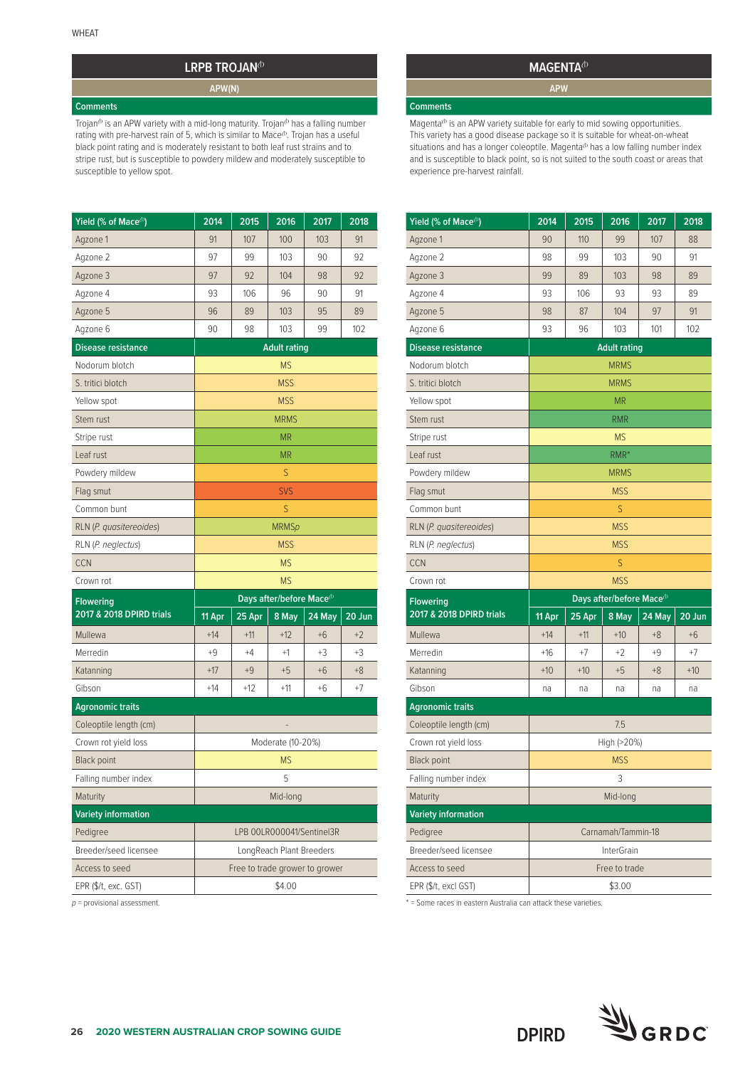## **LRPB TROJAN<sup>(b)</sup>**

**APW(N)**

#### **Comments**

Trojan<sup>®</sup> is an APW variety with a mid-long maturity. Trojan<sup>®</sup> has a falling number rating with pre-harvest rain of 5, which is similar to Mace<sup>®</sup>. Trojan has a useful black point rating and is moderately resistant to both leaf rust strains and to stripe rust, but is susceptible to powdery mildew and moderately susceptible to susceptible to yellow spot.

| Yield (% of Mace <sup>(b)</sup>        | 2014      | 2015                                  | 2016                     | 2017                           | 2018   |  |  |
|----------------------------------------|-----------|---------------------------------------|--------------------------|--------------------------------|--------|--|--|
| Agzone 1                               | 91        | 107                                   | 100                      | 103                            | 91     |  |  |
| Agzone 2                               | 97        | 99                                    | 103                      | 90                             | 92     |  |  |
| Agzone 3                               | 97        | 92                                    | 104                      | 98                             | 92     |  |  |
| Agzone 4                               | 93        | 106                                   | 96                       | 90                             | 91     |  |  |
| Agzone 5                               | 96        | 89                                    | 103                      | 95                             | 89     |  |  |
| Agzone 6                               | 90        | 98                                    | 103                      | 99                             | 102    |  |  |
| <b>Disease resistance</b>              |           |                                       | <b>Adult rating</b>      |                                |        |  |  |
| Nodorum blotch                         |           |                                       | <b>MS</b>                |                                |        |  |  |
| S. tritici blotch                      |           |                                       | <b>MSS</b>               |                                |        |  |  |
| Yellow spot                            |           |                                       | <b>MSS</b>               |                                |        |  |  |
| Stem rust                              |           |                                       | <b>MRMS</b>              |                                |        |  |  |
| Stripe rust                            |           |                                       | <b>MR</b>                |                                |        |  |  |
| Leaf rust                              |           |                                       | <b>MR</b>                |                                |        |  |  |
| Powdery mildew                         |           |                                       | S                        |                                |        |  |  |
| Flag smut                              |           |                                       | <b>SVS</b>               |                                |        |  |  |
| Common bunt                            |           |                                       | S                        |                                |        |  |  |
| RLN (P. quasitereoides)                |           |                                       | <b>MRMSp</b>             |                                |        |  |  |
| RLN (P. neglectus)                     |           |                                       | <b>MSS</b>               |                                |        |  |  |
| CCN                                    |           |                                       | <b>MS</b>                |                                |        |  |  |
|                                        | <b>MS</b> |                                       |                          |                                |        |  |  |
| Crown rot                              |           | Days after/before Mace <sup>(b)</sup> |                          |                                |        |  |  |
| <b>Flowering</b>                       |           |                                       |                          |                                |        |  |  |
| 2017 & 2018 DPIRD trials               | 11 Apr    | 25 Apr                                | 8 May                    | 24 May                         | 20 Jun |  |  |
| Mullewa                                | $+14$     | $+11$                                 | $+12$                    | $+6$                           | $+2$   |  |  |
| Merredin                               | $+9$      | $+4$                                  | $+1$                     | +3                             | $+3$   |  |  |
| Katanning                              | $+17$     | $+9$                                  | $+5$                     | +6                             | $+8$   |  |  |
| Gibson                                 | $+14$     | $+12$                                 | $+11$                    | $+6$                           | $+7$   |  |  |
| <b>Agronomic traits</b>                |           |                                       |                          |                                |        |  |  |
| Coleoptile length (cm)                 |           |                                       |                          |                                |        |  |  |
| Crown rot yield loss                   |           |                                       | Moderate (10-20%)        |                                |        |  |  |
| <b>Black point</b>                     |           |                                       | <b>MS</b>                |                                |        |  |  |
| Falling number index                   |           |                                       | 5                        |                                |        |  |  |
| Maturity                               |           |                                       | Mid-long                 |                                |        |  |  |
| <b>Variety information</b>             |           |                                       |                          |                                |        |  |  |
| Pedigree                               |           |                                       |                          | LPB 00LR000041/Sentinel3R      |        |  |  |
| Breeder/seed licensee                  |           |                                       | LongReach Plant Breeders |                                |        |  |  |
| Access to seed<br>EPR (\$/t, exc. GST) |           |                                       |                          | Free to trade grower to grower |        |  |  |

*p* = provisional assessment.

### **MAGENTA**<sup> $b$ </sup> **APW**

#### **Comments**

Magenta $\Phi$  is an APW variety suitable for early to mid sowing opportunities. This variety has a good disease package so it is suitable for wheat-on-wheat situations and has a longer coleoptile. Magenta<sup>b</sup> has a low falling number index is and is susceptible to black point, so is not suited to the south coast or areas that experience pre-harvest rainfall.

| Yield (% of Mace <sup>(b)</sup> | 2014                                                                                                       | 2015     | 2016              | 2017   | 2018   |
|---------------------------------|------------------------------------------------------------------------------------------------------------|----------|-------------------|--------|--------|
| Agzone 1                        | 90                                                                                                         | 110      | 99                | 107    | 88     |
| Agzone 2                        | 98                                                                                                         | 99       | 103               | 90     | 91     |
| Agzone 3                        | 99                                                                                                         | 89       | 103               | 98     | 89     |
| Agzone 4                        | 93                                                                                                         | 106      | 93                | 93     | 89     |
| Agzone 5                        | 98                                                                                                         | 87       | 104               | 97     | 91     |
| Agzone 6                        | 93                                                                                                         | 96       | 103               | 101    | 102    |
| <b>Disease resistance</b>       |                                                                                                            |          |                   |        |        |
| Nodorum blotch                  |                                                                                                            |          | <b>MRMS</b>       |        |        |
| S. tritici blotch               |                                                                                                            |          | <b>MRMS</b>       |        |        |
| Yellow spot                     |                                                                                                            |          | <b>MR</b>         |        |        |
| Stem rust                       |                                                                                                            |          | <b>RMR</b>        |        |        |
| Stripe rust                     |                                                                                                            |          | <b>MS</b>         |        |        |
| Leaf rust                       |                                                                                                            |          | RMR*              |        |        |
| Powdery mildew                  |                                                                                                            |          | <b>MRMS</b>       |        |        |
| Flag smut                       |                                                                                                            |          | <b>MSS</b>        |        |        |
| Common bunt                     |                                                                                                            |          | S                 |        |        |
| RLN (P. quasitereoides)         |                                                                                                            |          | <b>MSS</b>        |        |        |
| RLN (P. neglectus)              |                                                                                                            |          | <b>MSS</b>        |        |        |
| <b>CCN</b>                      |                                                                                                            |          | S                 |        |        |
| Crown rot                       |                                                                                                            |          | <b>MSS</b>        |        |        |
| <b>Flowering</b>                |                                                                                                            |          |                   |        |        |
| 2017 & 2018 DPIRD trials        | 11 Apr                                                                                                     | $25$ Apr | 8 May             | 24 May | 20 Jun |
| Mullewa                         | $+14$                                                                                                      | $+11$    | $+10$             | $+8$   | $+6$   |
| Merredin                        | $+16$                                                                                                      | $+7$     | $+2$              | $+9$   | +7     |
| Katanning                       |                                                                                                            |          |                   |        |        |
|                                 |                                                                                                            | $+10$    | $+5$              | $+8$   | $+10$  |
| Gibson                          | na                                                                                                         | na       | na                | na     | na     |
| <b>Agronomic traits</b>         |                                                                                                            |          |                   |        |        |
| Coleoptile length (cm)          |                                                                                                            |          | 7.5               |        |        |
| Crown rot yield loss            |                                                                                                            |          |                   |        |        |
| Black point                     |                                                                                                            |          | <b>MSS</b>        |        |        |
| Falling number index            |                                                                                                            |          | 3                 |        |        |
| Maturity                        |                                                                                                            |          | Mid-long          |        |        |
| <b>Variety information</b>      |                                                                                                            |          |                   |        |        |
| Pedigree                        | <b>Adult rating</b><br>Days after/before Mace <sup>(b)</sup><br>$+10$<br>High (>20%)<br>Carnamah/Tammin-18 |          |                   |        |        |
| Breeder/seed licensee           |                                                                                                            |          | <b>InterGrain</b> |        |        |
| Access to seed                  |                                                                                                            |          | Free to trade     |        |        |

\* = Some races in eastern Australia can attack these varieties.

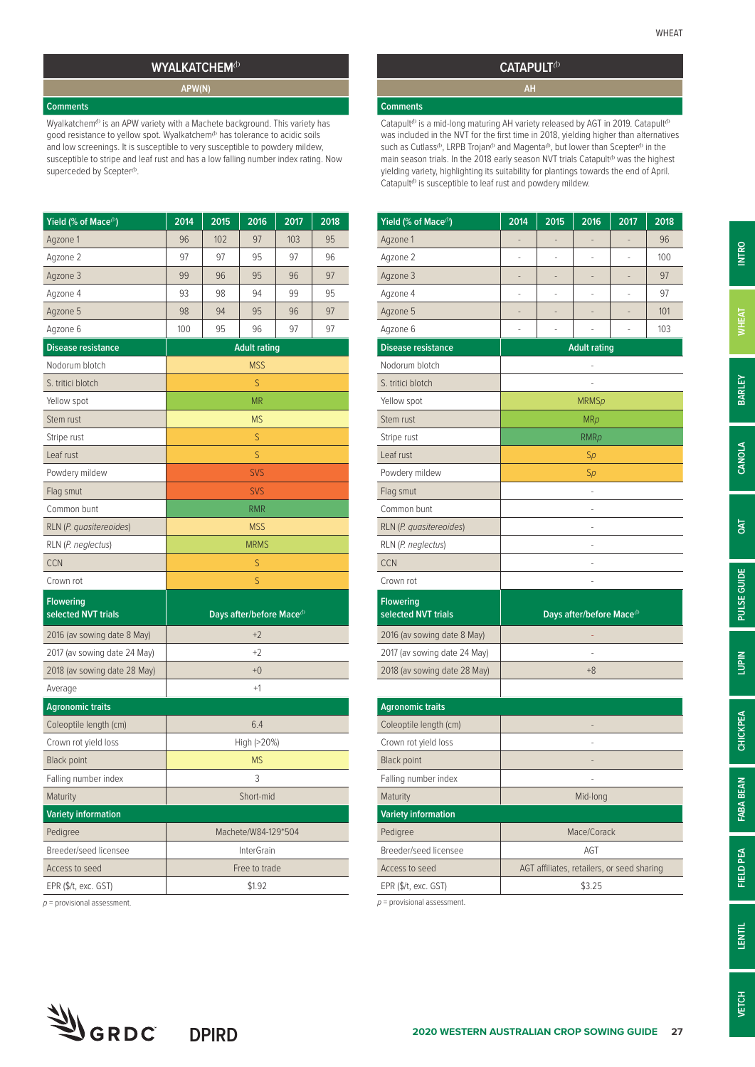## **WYALKATCHEM**<sup>(b)</sup> **APW(N)**

#### **Comments**

Wyalkatchem<sup>®</sup> is an APW variety with a Machete background. This variety has good resistance to yellow spot. Wyalkatchem $\Phi$  has tolerance to acidic soils and low screenings. It is susceptible to very susceptible to powdery mildew, susceptible to stripe and leaf rust and has a low falling number index rating. Now superceded by Scepter<sup>(b</sup>.

| Yield (% of Mace <sup>(b)</sup>         | 2014       | 2015 | 2016                                | 2017 | 2018 |
|-----------------------------------------|------------|------|-------------------------------------|------|------|
| Agzone 1                                | 96         | 102  | 97                                  | 103  | 95   |
| Agzone 2                                | 97         | 97   | 95                                  | 97   | 96   |
| Agzone 3                                | 99         | 96   | 95                                  | 96   | 97   |
| Agzone 4                                | 93         | 98   | 94                                  | 99   | 95   |
| Agzone 5                                | 98         | 94   | 95                                  | 96   | 97   |
| Agzone 6                                | 100        | 95   | 96                                  | 97   | 97   |
| <b>Disease resistance</b>               |            |      | <b>Adult rating</b>                 |      |      |
| Nodorum blotch                          | <b>MSS</b> |      |                                     |      |      |
| S. tritici blotch                       |            |      | S                                   |      |      |
| Yellow spot                             |            |      | <b>MR</b>                           |      |      |
| Stem rust                               |            |      | <b>MS</b>                           |      |      |
| Stripe rust                             |            |      | S                                   |      |      |
| Leaf rust                               |            |      | S                                   |      |      |
| Powdery mildew                          |            |      | <b>SVS</b>                          |      |      |
| Flag smut                               |            |      | <b>SVS</b>                          |      |      |
| Common bunt                             |            |      | RMR                                 |      |      |
| RLN (P. quasitereoides)                 |            |      | <b>MSS</b>                          |      |      |
| RLN (P. neglectus)                      |            |      | <b>MRMS</b>                         |      |      |
| <b>CCN</b>                              |            |      | S                                   |      |      |
| Crown rot                               |            |      | S                                   |      |      |
| <b>Flowering</b><br>selected NVT trials |            |      | Days after/before Mace <sup>®</sup> |      |      |
| 2016 (av sowing date 8 May)             |            |      | $+2$                                |      |      |
| 2017 (av sowing date 24 May)            |            |      | $+2$                                |      |      |
| 2018 (av sowing date 28 May)            |            |      | $+0$                                |      |      |
| Average                                 |            |      | $+1$                                |      |      |
| <b>Agronomic traits</b>                 |            |      |                                     |      |      |
| Coleoptile length (cm)                  |            |      | 6.4                                 |      |      |
| Crown rot yield loss                    |            |      | High (>20%)                         |      |      |
| <b>Black point</b>                      |            |      | <b>MS</b>                           |      |      |
| Falling number index                    |            |      | 3                                   |      |      |
| Maturity                                |            |      | Short-mid                           |      |      |
| <b>Variety information</b>              |            |      |                                     |      |      |
| Pedigree                                |            |      | Machete/W84-129*504                 |      |      |
| Breeder/seed licensee                   |            |      | <b>InterGrain</b>                   |      |      |
| Access to seed                          |            |      | Free to trade                       |      |      |
| EPR (\$/t, exc. GST)                    |            |      | \$1.92                              |      |      |
|                                         |            |      |                                     |      |      |

**DPIRD**

*p* = provisional assessment.

SORDC

#### **CATAPULT**<sup>(b)</sup>

#### **Comments**

Catapult<sup> $b$ </sup> is a mid-long maturing AH variety released by AGT in 2019. Catapult<sup> $b$ </sup> was included in the NVT for the first time in 2018, yielding higher than alternatives such as Cutlass<sup> $\Phi$ </sup>, LRPB Trojan $\Phi$  and Magenta $\Phi$ , but lower than Scepter $\Phi$  in the main season trials. In the 2018 early season NVT trials Catapult<sup>(b</sup> was the highest yielding variety, highlighting its suitability for plantings towards the end of April. Catapult $\Phi$  is susceptible to leaf rust and powdery mildew.

| Yield (% of Mace <sup>(b)</sup>         | 2014 | 2015                                       | 2016                                  | 2017 | 2018 |  |
|-----------------------------------------|------|--------------------------------------------|---------------------------------------|------|------|--|
| Agzone 1                                |      |                                            |                                       |      | 96   |  |
| Agzone 2                                | L,   | L,                                         | i.                                    | ä,   | 100  |  |
| Agzone 3                                |      | $\overline{a}$                             | L,                                    | L,   | 97   |  |
| Agzone 4                                | ä,   | í.                                         | L                                     | J.   | 97   |  |
| Agzone 5                                |      |                                            |                                       |      | 101  |  |
| Agzone 6                                |      |                                            |                                       |      | 103  |  |
| <b>Disease resistance</b>               |      |                                            | <b>Adult rating</b>                   |      |      |  |
| Nodorum blotch                          | Ĭ.   |                                            |                                       |      |      |  |
| S. tritici blotch                       |      |                                            |                                       |      |      |  |
| Yellow spot                             |      |                                            | <b>MRMSp</b>                          |      |      |  |
| Stem rust                               |      |                                            | MRp                                   |      |      |  |
| Stripe rust                             |      |                                            | <b>RMRp</b>                           |      |      |  |
| Leaf rust                               |      |                                            | Sp                                    |      |      |  |
| Powdery mildew                          |      |                                            | Sp                                    |      |      |  |
| Flag smut                               |      |                                            | L,                                    |      |      |  |
| Common bunt                             |      |                                            |                                       |      |      |  |
| RLN (P. quasitereoides)                 |      |                                            | ÷,                                    |      |      |  |
| RLN (P. neglectus)                      |      |                                            |                                       |      |      |  |
| <b>CCN</b>                              |      |                                            |                                       |      |      |  |
| Crown rot                               |      |                                            |                                       |      |      |  |
| <b>Flowering</b><br>selected NVT trials |      |                                            | Days after/before Mace <sup>(b)</sup> |      |      |  |
| 2016 (av sowing date 8 May)             |      |                                            |                                       |      |      |  |
| 2017 (av sowing date 24 May)            |      |                                            |                                       |      |      |  |
| 2018 (av sowing date 28 May)            |      |                                            | $+8$                                  |      |      |  |
|                                         |      |                                            |                                       |      |      |  |
| <b>Agronomic traits</b>                 |      |                                            |                                       |      |      |  |
| Coleoptile length (cm)                  |      |                                            |                                       |      |      |  |
| Crown rot yield loss                    |      |                                            |                                       |      |      |  |
| <b>Black point</b>                      |      |                                            |                                       |      |      |  |
| Falling number index                    |      |                                            |                                       |      |      |  |
| Maturity                                |      |                                            | Mid-long                              |      |      |  |
| <b>Variety information</b>              |      |                                            |                                       |      |      |  |
| Pedigree                                |      |                                            | Mace/Corack                           |      |      |  |
| Breeder/seed licensee                   |      |                                            | AGT                                   |      |      |  |
| Access to seed                          |      | AGT affiliates, retailers, or seed sharing |                                       |      |      |  |

*p* = provisional assessment.



**OAT**

 $EPR$  (\$/t, exc. GST)  $\qquad \qquad$  \$3.25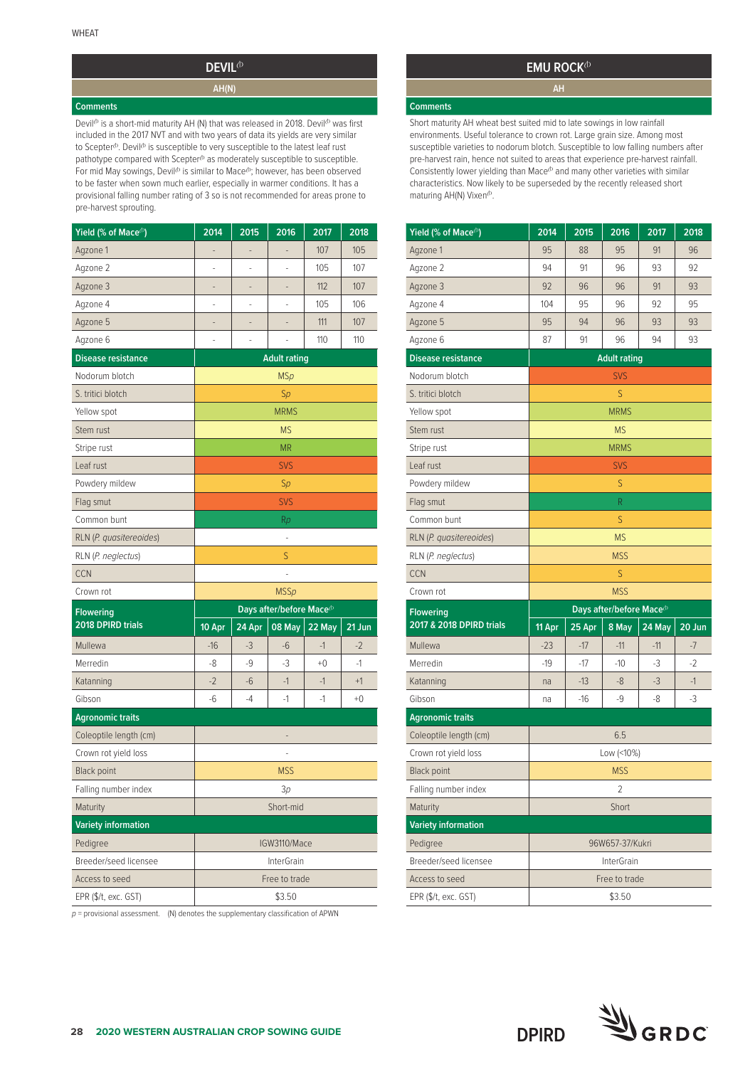## **DEVIL**<sup> $\Phi$ </sup> **AH(N)**

#### **Comments**

Devil<sup> $b$ </sup> is a short-mid maturity AH (N) that was released in 2018. Devil $b$  was first included in the 2017 NVT and with two years of data its yields are very similar to Scepter<sup>®</sup>. Devil<sup>®</sup> is susceptible to very susceptible to the latest leaf rust pathotype compared with Scepter<sup>®</sup> as moderately susceptible to susceptible. For mid May sowings, Devil<sup>(b</sup> is similar to Mace<sup>(b</sup>; however, has been observed to be faster when sown much earlier, especially in warmer conditions. It has a provisional falling number rating of 3 so is not recommended for areas prone to pre-harvest sprouting.

| Yield (% of Mace <sup>(b)</sup> | 2014   | 2015           | 2016                                  | 2017   | 2018   |
|---------------------------------|--------|----------------|---------------------------------------|--------|--------|
| Agzone 1                        | ÷      | $\overline{a}$ | $\overline{a}$                        | 107    | 105    |
| Agzone 2                        |        |                |                                       | 105    | 107    |
| Agzone 3                        | -      | -              |                                       | 112    | 107    |
| Agzone 4                        |        |                |                                       | 105    | 106    |
| Agzone 5                        |        | $\overline{a}$ |                                       | 111    | 107    |
| Agzone 6                        | ÷      |                |                                       | 110    | 110    |
| <b>Disease resistance</b>       |        |                | <b>Adult rating</b>                   |        |        |
| Nodorum blotch                  |        |                | <b>MSp</b>                            |        |        |
| S. tritici blotch               |        |                | Sp                                    |        |        |
| Yellow spot                     |        |                | <b>MRMS</b>                           |        |        |
| Stem rust                       |        |                | <b>MS</b>                             |        |        |
| Stripe rust                     |        |                | <b>MR</b>                             |        |        |
| Leaf rust                       |        |                | <b>SVS</b>                            |        |        |
| Powdery mildew                  |        |                | Sp                                    |        |        |
| Flag smut                       |        |                | <b>SVS</b>                            |        |        |
| Common bunt                     |        |                | Rp                                    |        |        |
| RLN (P. quasitereoides)         |        |                |                                       |        |        |
| RLN (P. neglectus)              |        |                | S                                     |        |        |
| <b>CCN</b>                      |        |                |                                       |        |        |
| Crown rot                       |        |                | <b>MSSp</b>                           |        |        |
| <b>Flowering</b>                |        |                | Days after/before Mace <sup>(b)</sup> |        |        |
| 2018 DPIRD trials               | 10 Apr | 24 Apr         | 08 May                                | 22 May | 21 Jun |
| Mullewa                         | $-16$  | $-3$           | $-6$                                  | $-1$   | $-2$   |
| Merredin                        | -8     | $-9$           | $-3$                                  | $+0$   | $-1$   |
| Katanning                       | $-2$   | $-6$           | $-1$                                  | $-1$   | $+1$   |
| Gibson                          | $-6$   | -4             | $-1$                                  | $-1$   | $+0$   |
| <b>Agronomic traits</b>         |        |                |                                       |        |        |
| Coleoptile length (cm)          |        |                |                                       |        |        |
| Crown rot yield loss            |        |                |                                       |        |        |
| <b>Black point</b>              |        |                | <b>MSS</b>                            |        |        |
| Falling number index            |        |                | Зp                                    |        |        |
| Maturity                        |        |                | Short-mid                             |        |        |
| <b>Variety information</b>      |        |                |                                       |        |        |
| Pedigree                        |        |                | IGW3110/Mace                          |        |        |
| Breeder/seed licensee           |        |                | <b>InterGrain</b>                     |        |        |
| Access to seed                  |        |                | Free to trade                         |        |        |
| EPR (\$/t, exc. GST)            |        |                | \$3.50                                |        |        |

 $p$  = provisional assessment. (N) denotes the supplementary classification of APWN

#### **EMU ROCK**<sup>(b)</sup>

#### **Comments**

Short maturity AH wheat best suited mid to late sowings in low rainfall environments. Useful tolerance to crown rot. Large grain size. Among most susceptible varieties to nodorum blotch. Susceptible to low falling numbers after pre-harvest rain, hence not suited to areas that experience pre-harvest rainfall. Consistently lower yielding than Mace<sup>(b</sup> and many other varieties with similar characteristics. Now likely to be superseded by the recently released short maturing AH(N) Vixen<sup>®</sup>.

| Yield (% of Mace <sup>(b)</sup> | 2014   | 2015   | 2016                                  | 2017   | 2018   |
|---------------------------------|--------|--------|---------------------------------------|--------|--------|
| Agzone 1                        | 95     | 88     | 95                                    | 91     | 96     |
| Agzone 2                        | 94     | 91     | 96                                    | 93     | 92     |
| Agzone 3                        | 92     | 96     | 96                                    | 91     | 93     |
| Agzone 4                        | 104    | 95     | 96                                    | 92     | 95     |
| Agzone 5                        | 95     | 94     | 96                                    | 93     | 93     |
| Agzone 6                        | 87     | 91     | 96                                    | 94     | 93     |
| <b>Disease resistance</b>       |        |        | <b>Adult rating</b>                   |        |        |
| Nodorum blotch                  |        |        | SVS                                   |        |        |
| S. tritici blotch               |        |        | S                                     |        |        |
| Yellow spot                     |        |        | <b>MRMS</b>                           |        |        |
| Stem rust                       |        |        | <b>MS</b>                             |        |        |
| Stripe rust                     |        |        | <b>MRMS</b>                           |        |        |
| Leaf rust                       |        |        | <b>SVS</b>                            |        |        |
| Powdery mildew                  |        |        | S                                     |        |        |
| Flag smut                       |        |        | R                                     |        |        |
| Common bunt                     |        |        | S                                     |        |        |
| RLN (P. quasitereoides)         |        |        | <b>MS</b>                             |        |        |
| RLN (P. neglectus)              |        |        | <b>MSS</b>                            |        |        |
| CCN                             |        |        | S                                     |        |        |
| Crown rot                       |        |        | <b>MSS</b>                            |        |        |
| <b>Flowering</b>                |        |        | Days after/before Mace <sup>(b)</sup> |        |        |
| 2017 & 2018 DPIRD trials        | 11 Apr | 25 Apr | 8 May                                 | 24 May | 20 Jun |
| Mullewa                         | $-23$  | $-17$  | $-11$                                 | $-11$  | -7     |
| Merredin                        | -19    | $-17$  | -10                                   | -3     | -2     |
| Katanning                       | na     | $-13$  | -8                                    | -3     | $-1$   |
| Gibson                          | na     | $-16$  | -9                                    | -8     | -3     |
| <b>Agronomic traits</b>         |        |        |                                       |        |        |
| Coleoptile length (cm)          |        |        | 6.5                                   |        |        |
| Crown rot yield loss            |        |        | Low (<10%)                            |        |        |
| Black point                     |        |        | <b>MSS</b>                            |        |        |
| Falling number index            |        |        |                                       |        |        |
|                                 |        |        | 2                                     |        |        |
| Maturity                        |        |        | Short                                 |        |        |
| <b>Variety information</b>      |        |        |                                       |        |        |
| Pedigree                        |        |        | 96W657-37/Kukri                       |        |        |
| Breeder/seed licensee           |        |        | <b>InterGrain</b>                     |        |        |
| Access to seed                  |        |        | Free to trade                         |        |        |

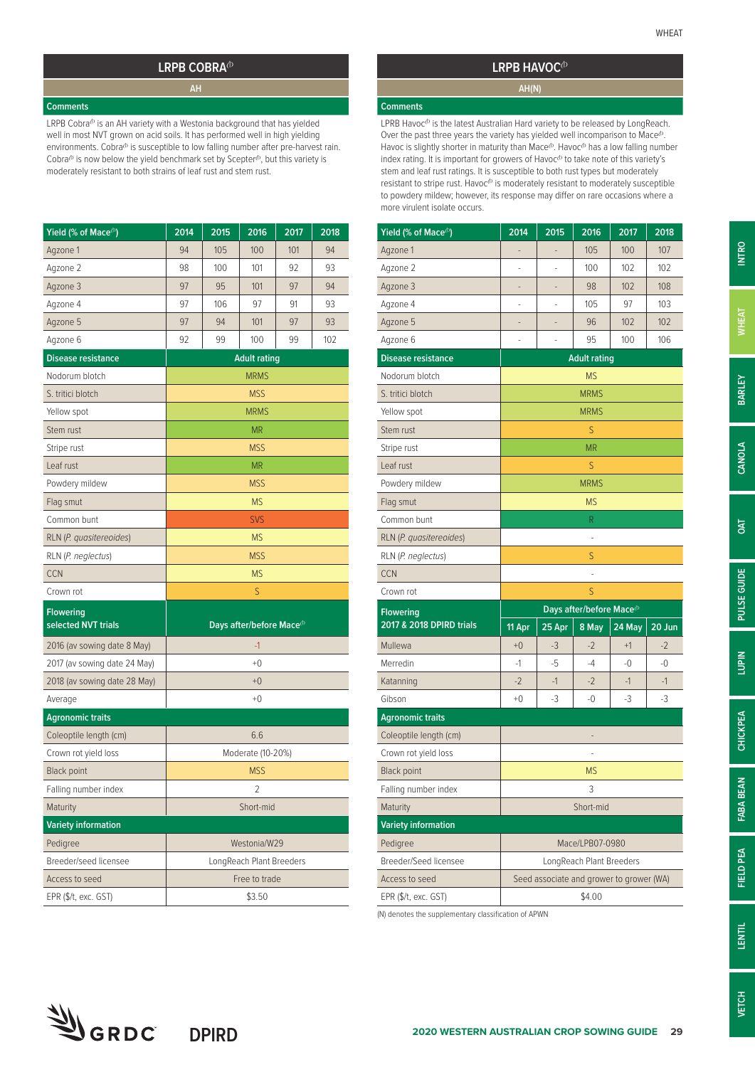#### LRPB COBRA<sup>(b)</sup>

#### **Comments**

LRPB Cobra<sup>(b</sup> is an AH variety with a Westonia background that has yielded well in most NVT grown on acid soils. It has performed well in high yielding environments. Cobra<sup>®</sup> is susceptible to low falling number after pre-harvest rain. Cobra $^{\circ}$  is now below the yield benchmark set by Scepter $^{\circ}$ , but this variety is moderately resistant to both strains of leaf rust and stem rust.

| Yield (% of Mace <sup>(b)</sup>         | 2014                | 2015 | 2016                                 | 2017 | 2018 |  |  |
|-----------------------------------------|---------------------|------|--------------------------------------|------|------|--|--|
| Agzone 1                                | 94                  | 105  | 100                                  | 101  | 94   |  |  |
| Agzone 2                                | 98                  | 100  | 101                                  | 92   | 93   |  |  |
| Agzone 3                                | 97                  | 95   | 101                                  | 97   | 94   |  |  |
| Agzone 4                                | 97                  | 106  | 97                                   | 91   | 93   |  |  |
| Agzone 5                                | 97                  | 94   | 101                                  | 97   | 93   |  |  |
| Agzone 6                                | 92                  | 99   | 100                                  | 99   | 102  |  |  |
| <b>Disease resistance</b>               | <b>Adult rating</b> |      |                                      |      |      |  |  |
| Nodorum blotch                          |                     |      | <b>MRMS</b>                          |      |      |  |  |
| S. tritici blotch                       |                     |      | <b>MSS</b>                           |      |      |  |  |
| Yellow spot                             |                     |      | <b>MRMS</b>                          |      |      |  |  |
| Stem rust                               |                     |      | ΜR                                   |      |      |  |  |
| Stripe rust                             |                     |      | <b>MSS</b>                           |      |      |  |  |
| Leaf rust                               |                     |      | <b>MR</b>                            |      |      |  |  |
| Powdery mildew                          |                     |      | <b>MSS</b>                           |      |      |  |  |
| Flag smut                               |                     |      | <b>MS</b>                            |      |      |  |  |
| Common bunt                             |                     |      | <b>SVS</b>                           |      |      |  |  |
| RLN (P. quasitereoides)                 |                     |      | <b>MS</b>                            |      |      |  |  |
| RLN (P. neglectus)                      |                     |      | <b>MSS</b>                           |      |      |  |  |
| <b>CCN</b>                              |                     |      | <b>MS</b>                            |      |      |  |  |
| Crown rot                               |                     |      | S                                    |      |      |  |  |
| <b>Flowering</b><br>selected NVT trials |                     |      | Days after/before Mace <sup>(b</sup> |      |      |  |  |
| 2016 (av sowing date 8 May)             |                     |      | $-1$                                 |      |      |  |  |
| 2017 (av sowing date 24 May)            |                     |      | $+0$                                 |      |      |  |  |
| 2018 (av sowing date 28 May)            |                     |      | $+0$                                 |      |      |  |  |
| Average                                 |                     |      | $+0$                                 |      |      |  |  |
| <b>Agronomic traits</b>                 |                     |      |                                      |      |      |  |  |
| Coleoptile length (cm)                  |                     |      | 6.6                                  |      |      |  |  |
| Crown rot yield loss                    |                     |      | Moderate (10-20%)                    |      |      |  |  |
| <b>Black point</b>                      |                     |      | <b>MSS</b>                           |      |      |  |  |
| Falling number index                    |                     |      | 2                                    |      |      |  |  |
| Maturity                                |                     |      | Short-mid                            |      |      |  |  |
| <b>Variety information</b>              |                     |      |                                      |      |      |  |  |
| Pedigree                                |                     |      | Westonia/W29                         |      |      |  |  |
| Breeder/seed licensee                   |                     |      | LongReach Plant Breeders             |      |      |  |  |
| Access to seed                          |                     |      | Free to trade                        |      |      |  |  |
| EPR (\$/t, exc. GST)                    |                     |      | \$3.50                               |      |      |  |  |

### **LRPB HAVOC**<sup>(b)</sup> **AH(N)**

## **Comments**

LPRB Havoc $^{\text{cb}}$  is the latest Australian Hard variety to be released by LongReach. Over the past three years the variety has yielded well incomparison to Mace $\Phi$ Havoc is slightly shorter in maturity than Mace<sup>®</sup>. Havoc<sup>®</sup> has a low falling number index rating. It is important for growers of Havoc<sup>®</sup> to take note of this variety's stem and leaf rust ratings. It is susceptible to both rust types but moderately resistant to stripe rust. Havoc<sup>®</sup> is moderately resistant to moderately susceptible to powdery mildew; however, its response may differ on rare occasions where a more virulent isolate occurs.

| Yield (% of Mace <sup>(b)</sup> | 2014                                                                                                                                                                          | 2015   | 2016        | 2017   | 2018   |  |
|---------------------------------|-------------------------------------------------------------------------------------------------------------------------------------------------------------------------------|--------|-------------|--------|--------|--|
| Agzone 1                        | -                                                                                                                                                                             | -      | 105         | 100    | 107    |  |
| Agzone 2                        |                                                                                                                                                                               |        | 100         | 102    | 102    |  |
| Agzone 3                        |                                                                                                                                                                               |        | 98          | 102    | 108    |  |
| Agzone 4                        | ÷                                                                                                                                                                             | ÷      | 105         | 97     | 103    |  |
| Agzone 5                        |                                                                                                                                                                               |        | 96          | 102    | 102    |  |
| Agzone 6                        | ÷                                                                                                                                                                             |        | 95          | 100    | 106    |  |
| <b>Disease resistance</b>       |                                                                                                                                                                               |        |             |        |        |  |
| Nodorum blotch                  |                                                                                                                                                                               |        | <b>MS</b>   |        |        |  |
| S. tritici blotch               |                                                                                                                                                                               |        | <b>MRMS</b> |        |        |  |
| Yellow spot                     |                                                                                                                                                                               |        | <b>MRMS</b> |        |        |  |
| Stem rust                       | S<br><b>MR</b>                                                                                                                                                                |        |             |        |        |  |
| Stripe rust                     |                                                                                                                                                                               |        |             |        |        |  |
| Leaf rust                       |                                                                                                                                                                               |        | S           |        |        |  |
| Powdery mildew                  |                                                                                                                                                                               |        | <b>MRMS</b> |        |        |  |
| Flag smut                       |                                                                                                                                                                               |        | <b>MS</b>   |        |        |  |
| Common bunt                     |                                                                                                                                                                               |        | R           |        |        |  |
| RLN (P. quasitereoides)         |                                                                                                                                                                               |        |             |        |        |  |
| RLN (P. neglectus)              |                                                                                                                                                                               |        | S           |        |        |  |
| <b>CCN</b>                      |                                                                                                                                                                               |        |             |        |        |  |
| Crown rot                       |                                                                                                                                                                               |        | S           |        |        |  |
| <b>Flowering</b>                |                                                                                                                                                                               |        |             |        |        |  |
| 2017 & 2018 DPIRD trials        | 11 Apr                                                                                                                                                                        | 25 Apr | 8 May       | 24 May | 20 Jun |  |
| Mullewa                         | $+0$                                                                                                                                                                          | $-3$   | $-2$        | $+1$   | $-2$   |  |
| Merredin                        | $-1$                                                                                                                                                                          | -5     | -4          | -0     | -0     |  |
| Katanning                       | $-2$                                                                                                                                                                          | $-1$   | $-2$        | $-1$   | $-1$   |  |
| Gibson                          | $+0$                                                                                                                                                                          | $-3$   | $-0$        | -3     | -3     |  |
| <b>Agronomic traits</b>         |                                                                                                                                                                               |        |             |        |        |  |
| Coleoptile length (cm)          |                                                                                                                                                                               |        | -           |        |        |  |
| Crown rot yield loss            |                                                                                                                                                                               |        | i,          |        |        |  |
| <b>Black point</b>              |                                                                                                                                                                               |        | <b>MS</b>   |        |        |  |
| Falling number index            |                                                                                                                                                                               |        | 3           |        |        |  |
| Maturity                        |                                                                                                                                                                               |        |             |        |        |  |
| <b>Variety information</b>      |                                                                                                                                                                               |        |             |        |        |  |
| Pedigree                        |                                                                                                                                                                               |        |             |        |        |  |
| Breeder/Seed licensee           |                                                                                                                                                                               |        |             |        |        |  |
| Access to seed                  | <b>Adult rating</b><br>Days after/before Mace <sup>(b</sup><br>Short-mid<br>Mace/LPB07-0980<br>LongReach Plant Breeders<br>Seed associate and grower to grower (WA)<br>\$4.00 |        |             |        |        |  |
| EPR (\$/t, exc. GST)            |                                                                                                                                                                               |        |             |        |        |  |

(N) denotes the supplementary classification of APWN



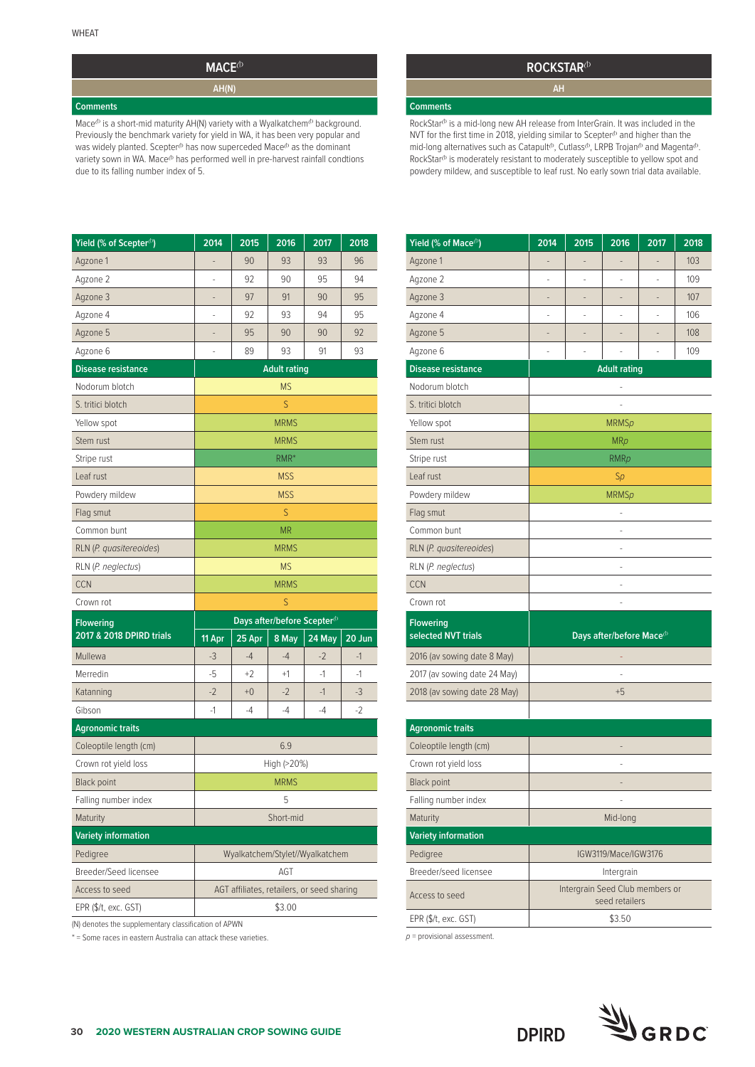## **MACE**<sup>(b)</sup> **AH(N)**

#### **Comments**

Mace<sup>(b</sup> is a short-mid maturity AH(N) variety with a Wyalkatchem<sup>(b</sup> background. Previously the benchmark variety for yield in WA, it has been very popular and was widely planted. Scepter<sup>( $b$ </sup> has now superceded Mace<sup> $b$ </sup> as the dominant variety sown in WA. Mace<sup>(b</sup> has performed well in pre-harvest rainfall condtions due to its falling number index of 5.

#### **ROCKSTAR**<sup>(b)</sup>

#### **Comments**

RockStar<sup>®</sup> is a mid-long new AH release from InterGrain. It was included in the NVT for the first time in 2018, yielding similar to Scepter $\Phi$  and higher than the mid-long alternatives such as Catapult<sup> $\theta$ </sup>, Cutlass<sup> $\theta$ </sup>, LRPB Trojan<sup> $\theta$ </sup> and Magenta<sup> $\theta$ </sup>. RockStar<sup>(b</sup> is moderately resistant to moderately susceptible to yellow spot and powdery mildew, and susceptible to leaf rust. No early sown trial data available.

| Yield (% of Scepter <sup>(1)</sup> ) | 2014                | 2015                                       | 2016                                    | 2017   | 2018   |  |  |
|--------------------------------------|---------------------|--------------------------------------------|-----------------------------------------|--------|--------|--|--|
| Agzone 1                             |                     | 90                                         | 93                                      | 93     | 96     |  |  |
| Agzone 2                             | ä,                  | 92                                         | 90                                      | 95     | 94     |  |  |
| Agzone 3                             |                     | 97                                         | 91                                      | 90     | 95     |  |  |
| Agzone 4                             | ä,                  | 92                                         | 93                                      | 94     | 95     |  |  |
| Agzone 5                             |                     | 95                                         | 90                                      | 90     | 92     |  |  |
| Agzone 6                             |                     | 89                                         | 93                                      | 91     | 93     |  |  |
| <b>Disease resistance</b>            | <b>Adult rating</b> |                                            |                                         |        |        |  |  |
| Nodorum blotch                       | <b>MS</b>           |                                            |                                         |        |        |  |  |
| S. tritici blotch                    |                     |                                            | S                                       |        |        |  |  |
| Yellow spot                          |                     |                                            | <b>MRMS</b>                             |        |        |  |  |
| Stem rust                            |                     |                                            | <b>MRMS</b>                             |        |        |  |  |
| Stripe rust                          |                     |                                            | RMR*                                    |        |        |  |  |
| Leaf rust                            |                     |                                            | <b>MSS</b>                              |        |        |  |  |
| Powdery mildew                       |                     |                                            | <b>MSS</b>                              |        |        |  |  |
| Flag smut                            |                     |                                            | S                                       |        |        |  |  |
| Common bunt                          |                     |                                            | <b>MR</b>                               |        |        |  |  |
| RLN (P. quasitereoides)              |                     |                                            | <b>MRMS</b>                             |        |        |  |  |
| RLN (P. neglectus)                   |                     |                                            | <b>MS</b>                               |        |        |  |  |
| <b>CCN</b>                           |                     |                                            | <b>MRMS</b>                             |        |        |  |  |
| Crown rot                            |                     |                                            | S                                       |        |        |  |  |
| <b>Flowering</b>                     |                     |                                            | Days after/before Scepter <sup>(b</sup> |        |        |  |  |
| 2017 & 2018 DPIRD trials             | $11$ Apr            | 25 Apr                                     | 8 May                                   | 24 May | 20 Jun |  |  |
| Mullewa                              | $-3$                | $-4$                                       | $-4$                                    | $-2$   | $-1$   |  |  |
| Merredin                             | -5                  | $+2$                                       | $+1$                                    | $-1$   | -1     |  |  |
| Katanning                            | $-2$                | $+0$                                       | $-2$                                    | $-1$   | $-3$   |  |  |
| Gibson                               | -1                  | -4                                         | $-4$                                    | -4     | $-2$   |  |  |
| <b>Agronomic traits</b>              |                     |                                            |                                         |        |        |  |  |
| Coleoptile length (cm)               |                     |                                            | 6.9                                     |        |        |  |  |
| Crown rot yield loss                 |                     |                                            | High (>20%)                             |        |        |  |  |
| <b>Black point</b>                   |                     |                                            | <b>MRMS</b>                             |        |        |  |  |
| Falling number index                 |                     |                                            | 5                                       |        |        |  |  |
| Maturity                             |                     |                                            | Short-mid                               |        |        |  |  |
| <b>Variety information</b>           |                     |                                            |                                         |        |        |  |  |
| Pedigree                             |                     | Wyalkatchem/Stylet//Wyalkatchem            |                                         |        |        |  |  |
| Breeder/Seed licensee                |                     |                                            | AGT                                     |        |        |  |  |
| Access to seed                       |                     | AGT affiliates, retailers, or seed sharing |                                         |        |        |  |  |
| EPR (\$/t, exc. GST)                 |                     |                                            | \$3.00                                  |        |        |  |  |

(N) denotes the supplementary classification of APWN

\* = Some races in eastern Australia can attack these varieties.

| Yield (% of Mace <sup>(b)</sup>         | 2014           | 2015          | 2016                                 | 2017           | 2018 |
|-----------------------------------------|----------------|---------------|--------------------------------------|----------------|------|
| Agzone 1                                |                |               |                                      |                | 103  |
| Agzone 2                                |                |               |                                      |                | 109  |
| Agzone 3                                | $\overline{a}$ | $\frac{1}{2}$ |                                      | $\overline{a}$ | 107  |
| Agzone 4                                | ä,             | ä,            | ä,                                   | ä,             | 106  |
| Agzone 5                                |                |               |                                      |                | 108  |
| Agzone 6                                | ä,             |               |                                      |                | 109  |
| <b>Disease resistance</b>               |                |               | <b>Adult rating</b>                  |                |      |
| Nodorum blotch                          |                |               |                                      |                |      |
| S. tritici blotch                       |                |               |                                      |                |      |
| Yellow spot                             |                |               | <b>MRMSp</b>                         |                |      |
| Stem rust                               |                |               | <b>MRp</b>                           |                |      |
| Stripe rust                             |                |               | <b>RMRp</b>                          |                |      |
| Leaf rust                               |                |               | Sp                                   |                |      |
| Powdery mildew                          |                |               | <b>MRMSp</b>                         |                |      |
| Flag smut                               |                |               |                                      |                |      |
| Common bunt                             |                |               |                                      |                |      |
| RLN (P. quasitereoides)                 |                |               | ä,                                   |                |      |
| RLN (P. neglectus)                      |                |               |                                      |                |      |
| <b>CCN</b>                              |                |               |                                      |                |      |
| Crown rot                               |                |               |                                      |                |      |
| <b>Flowering</b><br>selected NVT trials |                |               | Days after/before Mace <sup>(b</sup> |                |      |
| 2016 (av sowing date 8 May)             |                |               |                                      |                |      |
| 2017 (av sowing date 24 May)            |                |               |                                      |                |      |
| 2018 (av sowing date 28 May)            |                |               | $+5$                                 |                |      |
|                                         |                |               |                                      |                |      |
| <b>Agronomic traits</b>                 |                |               |                                      |                |      |
| Coleoptile length (cm)                  |                |               |                                      |                |      |
| Crown rot yield loss                    |                |               |                                      |                |      |
| <b>Black point</b>                      |                |               |                                      |                |      |
| Falling number index                    |                |               |                                      |                |      |
| Maturity                                |                |               | Mid-long                             |                |      |
| <b>Variety information</b>              |                |               |                                      |                |      |
| Pedigree                                |                |               | IGW3119/Mace/IGW3176                 |                |      |
| Breeder/seed licensee                   |                |               | Intergrain                           |                |      |

*p* = provisional assessment.



seed retailers

**DPIRD**

Access to seed **Intergrain Seed Club members or** 

EPR (\$/t, exc. GST)  $$3.50$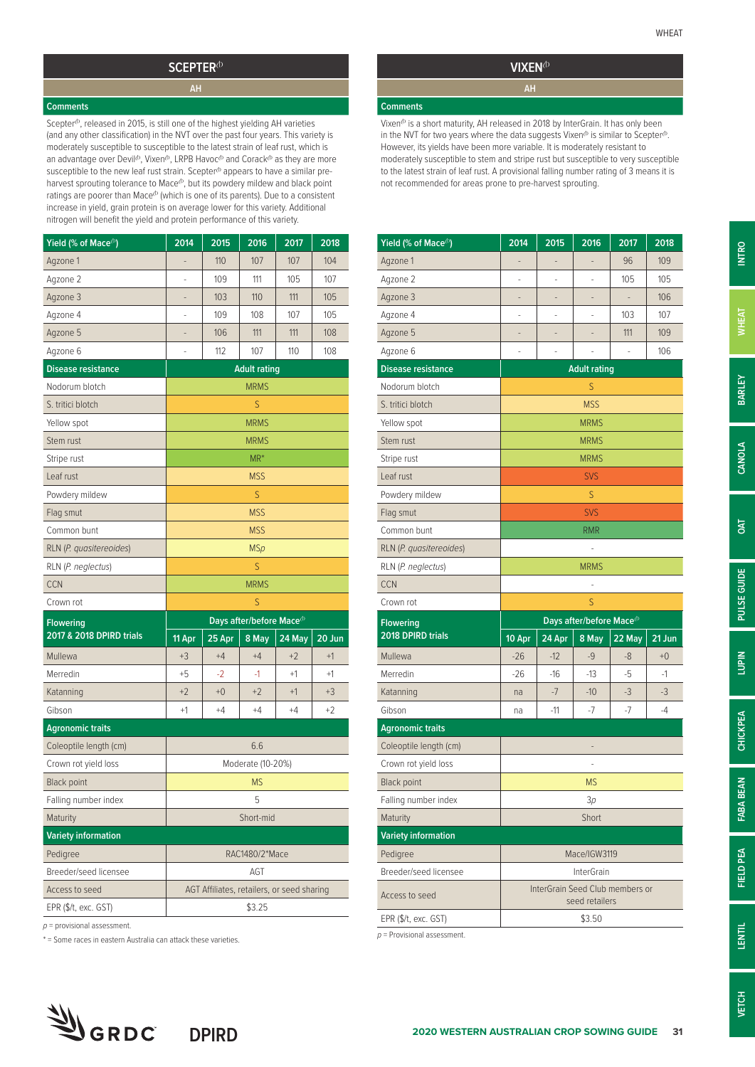#### SCEPTER<sup>(b)</sup>

#### **Comments**

Scepter<sup>®</sup>, released in 2015, is still one of the highest yielding AH varieties (and any other classification) in the NVT over the past four years. This variety is moderately susceptible to susceptible to the latest strain of leaf rust, which is an advantage over Devil<sup> $b$ </sup>, Vixen $b$ , LRPB Havoc $b$  and Corack $b$  as they are more susceptible to the new leaf rust strain. Scepter<sup>®</sup> appears to have a similar preharvest sprouting tolerance to Mace<sup>(b</sup>, but its powdery mildew and black point ratings are poorer than Mace $^{\circ}$  (which is one of its parents). Due to a consistent increase in yield, grain protein is on average lower for this variety. Additional nitrogen will benefit the yield and protein performance of this variety.

| Yield (% of Mace <sup>(b)</sup> | 2014   | 2015   | 2016                                  | 2017                                       | 2018   |
|---------------------------------|--------|--------|---------------------------------------|--------------------------------------------|--------|
| Agzone 1                        | -      | 110    | 107                                   | 107                                        | 104    |
| Agzone 2                        |        | 109    | 111                                   | 105                                        | 107    |
| Agzone 3                        |        | 103    | 110                                   | 111                                        | 105    |
| Agzone 4                        | Ξ      | 109    | 108                                   | 107                                        | 105    |
| Agzone 5                        |        | 106    | 111                                   | 111                                        | 108    |
| Agzone 6                        |        | 112    | 107                                   | 110                                        | 108    |
| <b>Disease resistance</b>       |        |        | <b>Adult rating</b>                   |                                            |        |
| Nodorum blotch                  |        |        | <b>MRMS</b>                           |                                            |        |
| S. tritici blotch               |        |        | S                                     |                                            |        |
| Yellow spot                     |        |        | <b>MRMS</b>                           |                                            |        |
| Stem rust                       |        |        | <b>MRMS</b>                           |                                            |        |
| Stripe rust                     |        |        | $MR^*$                                |                                            |        |
| Leaf rust                       |        |        | <b>MSS</b>                            |                                            |        |
| Powdery mildew                  |        |        | S                                     |                                            |        |
| Flag smut                       |        |        | <b>MSS</b>                            |                                            |        |
| Common bunt                     |        |        | <b>MSS</b>                            |                                            |        |
| RLN (P. quasitereoides)         |        |        | <b>MSp</b>                            |                                            |        |
| RLN (P. neglectus)              |        |        | S                                     |                                            |        |
| <b>CCN</b>                      |        |        | <b>MRMS</b>                           |                                            |        |
| Crown rot                       |        |        | S                                     |                                            |        |
| <b>Flowering</b>                |        |        | Days after/before Mace <sup>(b)</sup> |                                            |        |
| 2017 & 2018 DPIRD trials        | 11 Apr | 25 Apr | 8 May                                 | 24 May                                     | 20 Jun |
| Mullewa                         | $+3$   | $+4$   | $+4$                                  | $+2$                                       | $+1$   |
| Merredin                        | $+5$   | $-2$   | -1                                    | $+1$                                       | $+1$   |
| Katanning                       | $+2$   | $+0$   | $+2$                                  | $+1$                                       | $+3$   |
| Gibson                          | $+1$   | $+4$   | $+4$                                  | $+4$                                       | $+2$   |
| <b>Agronomic traits</b>         |        |        |                                       |                                            |        |
| Coleoptile length (cm)          |        |        | 6.6                                   |                                            |        |
| Crown rot yield loss            |        |        | Moderate (10-20%)                     |                                            |        |
| <b>Black point</b>              |        |        | <b>MS</b>                             |                                            |        |
| Falling number index            |        |        | 5                                     |                                            |        |
| Maturity                        |        |        | Short-mid                             |                                            |        |
| <b>Variety information</b>      |        |        |                                       |                                            |        |
| Pedigree                        |        |        | RAC1480/2*Mace                        |                                            |        |
| Breeder/seed licensee           |        |        | AGT                                   |                                            |        |
| Access to seed                  |        |        |                                       | AGT Affiliates, retailers, or seed sharing |        |
| EPR (\$/t, exc. GST)            |        |        | \$3.25                                |                                            |        |

*p* = provisional assessment.

\* = Some races in eastern Australia can attack these varieties.

## **VIXEN**<sup>(b)</sup>

#### **Comments**

Vixen<sup>®</sup> is a short maturity, AH released in 2018 by InterGrain. It has only been in the NVT for two years where the data suggests Vixen $\Phi$  is similar to Scepter $\Phi$ . However, its yields have been more variable. It is moderately resistant to moderately susceptible to stem and stripe rust but susceptible to very susceptible to the latest strain of leaf rust. A provisional falling number rating of 3 means it is not recommended for areas prone to pre-harvest sprouting.

| Yield (% of Mace <sup>(b)</sup> | 2014                                                                                                       | 2015                            | 2016                         | 2017   | 2018   |
|---------------------------------|------------------------------------------------------------------------------------------------------------|---------------------------------|------------------------------|--------|--------|
| Agzone 1                        | -                                                                                                          | $\overline{a}$                  | $\qquad \qquad \blacksquare$ | 96     | 109    |
| Agzone 2                        | -                                                                                                          | i,                              | i,                           | 105    | 105    |
| Agzone 3                        | -                                                                                                          | ÷                               | ٠                            |        | 106    |
| Agzone 4                        | i,                                                                                                         | i,                              |                              | 103    | 107    |
| Agzone 5                        | ۰                                                                                                          | ۰                               |                              | 111    | 109    |
| Agzone 6                        | ÷                                                                                                          | $\overline{\phantom{m}}$        |                              | ÷      | 106    |
| <b>Disease resistance</b>       |                                                                                                            |                                 |                              |        |        |
| Nodorum blotch                  |                                                                                                            |                                 | S                            |        |        |
| S. tritici blotch               |                                                                                                            |                                 | <b>MSS</b>                   |        |        |
| Yellow spot                     |                                                                                                            |                                 | <b>MRMS</b>                  |        |        |
| Stem rust                       | <b>MRMS</b><br><b>MRMS</b><br><b>SVS</b>                                                                   |                                 |                              |        |        |
| Stripe rust                     | <b>Adult rating</b><br>S<br><b>SVS</b><br>RMR<br><b>MRMS</b><br>S<br>Days after/before Mace <sup>(b)</sup> |                                 |                              |        |        |
| Leaf rust                       |                                                                                                            |                                 |                              |        |        |
| Powdery mildew                  |                                                                                                            |                                 |                              |        |        |
| Flag smut                       |                                                                                                            |                                 |                              |        |        |
| Common bunt                     |                                                                                                            |                                 |                              |        |        |
| RLN (P. quasitereoides)         |                                                                                                            |                                 |                              |        |        |
| RLN (P. neglectus)              |                                                                                                            |                                 |                              |        |        |
| <b>CCN</b>                      |                                                                                                            |                                 |                              |        |        |
|                                 |                                                                                                            |                                 |                              |        |        |
| Crown rot                       |                                                                                                            |                                 |                              |        |        |
| <b>Flowering</b>                |                                                                                                            |                                 |                              |        |        |
| 2018 DPIRD trials               | 10 Apr                                                                                                     | 24 Apr                          | 8 May                        | 22 May | 21 Jun |
| Mullewa                         | $-26$                                                                                                      | $-12$                           | -9                           | -8     | $+0$   |
| Merredin                        | $-26$                                                                                                      | $-16$                           | -13                          | -5     | -1     |
| Katanning                       | na                                                                                                         | $-7$                            | $-10$                        | $-3$   | -3     |
| Gibson                          | na                                                                                                         | $-11$                           | $-7$                         | $-7$   | $-4$   |
| <b>Agronomic traits</b>         |                                                                                                            |                                 |                              |        |        |
| Coleoptile length (cm)          |                                                                                                            |                                 | -                            |        |        |
| Crown rot yield loss            |                                                                                                            |                                 |                              |        |        |
| <b>Black point</b>              |                                                                                                            |                                 | <b>MS</b>                    |        |        |
| Falling number index            |                                                                                                            |                                 | 3p                           |        |        |
| Maturity                        |                                                                                                            |                                 | Short                        |        |        |
| <b>Variety information</b>      |                                                                                                            |                                 |                              |        |        |
| Pedigree                        |                                                                                                            |                                 | Mace/IGW3119                 |        |        |
| Breeder/seed licensee           |                                                                                                            |                                 | <b>InterGrain</b>            |        |        |
| Access to seed                  |                                                                                                            | InterGrain Seed Club members or | seed retailers               |        |        |

*p* = Provisional assessment.

**FABA BEAN**

**FABA BEAN**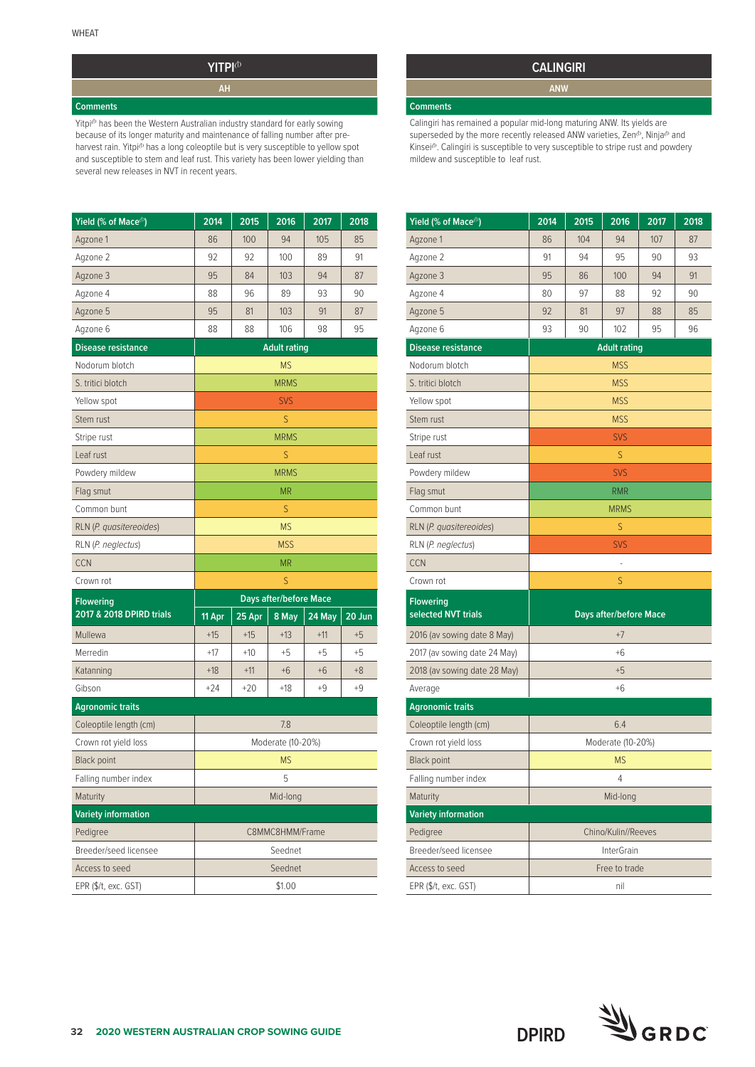## **YITPI**<sup> $\Phi$ </sup>

#### **Comments**

Yitpi<sup>b</sup> has been the Western Australian industry standard for early sowing because of its longer maturity and maintenance of falling number after preharvest rain. Yitpi<sup>to</sup> has a long coleoptile but is very susceptible to yellow spot and susceptible to stem and leaf rust. This variety has been lower yielding than several new releases in NVT in recent years.

| Yield (% of Mace <sup>(b)</sup> | 2014   | 2015   | 2016                          | 2017   | 2018   |
|---------------------------------|--------|--------|-------------------------------|--------|--------|
| Agzone 1                        | 86     | 100    | 94                            | 105    | 85     |
| Agzone 2                        | 92     | 92     | 100                           | 89     | 91     |
| Agzone 3                        | 95     | 84     | 103                           | 94     | 87     |
| Agzone 4                        | 88     | 96     | 89                            | 93     | 90     |
| Agzone 5                        | 95     | 81     | 103                           | 91     | 87     |
| Agzone 6                        | 88     | 88     | 106                           | 98     | 95     |
| <b>Disease resistance</b>       |        |        | <b>Adult rating</b>           |        |        |
| Nodorum blotch                  |        |        | <b>MS</b>                     |        |        |
| S. tritici blotch               |        |        | <b>MRMS</b>                   |        |        |
| Yellow spot                     |        |        | <b>SVS</b>                    |        |        |
| Stem rust                       |        |        | S                             |        |        |
| Stripe rust                     |        |        | <b>MRMS</b>                   |        |        |
| Leaf rust                       |        |        | S                             |        |        |
| Powdery mildew                  |        |        | <b>MRMS</b>                   |        |        |
| Flag smut                       |        |        | <b>MR</b>                     |        |        |
| Common bunt                     |        |        | S                             |        |        |
| RLN (P. quasitereoides)         |        |        | <b>MS</b>                     |        |        |
| RLN (P. neglectus)              |        |        | <b>MSS</b>                    |        |        |
| <b>CCN</b>                      |        |        | <b>MR</b>                     |        |        |
| Crown rot                       |        |        | S                             |        |        |
| <b>Flowering</b>                |        |        | <b>Days after/before Mace</b> |        |        |
| 2017 & 2018 DPIRD trials        | 11 Apr | 25 Apr | 8 May                         | 24 May | 20 Jun |
| Mullewa                         | $+15$  | $+15$  | $+13$                         | $+11$  | $+5$   |
| Merredin                        | $+17$  | $+10$  | $+5$                          | $+5$   | $+5$   |
| Katanning                       | $+18$  | $+11$  | $+6$                          | $+6$   | $+8$   |
| Gibson                          | $+24$  | $+20$  | $+18$                         | $+9$   | $+9$   |
| <b>Agronomic traits</b>         |        |        |                               |        |        |
| Coleoptile length (cm)          |        |        | 7.8                           |        |        |
| Crown rot yield loss            |        |        | Moderate (10-20%)             |        |        |
| <b>Black point</b>              |        |        | <b>MS</b>                     |        |        |
| Falling number index            |        |        | 5                             |        |        |
| Maturity                        |        |        | Mid-long                      |        |        |
| <b>Variety information</b>      |        |        |                               |        |        |
| Pedigree                        |        |        | C8MMC8HMM/Frame               |        |        |
| Breeder/seed licensee           |        |        | Seednet                       |        |        |
| Access to seed                  |        |        | Seednet                       |        |        |
|                                 |        |        |                               |        |        |

## **CALINGIRI ANW**

#### **Comments**

Calingiri has remained a popular mid-long maturing ANW. Its yields are superseded by the more recently released ANW varieties, Zen $^b$ , Ninja $^b$  and Kinsei<sup>®</sup>. Calingiri is susceptible to very susceptible to stripe rust and powdery mildew and susceptible to leaf rust.

| Yield (% of Mace <sup>(b)</sup>         | 2014                          | 2015 | 2016                | 2017 | 2018 |  |  |  |
|-----------------------------------------|-------------------------------|------|---------------------|------|------|--|--|--|
| Agzone 1                                | 86                            | 104  | 94                  | 107  | 87   |  |  |  |
| Agzone 2                                | 91                            | 94   | 95                  | 90   | 93   |  |  |  |
| Agzone 3                                | 95                            | 86   | 100                 | 94   | 91   |  |  |  |
| Agzone 4                                | 80                            | 97   | 88                  | 92   | 90   |  |  |  |
| Agzone 5                                | 92                            | 81   | 97                  | 88   | 85   |  |  |  |
| Agzone 6                                | 93                            | 90   | 102                 | 95   | 96   |  |  |  |
| <b>Disease resistance</b>               |                               |      | <b>Adult rating</b> |      |      |  |  |  |
| Nodorum blotch                          |                               |      | <b>MSS</b>          |      |      |  |  |  |
| S. tritici blotch                       |                               |      | <b>MSS</b>          |      |      |  |  |  |
| Yellow spot                             |                               |      | <b>MSS</b>          |      |      |  |  |  |
| Stem rust                               |                               |      | <b>MSS</b>          |      |      |  |  |  |
| Stripe rust                             |                               |      | <b>SVS</b>          |      |      |  |  |  |
| Leaf rust                               |                               |      | S                   |      |      |  |  |  |
| Powdery mildew                          |                               |      | <b>SVS</b>          |      |      |  |  |  |
| Flag smut                               |                               |      | <b>RMR</b>          |      |      |  |  |  |
| Common bunt                             | <b>MRMS</b>                   |      |                     |      |      |  |  |  |
| RLN (P. quasitereoides)                 | S                             |      |                     |      |      |  |  |  |
| RLN (P. neglectus)                      | <b>SVS</b>                    |      |                     |      |      |  |  |  |
| <b>CCN</b>                              |                               |      |                     |      |      |  |  |  |
| Crown rot                               | S                             |      |                     |      |      |  |  |  |
| <b>Flowering</b><br>selected NVT trials | <b>Days after/before Mace</b> |      |                     |      |      |  |  |  |
| 2016 (av sowing date 8 May)             | $+7$                          |      |                     |      |      |  |  |  |
| 2017 (av sowing date 24 May)            | $+6$                          |      |                     |      |      |  |  |  |
| 2018 (av sowing date 28 May)            | $+5$                          |      |                     |      |      |  |  |  |
| Average                                 | $+6$                          |      |                     |      |      |  |  |  |
| <b>Agronomic traits</b>                 |                               |      |                     |      |      |  |  |  |
| Coleoptile length (cm)                  | 6.4                           |      |                     |      |      |  |  |  |
| Crown rot yield loss                    | Moderate (10-20%)             |      |                     |      |      |  |  |  |
| <b>Black point</b>                      | <b>MS</b>                     |      |                     |      |      |  |  |  |
| Falling number index                    | 4                             |      |                     |      |      |  |  |  |
| Maturity                                | Mid-long                      |      |                     |      |      |  |  |  |
| <b>Variety information</b>              |                               |      |                     |      |      |  |  |  |
| Pedigree                                | Chino/Kulin//Reeves           |      |                     |      |      |  |  |  |
| Breeder/seed licensee                   |                               |      | <b>InterGrain</b>   |      |      |  |  |  |
| Access to seed                          |                               |      | Free to trade       |      |      |  |  |  |
| EPR (\$/t, exc. GST)                    |                               |      | nil                 |      |      |  |  |  |

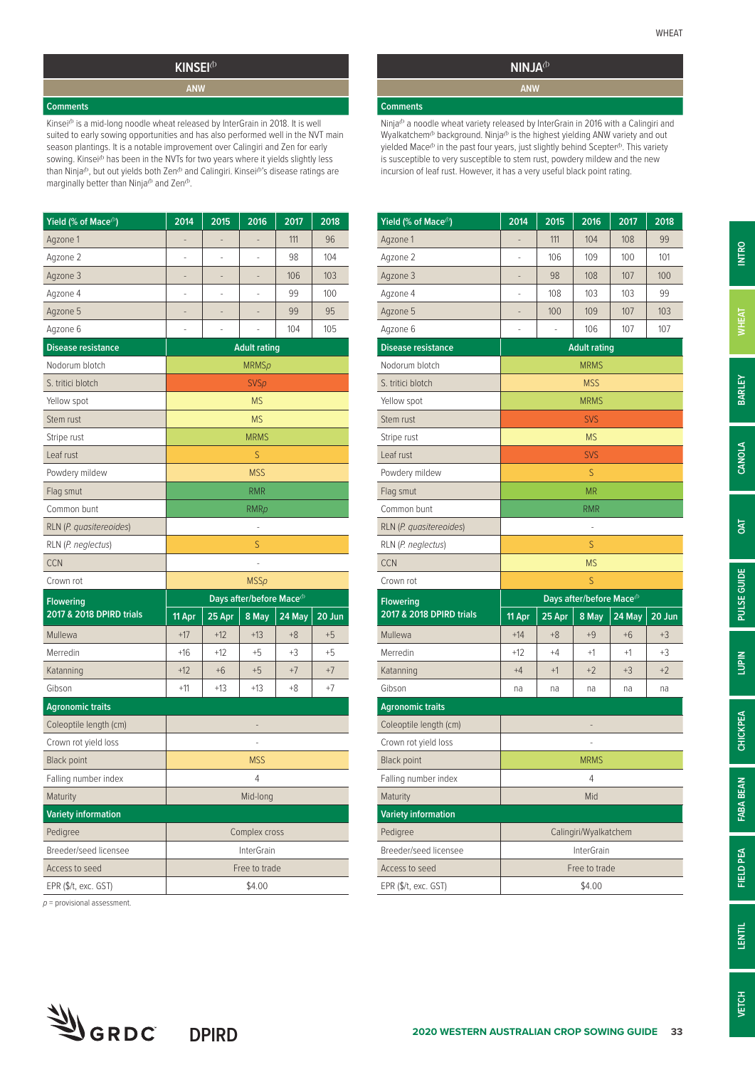### **KINSEI**<sup>(b)</sup> **ANW**

**Comments**

Kinsei<sup>®</sup> is a mid-long noodle wheat released by InterGrain in 2018. It is well suited to early sowing opportunities and has also performed well in the NVT main season plantings. It is a notable improvement over Calingiri and Zen for early sowing. Kinsei<sup>(b</sup> has been in the NVTs for two years where it yields slightly less than Ninja<sup>(b</sup>, but out yields both Zen<sup>(b</sup> and Calingiri. Kinsei<sup>(b)</sup>'s disease ratings are marginally better than Ninja $\Phi$  and Zen $\Phi$ .

| Yield (% of Mace <sup>(b)</sup> | 2014          | 2015              | 2016                                 | 2017   | 2018   |  |  |
|---------------------------------|---------------|-------------------|--------------------------------------|--------|--------|--|--|
| Agzone 1                        |               |                   | -                                    | 111    | 96     |  |  |
| Agzone 2                        |               |                   |                                      | 98     | 104    |  |  |
| Agzone 3                        |               |                   |                                      | 106    | 103    |  |  |
| Agzone 4                        | i.            | ٠                 | ٠                                    | 99     | 100    |  |  |
| Agzone 5                        |               |                   |                                      | 99     | 95     |  |  |
| Agzone 6                        |               |                   |                                      | 104    | 105    |  |  |
| <b>Disease resistance</b>       |               |                   | <b>Adult rating</b>                  |        |        |  |  |
| Nodorum blotch                  |               |                   | <b>MRMSp</b>                         |        |        |  |  |
| S. tritici blotch               |               |                   | <b>SVSp</b>                          |        |        |  |  |
| Yellow spot                     |               |                   | <b>MS</b>                            |        |        |  |  |
| Stem rust                       |               |                   | <b>MS</b>                            |        |        |  |  |
| Stripe rust                     |               |                   | <b>MRMS</b>                          |        |        |  |  |
| Leaf rust                       |               |                   | S                                    |        |        |  |  |
| Powdery mildew                  |               |                   | <b>MSS</b>                           |        |        |  |  |
| Flag smut                       |               |                   | <b>RMR</b>                           |        |        |  |  |
| Common bunt                     | <b>RMRp</b>   |                   |                                      |        |        |  |  |
| RLN (P. quasitereoides)         |               |                   |                                      |        |        |  |  |
| RLN (P. neglectus)              | S             |                   |                                      |        |        |  |  |
| <b>CCN</b>                      |               |                   |                                      |        |        |  |  |
| Crown rot                       |               |                   | <b>MSSp</b>                          |        |        |  |  |
| <b>Flowering</b>                |               |                   | Days after/before Mace <sup>(b</sup> |        |        |  |  |
| 2017 & 2018 DPIRD trials        | 11 Apr        | 25 Apr            | 8 May                                | 24 May | 20 Jun |  |  |
| Mullewa                         | $+17$         | $+12$             | $+13$                                | $+8$   | $+5$   |  |  |
| Merredin                        | $+16$         | $+12$             | $+5$                                 | +3     | $+5$   |  |  |
| Katanning                       | $+12$         | $+6$              | $+5$                                 | $+7$   | $+7$   |  |  |
| Gibson                          | $+11$         | $+13$             | +13                                  | +8     | +7     |  |  |
| <b>Agronomic traits</b>         |               |                   |                                      |        |        |  |  |
| Coleoptile length (cm)          | ÷             |                   |                                      |        |        |  |  |
| Crown rot yield loss            | ٠             |                   |                                      |        |        |  |  |
| <b>Black point</b>              | <b>MSS</b>    |                   |                                      |        |        |  |  |
| Falling number index            | 4             |                   |                                      |        |        |  |  |
| Maturity                        | Mid-long      |                   |                                      |        |        |  |  |
| <b>Variety information</b>      |               |                   |                                      |        |        |  |  |
| Pedigree                        | Complex cross |                   |                                      |        |        |  |  |
| Breeder/seed licensee           |               | <b>InterGrain</b> |                                      |        |        |  |  |
|                                 |               |                   |                                      |        |        |  |  |
| Access to seed                  |               |                   | Free to trade                        |        |        |  |  |

*p* = provisional assessment.

## **NINJA**<sup>(b)</sup>

**Comments**

Ninja $^{\text{th}}$  a noodle wheat variety released by InterGrain in 2016 with a Calingiri and Wyalkatchem<sup>®</sup> background. Ninja<sup>®</sup> is the highest yielding ANW variety and out yielded Mace<sup>(b</sup> in the past four years, just slightly behind Scepter<sup>(b</sup>. This variety is susceptible to very susceptible to stem rust, powdery mildew and the new incursion of leaf rust. However, it has a very useful black point rating.

| Yield (% of Mace <sup>(b)</sup> | 2014              | 2015                     | 2016                                  | 2017   | 2018   |  |  |
|---------------------------------|-------------------|--------------------------|---------------------------------------|--------|--------|--|--|
| Agzone 1                        |                   | 111                      | 104                                   | 108    | 99     |  |  |
| Agzone 2                        | i.                | 106                      | 109                                   | 100    | 101    |  |  |
| Agzone 3                        | -                 | 98                       | 108                                   | 107    | 100    |  |  |
| Agzone 4                        |                   | 108                      | 103                                   | 103    | 99     |  |  |
| Agzone 5                        |                   | 100                      | 109                                   | 107    | 103    |  |  |
| Agzone 6                        | ٠                 | $\overline{\phantom{m}}$ | 106                                   | 107    | 107    |  |  |
| <b>Disease resistance</b>       |                   |                          | <b>Adult rating</b>                   |        |        |  |  |
| Nodorum blotch                  |                   |                          | <b>MRMS</b>                           |        |        |  |  |
| S. tritici blotch               |                   |                          | <b>MSS</b>                            |        |        |  |  |
| Yellow spot                     |                   |                          | <b>MRMS</b>                           |        |        |  |  |
| Stem rust                       |                   |                          | <b>SVS</b>                            |        |        |  |  |
| Stripe rust                     |                   |                          | <b>MS</b>                             |        |        |  |  |
| Leaf rust                       |                   |                          | <b>SVS</b>                            |        |        |  |  |
| Powdery mildew                  |                   |                          | S                                     |        |        |  |  |
| Flag smut                       |                   |                          | <b>MR</b>                             |        |        |  |  |
| Common bunt                     |                   |                          | <b>RMR</b>                            |        |        |  |  |
| RLN (P. quasitereoides)         | ÷                 |                          |                                       |        |        |  |  |
| RLN (P. neglectus)              | S                 |                          |                                       |        |        |  |  |
| <b>CCN</b>                      | <b>MS</b>         |                          |                                       |        |        |  |  |
| Crown rot                       |                   |                          | S                                     |        |        |  |  |
| <b>Flowering</b>                |                   |                          | Days after/before Mace <sup>(b)</sup> |        |        |  |  |
| 2017 & 2018 DPIRD trials        | $11$ Apr          | 25 Apr                   | 8 May                                 | 24 May | 20 Jun |  |  |
| Mullewa                         | $+14$             | $+8$                     | $+9$                                  | $+6$   | $+3$   |  |  |
| Merredin                        | +12               | $+4$                     | $+1$                                  | $+1$   | +3     |  |  |
| Katanning                       | $+4$              | $+1$                     | $+2$                                  | $+3$   | $+2$   |  |  |
| Gibson                          | na                | na                       | na                                    | na     | na     |  |  |
| <b>Agronomic traits</b>         |                   |                          |                                       |        |        |  |  |
| Coleoptile length (cm)          |                   |                          |                                       |        |        |  |  |
| Crown rot yield loss            |                   |                          |                                       |        |        |  |  |
| <b>Black point</b>              | <b>MRMS</b>       |                          |                                       |        |        |  |  |
| Falling number index            | 4                 |                          |                                       |        |        |  |  |
| Maturity                        | Mid               |                          |                                       |        |        |  |  |
| <b>Variety information</b>      |                   |                          |                                       |        |        |  |  |
| Pedigree                        |                   |                          | Calingiri/Wyalkatchem                 |        |        |  |  |
| Breeder/seed licensee           | <b>InterGrain</b> |                          |                                       |        |        |  |  |
|                                 |                   |                          |                                       |        |        |  |  |
| Access to seed                  |                   |                          | Free to trade                         |        |        |  |  |

**ANW**

**INTRO**

**PULSE GUIDE**

PULSE GUIDE

**VETCH**